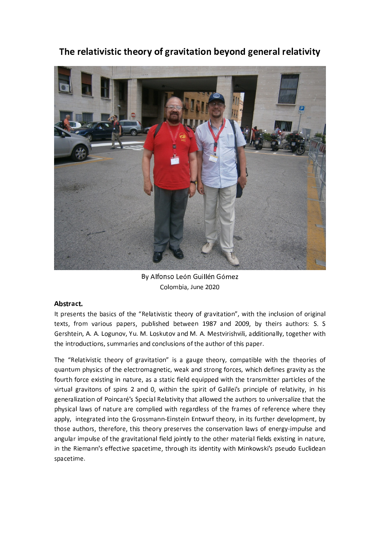



By Alfonso León Guillén Gómez Colombia, June 2020

## Abstract.

It presents the basics of the "Relativistic theory of gravitation", with the inclusion of original texts, from various papers, published between 1987 and 2009, by theirs authors: S. S. Gershtein, A. A. Logunov, Yu. M. Loskutov and M. A. Mestvirishvili, additionally, together with the introductions, summaries and conclusions of the author of this paper.

The "Relativistic theory of gravitation" is a gauge theory, compatible with the theories of quantum physics of the electromagnetic, weak and strong forces, which defines gravity as the fourth force existing in nature, as a static field equipped with the transmitter particles of the virtual gravitons of spins 2 and 0, within the spirit of Galilei's principle of relativity, in his generalization of Poincaré's Special Relativity that allowed the authors to universalize that the physical laws of nature are complied with regardless of the frames of reference where they apply, integrated into the Grossmann-Einstein Entwurf theory, in its further development, by those authors, therefore, this theory preserves the conservation laws of energy-impulse and angular impulse of the gravitational field jointly to the other material fields existing in nature, in the Riemann's effective spacetime, through its identity with Minkowski's pseudo Euclidean spacetime.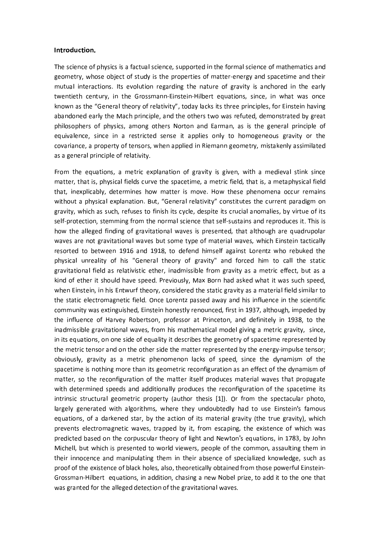#### Introduction.

The science of physics is a factual science, supported in the formal science of mathematics and geometry, whose object of study is the properties of matter-energy and spacetime and their mutual interactions. Its evolution regarding the nature of gravity is anchored in the early twentieth century, in the Grossmann-Einstein-Hilbert equations, since, in what was once known as the "General theory of relativity", today lacks its three principles, for Einstein having abandoned early the Mach principle, and the others two was refuted, demonstrated by great philosophers of physics, among others Norton and Earman, as is the general principle of equivalence, since in a restricted sense it applies only to homogeneous gravity or the covariance, a property of tensors, when applied in Riemann geometry, mistakenly assimilated as a general principle of relativity.

From the equations, a metric explanation of gravity is given, with a medieval stink since matter, that is, physical fields curve the spacetime, a metric field, that is, a metaphysical field that, inexplicably, determines how matter is move. How these phenomena occur remains without a physical explanation. But, "General relativity" constitutes the current paradigm on gravity, which as such, refuses to finish its cycle, despite its crucial anomalies, by virtue of its self-protection, stemming from the normal science that self-sustains and reproduces it. This is how the alleged finding of gravitational waves is presented, that although are quadrupolar waves are not gravitational waves but some type of material waves, which Einstein tactically resorted to between 1916 and 1918, to defend himself against Lorentz who rebuked the physical unreality of his "General theory of gravity" and forced him to call the static gravitational field as relativistic ether, inadmissible from gravity as a metric effect, but as a kind of ether it should have speed. Previously, Max Born had asked what it was such speed, when Einstein, in his Entwurf theory, considered the static gravity as a material field similar to the static electromagnetic field. Once Lorentz passed away and his influence in the scientific community was extinguished, Einstein honestly renounced, first in 1937, although, impeded by the influence of Harvey Robertson, professor at Princeton, and definitely in 1938, to the inadmissible gravitational waves, from his mathematical model giving a metric gravity, since, in its equations, on one side of equality it describes the geometry of spacetime represented by the metric tensor and on the other side the matter represented by the energy-impulse tensor; obviously, gravity as a metric phenomenon lacks of speed, since the dynamism of the spacetime is nothing more than its geometric reconfiguration as an effect of the dynamism of matter, so the reconfiguration of the matter itself produces material waves that propagate with determined speeds and additionally produces the reconfiguration of the spacetime its intrinsic structural geometric property (author thesis [1]). Or from the spectacular photo, largely generated with algorithms, where they undoubtedly had to use Einstein's famous equations, of a darkened star, by the action of its material gravity (the true gravity), which prevents electromagnetic waves, trapped by it, from escaping, the existence of which was predicted based on the corpuscular theory of light and Newton's equations, in 1783, by John Michell, but which is presented to world viewers, people of the common, assaulting them in their innocence and manipulating them in their absence of specialized knowledge, such as proof of the existence of black holes, also, theoretically obtained from those powerful Einstein-Grossman-Hilbert equations, in addition, chasing a new Nobel prize, to add it to the one that was granted for the alleged detection of the gravitational waves.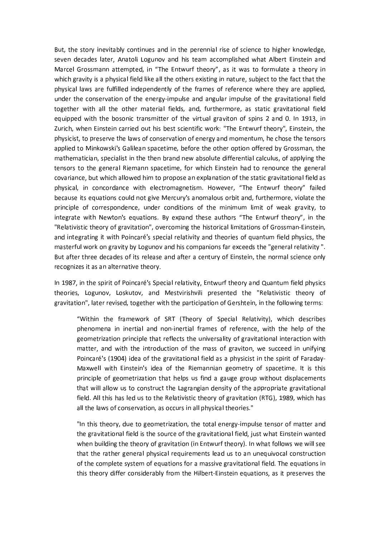But, the story inevitably continues and in the perennial rise of science to higher knowledge, seven decades later, Anatoli Logunov and his team accomplished what Albert Einstein and Marcel Grossmann attempted, in "The Entwurf theory", as it was to formulate a theory in which gravity is a physical field like all the others existing in nature, subject to the fact that the physical laws are fulfilled independently of the frames of reference where they are applied, under the conservation of the energy-impulse and angular impulse of the gravitational field together with all the other material fields, and, furthermore, as static gravitational field equipped with the bosonic transmitter of the virtual graviton of spins 2 and 0. In 1913, in Zurich, when Einstein carried out his best scientific work: "The Entwurf theory", Einstein, the physicist, to preserve the laws of conservation of energy and momentum, he chose the tensors applied to Minkowski's Galilean spacetime, before the other option offered by Grossman, the mathematician, specialist in the then brand new absolute differential calculus, of applying the tensors to the general Riemann spacetime, for which Einstein had to renounce the general covariance, but which allowed him to propose an explanation of the static gravitational field as physical, in concordance with electromagnetism. However, "The Entwurf theory" failed because its equations could not give Mercury's anomalous orbit and, furthermore, violate the principle of correspondence, under conditions of the minimum limit of weak gravity, to integrate with Newton's equations. By expand these authors "The Entwurf theory", in the "Relativistic theory of gravitation", overcoming the historical limitations of Grossman-Einstein, and integrating it with Poincaré's special relativity and theories of quantum field physics, the masterful work on gravity by Logunov and his companions far exceeds the "general relativity". But after three decades of its release and after a century of Einstein, the normal science only recognizes it as an alternative theory.

In 1987, in the spirit of Poincaré's Special relativity, Entwurf theory and Quantum field physics theories, Logunov, Loskutov, and Mestvirishvili presented the "Relativistic theory of gravitation", later revised, together with the participation of Gershtein, in the following terms:

"Within the framework of SRT (Theory of Special Relativity), which describes phenomena in inertial and non-inertial frames of reference, with the help of the geometrization principle that reflects the universality of gravitational interaction with matter, and with the introduction of the mass of graviton, we succeed in unifying Poincaré's (1904) idea of the gravitational field as a physicist in the spirit of Faraday-Maxwell with Einstein's idea of the Riemannian geometry of spacetime. It is this principle of geometrization that helps us find a gauge group without displacements that will allow us to construct the Lagrangian density of the appropriate gravitational field. All this has led us to the Relativistic theory of gravitation (RTG), 1989, which has all the laws of conservation, as occurs in all physical theories."

"In this theory, due to geometrization, the total energy-impulse tensor of matter and the gravitational field is the source of the gravitational field, just what Einstein wanted when building the theory of gravitation (in Entwurf theory). In what follows we will see that the rather general physical requirements lead us to an unequivocal construction of the complete system of equations for a massive gravitational field. The equations in this theory differ considerably from the Hilbert-Einstein equations, as it preserves the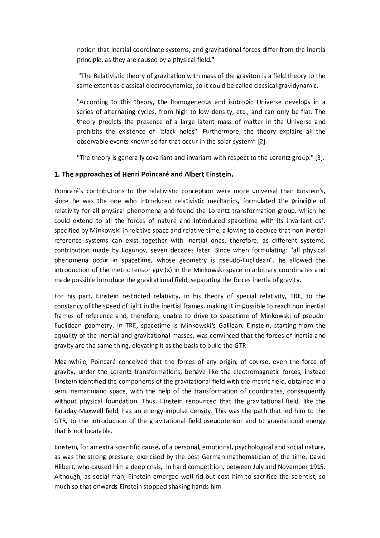notion that inertial coordinate systems, and gravitational forces differ from the inertia principle, as they are caused by a physical field."

"The Relativistic theory of gravitation with mass of the graviton is a field theory to the same extent as classical electrodynamics, so it could be called classical gravidynamic.

"According to this theory, the homogeneous and isotropic Universe develops in a series of alternating cycles, from high to low density, etc., and can only be flat. The theory predicts the presence of a large latent mass of matter in the Universe and prohibits the existence of "black holes". Furthermore, the theory explains all the observable events known so far that occur in the solar system" [2].

"The theory is generally covariant and invariant with respect to the Lorentz group." [3].

## 1. The approaches of Henri Poincaré and Albert Einstein.

Poincaré's contributions to the relativistic conception were more universal than Einstein's, since he was the one who introduced relativistic mechanics, formulated the principle of relativity for all physical phenomena and found the Lorentz transformation group, which he could extend to all the forces of nature and introduced spacetime with its invariant  $ds^2$ , specified by Minkowski in relative space and relative time, allowing to deduce that non-inertial reference systems can exist together with inertial ones, therefore, as different systems, contribution made by Logunov, seven decades later. Since when formulating: "all physical phenomena occur in spacetime, whose geometry is pseudo-Euclidean", he allowed the introduction of the metric tensor  $\gamma\mu\nu(x)$  in the Minkowski space in arbitrary coordinates and made possible introduce the gravitational field, separating the forces inertia of gravity.

For his part, Einstein restricted relativity, in his theory of special relativity, TRE, to the constancy of the speed of light in the inertial frames, making it impossible to reach non-inertial frames of reference and, therefore, unable to drive to spacetime of Minkowski of pseudo-Euclidean geometry. In TRE, spacetime is Minkowski's Galilean. Einstein, starting from the equality of the inertial and gravitational masses, was convinced that the forces of inertia and gravity are the same thing, elevating it as the basis to build the GTR.

Meanwhile, Poincaré conceived that the forces of any origin, of course, even the force of gravity, under the Lorentz transformations, behave like the electromagnetic forces, instead Einstein identified the components of the gravitational field with the metric field, obtained in a semi riemanniano space, with the help of the transformation of coordinates, consequently without physical foundation. Thus, Einstein renounced that the gravitational field, like the Faraday-Maxwell field, has an energy-impulse density. This was the path that led him to the GTR, to the introduction of the gravitational field pseudotensor and to gravitational energy that is not locatable.

Einstein, for an extra scientific cause, of a personal, emotional, psychological and social nature, as was the strong pressure, exercised by the best German mathematician of the time, David Hilbert, who caused him a deep crisis, in hard competition, between July and November 1915. Although, as social man, Einstein emerged well rid but cost him to sacrifice the scientist, so much so that onwards Einstein stopped shaking hands him.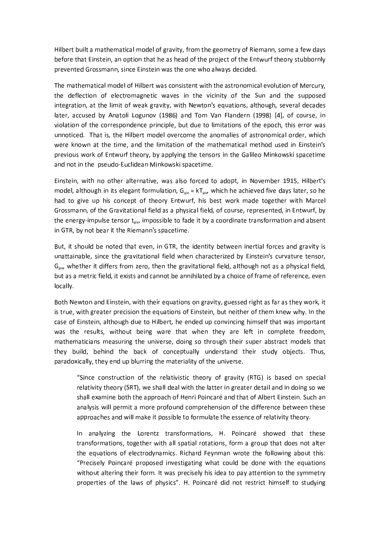Hilbert built a mathematical model of gravity, from the geometry of Riemann, some a few days before that Einstein, an option that he as head of the project of the Entwurf theory stubbornly prevented Grossmann, since Einstein was the one who always decided.

The mathematical model of Hilbert was consistent with the astronomical evolution of Mercury, the deflection of electromagnetic waves in the vicinity of the Sun and the supposed integration, at the limit of weak gravity, with Newton's equations, although, several decades later, accused by Anatoli Logunov (1986) and Tom Van Flandern (1998) [4], of course, in violation of the correspondence principle, but due to limitations of the epoch, this error was unnoticed. That is, the Hilbert model overcome the anomalies of astronomical order, which were known at the time, and the limitation of the mathematical method used in Einstein's previous work of Entwurf theory, by applying the tensors in the Galileo Minkowski spacetime and not in the pseudo-Euclidean Minkowski spacetime.

Einstein, with no other alternative, was also forced to adopt, in November 1915, Hilbert's model, although in its elegant formulation,  $G_{\mu\nu} = kT_{\mu\nu}$ , which he achieved five days later, so he had to give up his concept of theory Entwurf, his best work made together with Marcel Grossmann, of the Gravitational field as a physical field, of course, represented, in Entwurf, by the energy-impulse tensor t<sub>uv</sub>, impossible to fade it by a coordinate transformation and absent in GTR, by not bear it the Riemann's spacetime.

But, it should be noted that even, in GTR, the identity between inertial forces and gravity is unattainable, since the gravitational field when characterized by Einstein's curvature tensor,  $G_{uv}$ , whether it differs from zero, then the gravitational field, although not as a physical field, but as a metric field, it exists and cannot be annihilated by a choice of frame of reference, even locally.

Both Newton and Einstein, with their equations on gravity, guessed right as far as they work, it is true, with greater precision the equations of Einstein, but neither of them knew why. In the case of Einstein, although due to Hilbert, he ended up convincing himself that was important was the results, without being ware that when they are left in complete freedom, mathematicians measuring the universe, doing so through their super abstract models that they build, behind the back of conceptually understand their study objects. Thus, paradoxically, they end up blurring the materiality of the universe.

"Since construction of the relativistic theory of gravity (RTG) is based on special relativity theory (SRT), we shall deal with the latter in greater detail and in doing so we shall examine both the approach of Henri Poincaré and that of Albert Einstein. Such an analysis will permit a more profound comprehension of the difference between these approaches and will make it possible to formulate the essence of relativity theory.

In analyzing the Lorentz transformations, H. Poincaré showed that these transformations, together with all spatial rotations, form a group that does not alter the equations of electrodynamics. Richard Feynman wrote the following about this: "Precisely Poincaré proposed investigating what could be done with the equations without altering their form. It was precisely his idea to pay attention to the symmetry properties of the laws of physics". H. Poincaré did not restrict himself to studying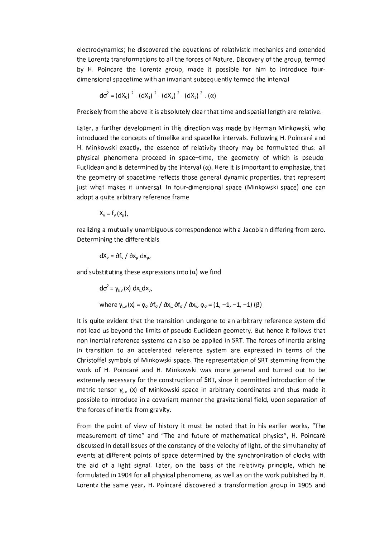electrodynamics; he discovered the equations of relativistic mechanics and extended the Lorentz transformations to all the forces of Nature. Discovery of the group, termed by H. Poincaré the Lorentz group, made it possible for him to introduce fourdimensional spacetime with an invariant subsequently termed the interval

$$
d\sigma^{2} = (dX_{0})^{2} - (dX_{1})^{2} - (dX_{2})^{2} - (dX_{3})^{2} \cdot (\alpha)
$$

Precisely from the above it is absolutely clear that time and spatial length are relative.

Later, a further development in this direction was made by Herman Minkowski, who introduced the concepts of timelike and spacelike intervals. Following H. Poincaré and H. Minkowski exactly, the essence of relativity theory may be formulated thus: all physical phenomena proceed in space-time, the geometry of which is pseudo-Euclidean and is determined by the interval  $(\alpha)$ . Here it is important to emphasize, that the geometry of spacetime reflects those general dynamic properties, that represent just what makes it universal. In four-dimensional space (Minkowski space) one can adopt a quite arbitrary reference frame

$$
X_{v} = f_{v}(x_{\mu}),
$$

realizing a mutually unambiguous correspondence with a Jacobian differing from zero. Determining the differentials

$$
dX_{v} = \partial f_{v} / \partial x_{\mu} dx_{\mu},
$$

and substituting these expressions into  $(\alpha)$  we find

$$
d\sigma^{2} = \gamma_{\mu\nu}(x) dx_{\mu}dx_{\nu},
$$
  
where  $\gamma_{\mu\nu}(x) = \rho_{\sigma} \delta f_{\sigma} / \delta x_{\mu} \delta f_{\sigma} / \delta x_{\nu}, \rho_{\sigma} = (1, -1, -1, -1) (\beta)$ 

It is quite evident that the transition undergone to an arbitrary reference system did not lead us beyond the limits of pseudo-Euclidean geometry. But hence it follows that non inertial reference systems can also be applied in SRT. The forces of inertia arising in transition to an accelerated reference system are expressed in terms of the Christoffel symbols of Minkowski space. The representation of SRT stemming from the work of H. Poincaré and H. Minkowski was more general and turned out to be extremely necessary for the construction of SRT, since it permitted introduction of the metric tensor  $y_{uv}$  (x) of Minkowski space in arbitrary coordinates and thus made it possible to introduce in a covariant manner the gravitational field, upon separation of the forces of inertia from gravity.

From the point of view of history it must be noted that in his earlier works, "The measurement of time" and "The and future of mathematical physics", H. Poincaré discussed in detail issues of the constancy of the velocity of light, of the simultaneity of events at different points of space determined by the synchronization of clocks with the aid of a light signal. Later, on the basis of the relativity principle, which he formulated in 1904 for all physical phenomena, as well as on the work published by H. Lorentz the same year, H. Poincaré discovered a transformation group in 1905 and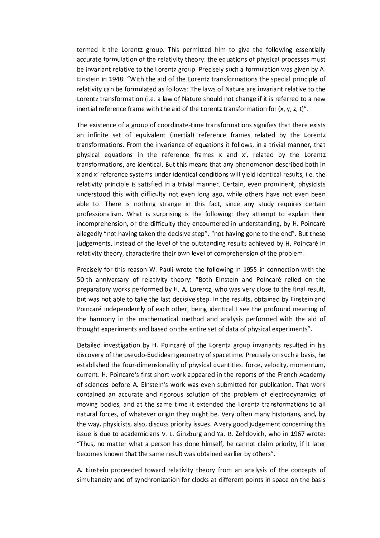termed it the Lorentz group. This permitted him to give the following essentially accurate formulation of the relativity theory: the equations of physical processes must be invariant relative to the Lorentz group. Precisely such a formulation was given by A. Einstein in 1948: "With the aid of the Lorentz transformations the special principle of relativity can be formulated as follows: The laws of Nature are invariant relative to the Lorentz transformation (i.e. a law of Nature should not change if it is referred to a new inertial reference frame with the aid of the Lorentz transformation for  $(x, y, z, t)^n$ .

The existence of a group of coordinate-time transformations signifies that there exists an infinite set of equivalent (inertial) reference frames related by the Lorentz transformations. From the invariance of equations it follows, in a trivial manner, that physical equations in the reference frames x and x', related by the Lorentz transformations, are identical. But this means that any phenomenon described both in x and x' reference systems under identical conditions will yield identical results, i.e. the relativity principle is satisfied in a trivial manner. Certain, even prominent, physicists understood this with difficulty not even long ago, while others have not even been able to. There is nothing strange in this fact, since any study requires certain professionalism. What is surprising is the following: they attempt to explain their incomprehension, or the difficulty they encountered in understanding, by H. Poincaré allegedly "not having taken the decisive step", "not having gone to the end". But these judgements, instead of the level of the outstanding results achieved by H. Poincaré in relativity theory, characterize their own level of comprehension of the problem.

Precisely for this reason W. Pauli wrote the following in 1955 in connection with the 50-th anniversary of relativity theory: "Both Einstein and Poincaré relied on the preparatory works performed by H. A. Lorentz, who was very close to the final result, but was not able to take the last decisive step. In the results, obtained by Einstein and Poincaré independently of each other, being identical I see the profound meaning of the harmony in the mathematical method and analysis performed with the aid of thought experiments and based on the entire set of data of physical experiments".

Detailed investigation by H. Poincaré of the Lorentz group invariants resulted in his discovery of the pseudo-Euclidean geometry of spacetime. Precisely on such a basis, he established the four-dimensionality of physical quantities: force, velocity, momentum, current. H. Poincare's first short work appeared in the reports of the French Academy of sciences before A. Einstein's work was even submitted for publication. That work contained an accurate and rigorous solution of the problem of electrodynamics of moving bodies, and at the same time it extended the Lorentz transformations to all natural forces, of whatever origin they might be. Very often many historians, and, by the way, physicists, also, discuss priority issues. A very good judgement concerning this issue is due to academicians V. L. Ginzburg and Ya. B. Zel'dovich, who in 1967 wrote: "Thus, no matter what a person has done himself, he cannot claim priority, if it later becomes known that the same result was obtained earlier by others".

A. Einstein proceeded toward relativity theory from an analysis of the concepts of simultaneity and of synchronization for clocks at different points in space on the basis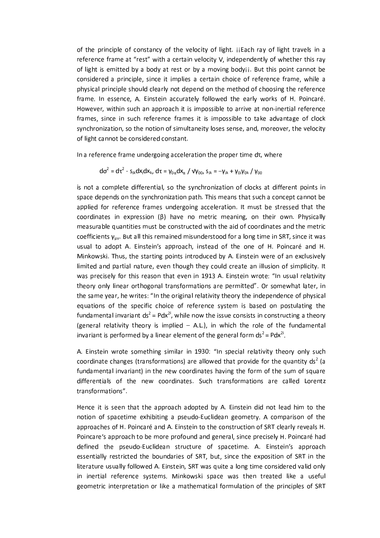of the principle of constancy of the velocity of light. jiEach ray of light travels in a reference frame at "rest" with a certain velocity V, independently of whether this ray of light is emitted by a body at rest or by a moving bodyjj. But this point cannot be considered a principle, since it implies a certain choice of reference frame, while a physical principle should clearly not depend on the method of choosing the reference frame. In essence, A. Einstein accurately followed the early works of H. Poincaré. However, within such an approach it is impossible to arrive at non-inertial reference frames, since in such reference frames it is impossible to take advantage of clock synchronization, so the notion of simultaneity loses sense, and, moreover, the velocity of light cannot be considered constant.

In a reference frame undergoing acceleration the proper time dt, where

$$
d\sigma^2 = d\tau^2 - s_{ik}dx_i dx_k, \ d\tau = \gamma_{0\alpha}dx_{\alpha} / \sqrt{\gamma_{00}}, \ s_{ik} = -\gamma_{ik} + \gamma_{0i}\gamma_{0k} / \gamma_{00}
$$

is not a complete differential, so the synchronization of clocks at different points in space depends on the synchronization path. This means that such a concept cannot be applied for reference frames undergoing acceleration. It must be stressed that the coordinates in expression  $(\beta)$  have no metric meaning, on their own. Physically measurable quantities must be constructed with the aid of coordinates and the metric coefficients  $y_{uv}$ . But all this remained misunderstood for a long time in SRT, since it was usual to adopt A. Einstein's approach, instead of the one of H. Poincaré and H. Minkowski. Thus, the starting points introduced by A. Einstein were of an exclusively limited and partial nature, even though they could create an illusion of simplicity. It was precisely for this reason that even in 1913 A. Einstein wrote: "In usual relativity theory only linear orthogonal transformations are permitted". Or somewhat later, in the same year, he writes: "In the original relativity theory the independence of physical equations of the specific choice of reference system is based on postulating the fundamental invariant  $ds^2 = Pdx^{2i}$ , while now the issue consists in constructing a theory (general relativity theory is implied - A.L.), in which the role of the fundamental invariant is performed by a linear element of the general form  $ds^2 = Pdx^{2i}$ .

A. Einstein wrote something similar in 1930: "In special relativity theory only such coordinate changes (transformations) are allowed that provide for the quantity  $ds^2$  (a fundamental invariant) in the new coordinates having the form of the sum of square differentials of the new coordinates. Such transformations are called Lorentz transformations".

Hence it is seen that the approach adopted by A. Einstein did not lead him to the notion of spacetime exhibiting a pseudo-Euclidean geometry. A comparison of the approaches of H. Poincaré and A. Einstein to the construction of SRT clearly reveals H. Poincare's approach to be more profound and general, since precisely H. Poincaré had defined the pseudo-Euclidean structure of spacetime. A. Einstein's approach essentially restricted the boundaries of SRT, but, since the exposition of SRT in the literature usually followed A. Einstein, SRT was quite a long time considered valid only in inertial reference systems. Minkowski space was then treated like a useful geometric interpretation or like a mathematical formulation of the principles of SRT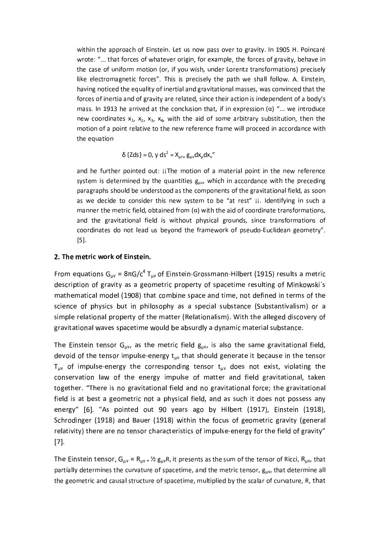within the approach of Einstein. Let us now pass over to gravity. In 1905 H. Poincaré wrote: "... that forces of whatever origin, for example, the forces of gravity, behave in the case of uniform motion (or, if you wish, under Lorentz transformations) precisely like electromagnetic forces". This is precisely the path we shall follow. A. Einstein, having noticed the equality of inertial and gravitational masses, was convinced that the forces of inertia and of gravity are related, since their action is independent of a body's mass. In 1913 he arrived at the conclusion that, if in expression ( $\alpha$ ) "... we introduce new coordinates  $x_1$ ,  $x_2$ ,  $x_3$ ,  $x_4$ , with the aid of some arbitrary substitution, then the motion of a point relative to the new reference frame will proceed in accordance with the equation

$$
\delta \{Zds\} = 0, \, y \, ds^2 = X_{\mu\nu} \, g_{\mu\nu} dx_{\mu} dx_{\nu}''
$$

and he further pointed out: jiThe motion of a material point in the new reference system is determined by the quantities  $g_{uv}$ , which in accordance with the preceding paragraphs should be understood as the components of the gravitational field, as soon as we decide to consider this new system to be "at rest" ji. Identifying in such a manner the metric field, obtained from  $(\alpha)$  with the aid of coordinate transformations, and the gravitational field is without physical grounds, since transformations of coordinates do not lead us beyond the framework of pseudo-Euclidean geometry".  $[5]$ .

### 2. The metric work of Einstein.

From equations  $G_{\mu\nu} = 8\pi G/c^4 T_{\mu\nu}$  of Einstein-Grossmann-Hilbert (1915) results a metric description of gravity as a geometric property of spacetime resulting of Minkowski's mathematical model (1908) that combine space and time, not defined in terms of the science of physics but in philosophy as a special substance (Substantivalism) or a simple relational property of the matter (Relationalism). With the alleged discovery of gravitational waves spacetime would be absurdly a dynamic material substance.

The Einstein tensor  $G_{\mu\nu}$ , as the metric field  $g_{\mu\nu}$ , is also the same gravitational field, devoid of the tensor impulse-energy  $t_{\mu\nu}$  that should generate it because in the tensor  $T_{uv}$  of impulse-energy the corresponding tensor  $t_{uv}$  does not exist, violating the conservation law of the energy impulse of matter and field gravitational, taken together. "There is no gravitational field and no gravitational force; the gravitational field is at best a geometric not a physical field, and as such it does not possess any energy" [6]. "As pointed out 90 years ago by Hilbert (1917), Einstein (1918), Schrodinger (1918) and Bauer (1918) within the focus of geometric gravity (general relativity) there are no tensor characteristics of impulse-energy for the field of gravity"  $[7]$ .

The Einstein tensor,  $G_{uv} = R_{uv} + \frac{1}{2} g_{uv}R$ , it presents as the sum of the tensor of Ricci,  $R_{uv}$ , that partially determines the curvature of spacetime, and the metric tensor,  $g_{\mu\nu}$ , that determine all the geometric and causal structure of spacetime, multiplied by the scalar of curvature, R, that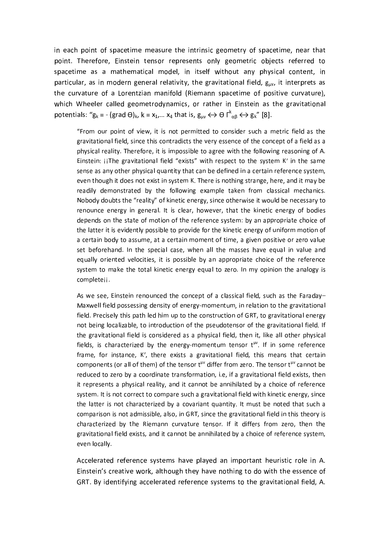in each point of spacetime measure the intrinsic geometry of spacetime, near that point. Therefore, Einstein tensor represents only geometric objects referred to spacetime as a mathematical model, in itself without any physical content, in particular, as in modern general relativity, the gravitational field, guv, it interprets as the curvature of a Lorentzian manifold (Riemann spacetime of positive curvature), which Wheeler called geometrodynamics, or rather in Einstein as the gravitational potentials: " $g_k = - (grad \Theta)_{k}$ ,  $k = x_1,... x_4$  that is,  $g_{uv} \leftrightarrow \Theta \Gamma^k{}_{\alpha\beta} \leftrightarrow g_k$ " [8].

"From our point of view, it is not permitted to consider such a metric field as the gravitational field, since this contradicts the very essence of the concept of a field as a physical reality. Therefore, it is impossible to agree with the following reasoning of A. Einstein: jiThe gravitational field "exists" with respect to the system K' in the same sense as any other physical quantity that can be defined in a certain reference system, even though it does not exist in system K. There is nothing strange, here, and it may be readily demonstrated by the following example taken from classical mechanics. Nobody doubts the "reality" of kinetic energy, since otherwise it would be necessary to renounce energy in general. It is clear, however, that the kinetic energy of bodies depends on the state of motion of the reference system: by an appropriate choice of the latter it is evidently possible to provide for the kinetic energy of uniform motion of a certain body to assume, at a certain moment of time, a given positive or zero value set beforehand. In the special case, when all the masses have equal in value and equally oriented velocities, it is possible by an appropriate choice of the reference system to make the total kinetic energy equal to zero. In my opinion the analogy is completeji.

As we see, Einstein renounced the concept of a classical field, such as the Faraday-Maxwell field possessing density of energy-momentum, in relation to the gravitational field. Precisely this path led him up to the construction of GRT, to gravitational energy not being localizable, to introduction of the pseudotensor of the gravitational field. If the gravitational field is considered as a physical field, then it, like all other physical fields, is characterized by the energy-momentum tensor t<sup>µv</sup>. If in some reference frame, for instance, K', there exists a gravitational field, this means that certain components (or all of them) of the tensor t<sup>uv</sup> differ from zero. The tensor t<sup>uv</sup> cannot be reduced to zero by a coordinate transformation, i.e, if a gravitational field exists, then it represents a physical reality, and it cannot be annihilated by a choice of reference system. It is not correct to compare such a gravitational field with kinetic energy, since the latter is not characterized by a covariant quantity. It must be noted that such a comparison is not admissible, also, in GRT, since the gravitational field in this theory is characterized by the Riemann curvature tensor. If it differs from zero, then the gravitational field exists, and it cannot be annihilated by a choice of reference system, even locally.

Accelerated reference systems have played an important heuristic role in A. Einstein's creative work, although they have nothing to do with the essence of GRT. By identifying accelerated reference systems to the gravitational field, A.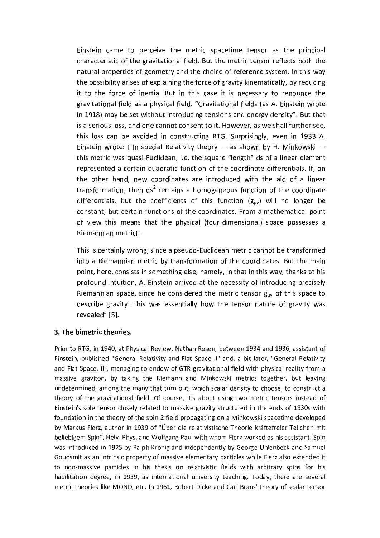Einstein came to perceive the metric spacetime tensor as the principal characteristic of the gravitational field. But the metric tensor reflects both the natural properties of geometry and the choice of reference system. In this way the possibility arises of explaining the force of gravity kinematically, by reducing it to the force of inertia. But in this case it is necessary to renounce the gravitational field as a physical field. "Gravitational fields (as A. Einstein wrote in 1918) may be set without introducing tensions and energy density". But that is a serious loss, and one cannot consent to it. However, as we shall further see, this loss can be avoided in constructing RTG. Surprisingly, even in 1933 A. Einstein wrote: iiln special Relativity theory  $-$  as shown by H. Minkowski  $$ this metric was quasi-Euclidean, i.e. the square "length" ds of a linear element represented a certain quadratic function of the coordinate differentials. If, on the other hand, new coordinates are introduced with the aid of a linear transformation, then ds<sup>2</sup> remains a homogeneous function of the coordinate differentials, but the coefficients of this function  $(g_{\mu\nu})$  will no longer be constant, but certain functions of the coordinates. From a mathematical point of view this means that the physical (four-dimensional) space possesses a Riemannian metricij.

This is certainly wrong, since a pseudo-Euclidean metric cannot be transformed into a Riemannian metric by transformation of the coordinates. But the main point, here, consists in something else, namely, in that in this way, thanks to his profound intuition, A. Einstein arrived at the necessity of introducing precisely Riemannian space, since he considered the metric tensor  $g_{\mu\nu}$  of this space to describe gravity. This was essentially how the tensor nature of gravity was revealed" [5].

## 3. The bimetric theories.

Prior to RTG, in 1940, at Physical Review, Nathan Rosen, between 1934 and 1936, assistant of Einstein, published "General Relativity and Flat Space. I" and, a bit later, "General Relativity and Flat Space. II", managing to endow of GTR gravitational field with physical reality from a massive graviton, by taking the Riemann and Minkowski metrics together, but leaving undetermined, among the many that turn out, which scalar density to choose, to construct a theory of the gravitational field. Of course, it's about using two metric tensors instead of Einstein's sole tensor closely related to massive gravity structured in the ends of 1930s with foundation in the theory of the spin-2 field propagating on a Minkowski spacetime developed by Markus Fierz, author in 1939 of "Über die relativistische Theorie kräftefreier Teilchen mit beliebigem Spin", Helv. Phys, and Wolfgang Paul with whom Fierz worked as his assistant. Spin was introduced in 1925 by Ralph Kronig and independently by George Uhlenbeck and Samuel Goudsmit as an intrinsic property of massive elementary particles while Fierz also extended it to non-massive particles in his thesis on relativistic fields with arbitrary spins for his habilitation degree, in 1939, as international university teaching. Today, there are several metric theories like MOND, etc. In 1961, Robert Dicke and Carl Brans' theory of scalar tensor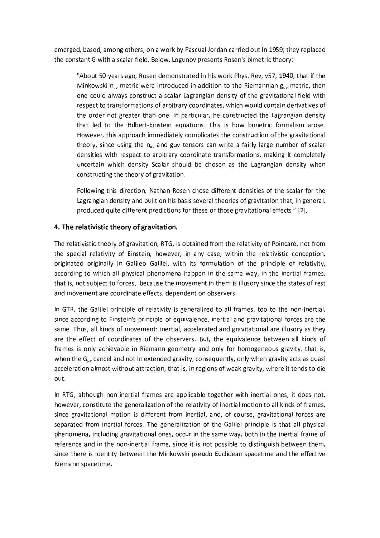emerged, based, among others, on a work by Pascual Jordan carried out in 1959; they replaced the constant G with a scalar field. Below, Logunov presents Rosen's bimetric theory:

"About 50 years ago, Rosen demonstrated in his work Phys. Rev, v57, 1940, that if the Minkowski  $n_{uv}$  metric were introduced in addition to the Riemannian  $g_{uv}$  metric, then one could always construct a scalar Lagrangian density of the gravitational field with respect to transformations of arbitrary coordinates, which would contain derivatives of the order not greater than one. In particular, he constructed the Lagrangian density that led to the Hilbert-Einstein equations. This is how bimetric formalism arose. However, this approach immediately complicates the construction of the gravitational theory, since using the  $n_{uv}$  and guv tensors can write a fairly large number of scalar densities with respect to arbitrary coordinate transformations, making it completely uncertain which density Scalar should be chosen as the Lagrangian density when constructing the theory of gravitation.

Following this direction, Nathan Rosen chose different densities of the scalar for the Lagrangian density and built on his basis several theories of gravitation that, in general, produced quite different predictions for these or those gravitational effects" [2].

### 4. The relativistic theory of gravitation.

The relativistic theory of gravitation, RTG, is obtained from the relativity of Poincaré, not from the special relativity of Einstein, however, in any case, within the relativistic conception, originated originally in Galileo Galilei, with its formulation of the principle of relativity, according to which all physical phenomena happen in the same way, in the inertial frames, that is, not subject to forces, because the movement in them is illusory since the states of rest and movement are coordinate effects, dependent on observers.

In GTR, the Galilei principle of relativity is generalized to all frames, too to the non-inertial, since according to Einstein's principle of equivalence, inertial and gravitational forces are the same. Thus, all kinds of movement: inertial, accelerated and gravitational are illusory as they are the effect of coordinates of the observers. But, the equivalence between all kinds of frames is only achievable in Riemann geometry and only for homogeneous gravity, that is, when the  $G_{uv}$  cancel and not in extended gravity, consequently, only when gravity acts as quasi acceleration almost without attraction, that is, in regions of weak gravity, where it tends to die out.

In RTG, although non-inertial frames are applicable together with inertial ones, it does not, however, constitute the generalization of the relativity of inertial motion to all kinds of frames, since gravitational motion is different from inertial, and, of course, gravitational forces are separated from inertial forces. The generalization of the Galilei principle is that all physical phenomena, including gravitational ones, occur in the same way, both in the inertial frame of reference and in the non-inertial frame, since it is not possible to distinguish between them, since there is identity between the Minkowski pseudo Euclidean spacetime and the effective Riemann spacetime.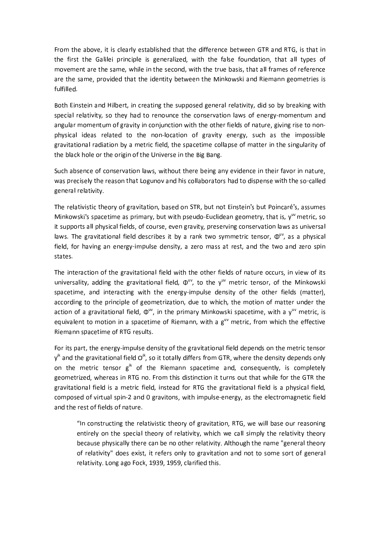From the above, it is clearly established that the difference between GTR and RTG, is that in the first the Galilei principle is generalized, with the false foundation, that all types of movement are the same, while in the second, with the true basis, that all frames of reference are the same, provided that the identity between the Minkowski and Riemann geometries is fulfilled.

Both Einstein and Hilbert, in creating the supposed general relativity, did so by breaking with special relativity, so they had to renounce the conservation laws of energy-momentum and angular momentum of gravity in conjunction with the other fields of nature, giving rise to nonphysical ideas related to the non-location of gravity energy, such as the impossible gravitational radiation by a metric field, the spacetime collapse of matter in the singularity of the black hole or the origin of the Universe in the Big Bang.

Such absence of conservation laws, without there being any evidence in their favor in nature, was precisely the reason that Logunov and his collaborators had to dispense with the so-called general relativity.

The relativistic theory of gravitation, based on STR, but not Einstein's but Poincaré's, assumes Minkowski's spacetime as primary, but with pseudo-Euclidean geometry, that is,  $y^{uv}$  metric, so it supports all physical fields, of course, even gravity, preserving conservation laws as universal laws. The gravitational field describes it by a rank two symmetric tensor,  $\Phi^{uv}$ , as a physical field, for having an energy-impulse density, a zero mass at rest, and the two and zero spin states.

The interaction of the gravitational field with the other fields of nature occurs, in view of its universality, adding the gravitational field,  $\Phi^{w}$ , to the  $y^{w}$  metric tensor, of the Minkowski spacetime, and interacting with the energy-impulse density of the other fields (matter), according to the principle of geometrization, due to which, the motion of matter under the action of a gravitational field,  $\Phi^{uv}$ , in the primary Minkowski spacetime, with a y<sup>uv</sup> metric, is equivalent to motion in a spacetime of Riemann, with a  $g<sup>w</sup>$  metric, from which the effective Riemann spacetime of RTG results.

For its part, the energy-impulse density of the gravitational field depends on the metric tensor  $v^k$  and the gravitational field  $O^k$ , so it totally differs from GTR, where the density depends only on the metric tensor g<sup>ik</sup> of the Riemann spacetime and, consequently, is completely geometrized, whereas in RTG no. From this distinction it turns out that while for the GTR the gravitational field is a metric field, instead for RTG the gravitational field is a physical field, composed of virtual spin-2 and 0 gravitons, with impulse-energy, as the electromagnetic field and the rest of fields of nature.

"In constructing the relativistic theory of gravitation, RTG, we will base our reasoning entirely on the special theory of relativity, which we call simply the relativity theory because physically there can be no other relativity. Although the name "general theory of relativity" does exist, it refers only to gravitation and not to some sort of general relativity. Long ago Fock, 1939, 1959, clarified this.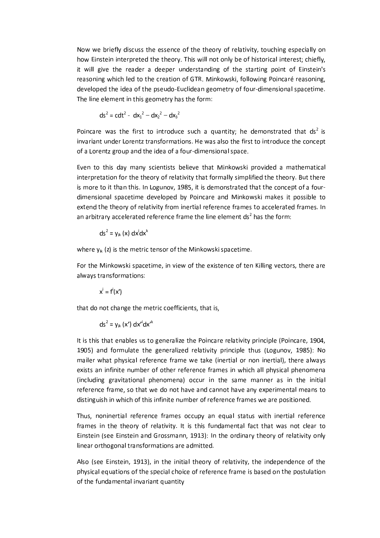Now we briefly discuss the essence of the theory of relativity, touching especially on how Einstein interpreted the theory. This will not only be of historical interest; chiefly, it will give the reader a deeper understanding of the starting point of Einstein's reasoning which led to the creation of GTR. Minkowski, following Poincaré reasoning, developed the idea of the pseudo-Euclidean geometry of four-dimensional spacetime. The line element in this geometry has the form:

$$
ds^{2} = cdt^{2} - dx_{1}^{2} - dx_{2}^{2} - dx_{3}^{2}
$$

Poincare was the first to introduce such a quantity; he demonstrated that  $ds^2$  is invariant under Lorentz transformations. He was also the first to introduce the concept of a Lorentz group and the idea of a four-dimensional space.

Even to this day many scientists believe that Minkowski provided a mathematical interpretation for the theory of relativity that formally simplified the theory. But there is more to it than this. In Logunov, 1985, it is demonstrated that the concept of a fourdimensional spacetime developed by Poincare and Minkowski makes it possible to extend the theory of relativity from inertial reference frames to accelerated frames. In an arbitrary accelerated reference frame the line element ds<sup>2</sup> has the form:

$$
ds^{2} = y_{ik}(x) dx^{i} dx^{k}
$$

where  $y_{ik}(z)$  is the metric tensor of the Minkowski spacetime.

For the Minkowski spacetime, in view of the existence of ten Killing vectors, there are always transformations:

$$
x^i = f^i(x^i)
$$

that do not change the metric coefficients, that is,

$$
ds^2 = y_{ik}(x') dx'^i dx'^k
$$

It is this that enables us to generalize the Poincare relativity principle (Poincare, 1904, 1905) and formulate the generalized relativity principle thus (Logunov, 1985): No mailer what physical reference frame we take (inertial or non inertial), there always exists an infinite number of other reference frames in which all physical phenomena (including gravitational phenomena) occur in the same manner as in the initial reference frame, so that we do not have and cannot have any experimental means to distinguish in which of this infinite number of reference frames we are positioned.

Thus, noninertial reference frames occupy an equal status with inertial reference frames in the theory of relativity. It is this fundamental fact that was not clear to Einstein (see Einstein and Grossmann, 1913): In the ordinary theory of relativity only linear orthogonal transformations are admitted.

Also (see Einstein, 1913), in the initial theory of relativity, the independence of the physical equations of the special choice of reference frame is based on the postulation of the fundamental invariant quantity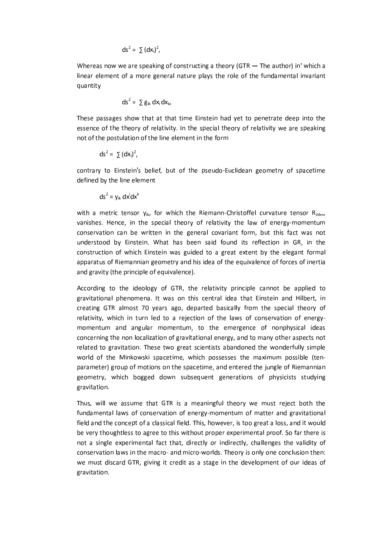$$
ds^2 = \sum (dx_i)^2,
$$

Whereas now we are speaking of constructing a theory (GTR  $-$  The author) in' which a linear element of a more general nature plays the role of the fundamental invariant quantity

$$
ds^2 = \sum g_{ik} dx_i dx_k,
$$

These passages show that at that time Einstein had yet to penetrate deep into the essence of the theory of relativity. In the special theory of relativity we are speaking not of the postulation of the line element in the form

$$
ds^2 = \sum (dx_i)^2,
$$

contrary to Einstein's belief, but of the pseudo-Euclidean geometry of spacetime defined by the line element

$$
ds^2 = y_{ik} dx^i dx^k
$$

with a metric tensor  $y_{ik}$ , for which the Riemann-Christoffel curvature tensor  $R_{\text{inim}}$ vanishes. Hence, in the special theory of relativity the law of energy-momentum conservation can be written in the general covariant form, but this fact was not understood by Einstein. What has been said found its reflection in GR, in the construction of which Einstein was guided to a great extent by the elegant formal apparatus of Riemannian geometry and his idea of the equivalence of forces of inertia and gravity (the principle of equivalence).

According to the ideology of GTR, the relativity principle cannot be applied to gravitational phenomena. It was on this central idea that Einstein and Hilbert, in creating GTR almost 70 years ago, departed basically from the special theory of relativity, which in turn led to a rejection of the laws of conservation of energymomentum and angular momentum, to the emergence of nonphysical ideas concerning the non localization of gravitational energy, and to many other aspects not related to gravitation. These two great scientists abandoned the wonderfully simple world of the Minkowski spacetime, which possesses the maximum possible (tenparameter) group of motions on the spacetime, and entered the jungle of Riemannian geometry, which bogged down subsequent generations of physicists studying gravitation.

Thus, will we assume that GTR is a meaningful theory we must reject both the fundamental laws of conservation of energy-momentum of matter and gravitational field and the concept of a classical field. This, however, is too great a loss, and it would be very thoughtless to agree to this without proper experimental proof. So far there is not a single experimental fact that, directly or indirectly, challenges the validity of conservation laws in the macro- and micro-worlds. Theory is only one conclusion then: we must discard GTR, giving it credit as a stage in the development of our ideas of gravitation.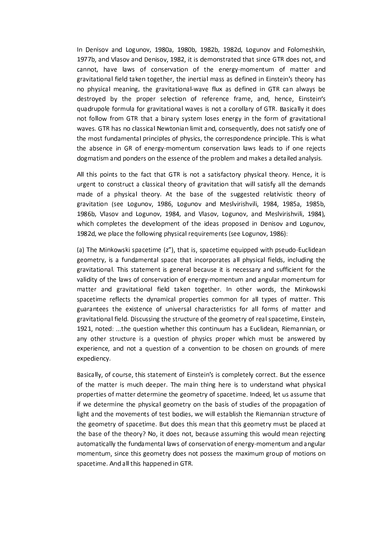In Denisov and Logunov, 1980a, 1980b, 1982b, 1982d, Logunov and Folomeshkin, 1977b, and Vlasov and Denisov, 1982, it is demonstrated that since GTR does not, and cannot, have laws of conservation of the energy-momentum of matter and gravitational field taken together, the inertial mass as defined in Einstein's theory has no physical meaning, the gravitational-wave flux as defined in GTR can always be destroyed by the proper selection of reference frame, and, hence, Einstein's quadrupole formula for gravitational waves is not a corollary of GTR. Basically it does not follow from GTR that a binary system loses energy in the form of gravitational waves. GTR has no classical Newtonian limit and, consequently, does not satisfy one of the most fundamental principles of physics, the correspondence principle. This is what the absence in GR of energy-momentum conservation laws leads to if one rejects dogmatism and ponders on the essence of the problem and makes a detailed analysis.

All this points to the fact that GTR is not a satisfactory physical theory. Hence, it is urgent to construct a classical theory of gravitation that will satisfy all the demands made of a physical theory. At the base of the suggested relativistic theory of gravitation (see Logunov, 1986, Logunov and Meslvirishvili, 1984, 1985a, 1985b, 1986b, Vlasov and Logunov, 1984, and Vlasov, Logunov, and Meslvirishvili, 1984), which completes the development of the ideas proposed in Denisov and Logunov, 1982d, we place the following physical requirements (see Logunov, 1986):

(a) The Minkowski spacetime (z"), that is, spacetime equipped with pseudo-Euclidean geometry, is a fundamental space that incorporates all physical fields, including the gravitational. This statement is general because it is necessary and sufficient for the validity of the laws of conservation of energy-momentum and angular momentum for matter and gravitational field taken together. In other words, the Minkowski spacetime reflects the dynamical properties common for all types of matter. This guarantees the existence of universal characteristics for all forms of matter and gravitational field. Discussing the structure of the geometry of real spacetime, Einstein, 1921, noted: ...the question whether this continuum has a Euclidean, Riemannian, or any other structure is a question of physics proper which must be answered by experience, and not a question of a convention to be chosen on grounds of mere expediency.

Basically, of course, this statement of Einstein's is completely correct. But the essence of the matter is much deeper. The main thing here is to understand what physical properties of matter determine the geometry of spacetime. Indeed, let us assume that if we determine the physical geometry on the basis of studies of the propagation of light and the movements of test bodies, we will establish the Riemannian structure of the geometry of spacetime. But does this mean that this geometry must be placed at the base of the theory? No, it does not, because assuming this would mean rejecting automatically the fundamental laws of conservation of energy-momentum and angular momentum, since this geometry does not possess the maximum group of motions on spacetime. And all this happened in GTR.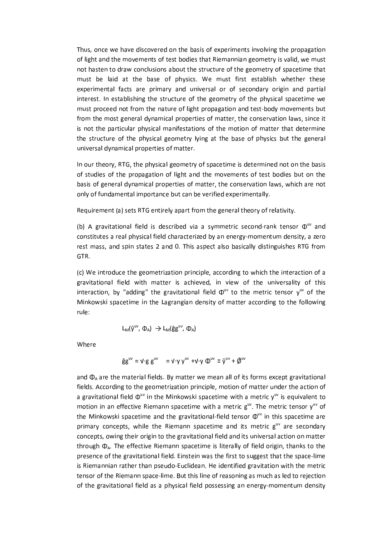Thus, once we have discovered on the basis of experiments involving the propagation of light and the movements of test bodies that Riemannian geometry is valid, we must not hasten to draw conclusions about the structure of the geometry of spacetime that must be laid at the base of physics. We must first establish whether these experimental facts are primary and universal or of secondary origin and partial interest. In establishing the structure of the geometry of the physical spacetime we must proceed not from the nature of light propagation and test-body movements but from the most general dynamical properties of matter, the conservation laws, since it is not the particular physical manifestations of the motion of matter that determine the structure of the physical geometry lying at the base of physics but the general universal dynamical properties of matter.

In our theory, RTG, the physical geometry of spacetime is determined not on the basis of studies of the propagation of light and the movements of test bodies but on the basis of general dynamical properties of matter, the conservation laws, which are not only of fundamental importance but can be verified experimentally.

Requirement (a) sets RTG entirely apart from the general theory of relativity.

(b) A gravitational field is described via a symmetric second-rank tensor  $\Phi^{uv}$  and constitutes a real physical field characterized by an energy-momentum density, a zero rest mass, and spin states 2 and 0. This aspect also basically distinguishes RTG from GTR.

(c) We introduce the geometrization principle, according to which the interaction of a gravitational field with matter is achieved, in view of the universality of this interaction, by "adding" the gravitational field  $\Phi^{uv}$  to the metric tensor  $y^{uv}$  of the Minkowski spacetime in the Lagrangian density of matter according to the following rule:

$$
L_M(\hat{y}^{uv}, \Phi_A) \rightarrow L_M(\hat{g}g^{uv}, \Phi_A)
$$

Where

$$
\hat{\mathbf{g}}\mathbf{g}^{\mathsf{uv}} = \mathbf{V} \mathbf{g} \mathbf{g}^{\mathsf{uv}} = \mathbf{V} \mathbf{y} \mathbf{y}^{\mathsf{uv}} + \mathbf{V} \mathbf{y} \mathbf{Q}^{\mathsf{uv}} \equiv \hat{\mathbf{y}}^{\mathsf{uv}} + \hat{\mathbf{Q}}^{\mathsf{uv}}
$$

and  $\Phi_A$  are the material fields. By matter we mean all of its forms except gravitational fields. According to the geometrization principle, motion of matter under the action of a gravitational field  $\Phi^{uv}$  in the Minkowski spacetime with a metric  $y^{uv}$  is equivalent to motion in an effective Riemann spacetime with a metric g<sup>uv</sup>. The metric tensor y<sup>uv</sup> of the Minkowski spacetime and the gravitational-field tensor  $\Phi^{uv}$  in this spacetime are primary concepts, while the Riemann spacetime and its metric guv are secondary concepts, owing their origin to the gravitational field and its universal action on matter through  $\Phi_A$ . The effective Riemann spacetime is literally of field origin, thanks to the presence of the gravitational field. Einstein was the first to suggest that the space-lime is Riemannian rather than pseudo-Euclidean. He identified gravitation with the metric tensor of the Riemann space-lime. But this line of reasoning as much as led to rejection of the gravitational field as a physical field possessing an energy-momentum density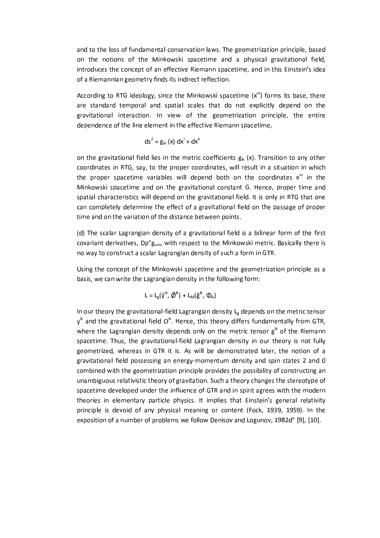and to the loss of fundamental conservation laws. The geometrization principle, based on the notions of the Minkowski spacetime and a physical gravitational field, introduces the concept of an effective Riemann spacetime, and in this Einstein's idea of a Riemannian geometry finds its indirect reflection.

According to RTG ideology, since the Minkowski spacetime  $(x<sup>m</sup>)$  forms its base, there are standard temporal and spatial scales that do not explicitly depend on the gravitational interaction. In view of the geometrization principle, the entire dependence of the line element in the effective Riemann spacetime,

$$
ds2 = gik (x) dxi + dxk
$$

on the gravitational field lies in the metric coefficients  $g_{ik}$  (x). Transition to any other coordinates in RTG, say, to the proper coordinates, will result in a situation in which the proper spacetime variables will depend both on the coordinates  $x^m$  in the Minkowski spacetime and on the gravitational constant G. Hence, proper time and spatial characteristics will depend on the gravitational field. It is only in RTG that one can completely determine the effect of a gravitational field on the passage of proper time and on the variation of the distance between points.

(d) The scalar Lagrangian density of a gravitational field is a bilinear form of the first covariant derivatives, Dp"g<sub>mn</sub>, with respect to the Minkowski metric. Basically there is no way to construct a scalar Lagrangian density of such a form in GTR.

Using the concept of the Minkowski spacetime and the geometrization principle as a basis, we can write the Lagrangian density in the following form:

$$
L = L_g(\hat{y}^{ik}, \hat{\phi}^{ik}) + L_M(\hat{g}^{ik}, \Phi_A)
$$

In our theory the gravitational-field Lagrangian density L<sub>e</sub> depends on the metric tensor  $y^{ik}$  and the gravitational field  $Q^{ik}$ . Hence, this theory differs fundamentally from GTR, where the Lagrangian density depends only on the metric tensor  $g<sup>ik</sup>$  of the Riemann spacetime. Thus, the gravitational-field Lagrangian density in our theory is not fully geometrized, whereas in GTR it is. As will be demonstrated later, the notion of a gravitational field possessing an energy-momentum density and spin states 2 and 0 combined with the geometrization principle provides the possibility of constructing an unambiguous relativistic theory of gravitation. Such a theory changes the stereotype of spacetime developed under the influence of GTR and in spirit agrees with the modern theories in elementary particle physics. It implies that Einstein's general relativity principle is devoid of any physical meaning or content (Fock, 1939, 1959). In the exposition of a number of problems we follow Denisov and Logunov, 1982d" [9], [10].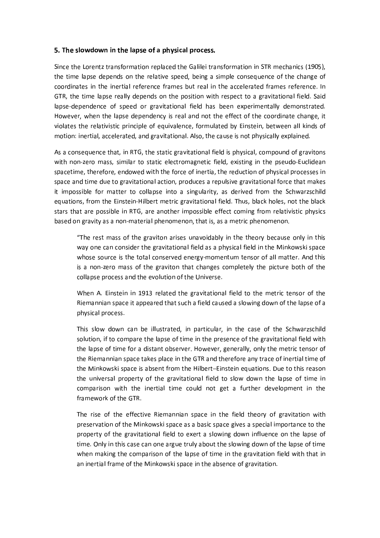#### 5. The slowdown in the lapse of a physical process.

Since the Lorentz transformation replaced the Galilei transformation in STR mechanics (1905), the time lapse depends on the relative speed, being a simple consequence of the change of coordinates in the inertial reference frames but real in the accelerated frames reference. In GTR, the time lapse really depends on the position with respect to a gravitational field. Said lapse-dependence of speed or gravitational field has been experimentally demonstrated. However, when the lapse dependency is real and not the effect of the coordinate change, it violates the relativistic principle of equivalence, formulated by Einstein, between all kinds of motion: inertial, accelerated, and gravitational. Also, the cause is not physically explained.

As a consequence that, in RTG, the static gravitational field is physical, compound of gravitons with non-zero mass, similar to static electromagnetic field, existing in the pseudo-Euclidean spacetime, therefore, endowed with the force of inertia, the reduction of physical processes in space and time due to gravitational action, produces a repulsive gravitational force that makes it impossible for matter to collapse into a singularity, as derived from the Schwarzschild equations, from the Einstein-Hilbert metric gravitational field. Thus, black holes, not the black stars that are possible in RTG, are another impossible effect coming from relativistic physics based on gravity as a non-material phenomenon, that is, as a metric phenomenon.

"The rest mass of the graviton arises unavoidably in the theory because only in this way one can consider the gravitational field as a physical field in the Minkowski space whose source is the total conserved energy-momentum tensor of all matter. And this is a non-zero mass of the graviton that changes completely the picture both of the collapse process and the evolution of the Universe.

When A. Einstein in 1913 related the gravitational field to the metric tensor of the Riemannian space it appeared that such a field caused a slowing down of the lapse of a physical process.

This slow down can be illustrated, in particular, in the case of the Schwarzschild solution, if to compare the lapse of time in the presence of the gravitational field with the lapse of time for a distant observer. However, generally, only the metric tensor of the Riemannian space takes place in the GTR and therefore any trace of inertial time of the Minkowski space is absent from the Hilbert-Einstein equations. Due to this reason the universal property of the gravitational field to slow down the lapse of time in comparison with the inertial time could not get a further development in the framework of the GTR.

The rise of the effective Riemannian space in the field theory of gravitation with preservation of the Minkowski space as a basic space gives a special importance to the property of the gravitational field to exert a slowing down influence on the lapse of time. Only in this case can one argue truly about the slowing down of the lapse of time when making the comparison of the lapse of time in the gravitation field with that in an inertial frame of the Minkowski space in the absence of gravitation.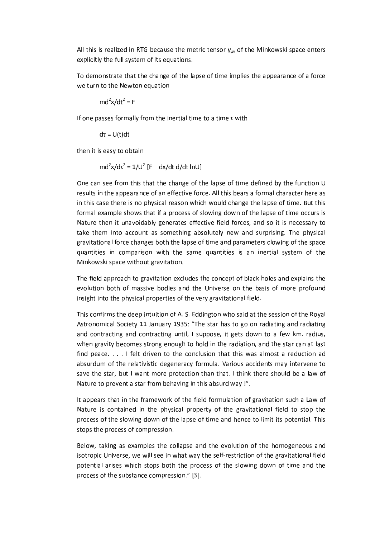All this is realized in RTG because the metric tensor  $\gamma_{uv}$  of the Minkowski space enters explicitly the full system of its equations.

To demonstrate that the change of the lapse of time implies the appearance of a force we turn to the Newton equation

$$
md^2x/dt^2 = F
$$

If one passes formally from the inertial time to a time  $\tau$  with

 $d\tau = U(t)dt$ 

then it is easy to obtain

$$
md^2x/d\tau^2 = 1/U^2 [F - dx/dt d/dt lnU]
$$

One can see from this that the change of the lapse of time defined by the function U results in the appearance of an effective force. All this bears a formal character here as in this case there is no physical reason which would change the lapse of time. But this formal example shows that if a process of slowing down of the lapse of time occurs is Nature then it unavoidably generates effective field forces, and so it is necessary to take them into account as something absolutely new and surprising. The physical gravitational force changes both the lapse of time and parameters clowing of the space quantities in comparison with the same quantities is an inertial system of the Minkowski space without gravitation.

The field approach to gravitation excludes the concept of black holes and explains the evolution both of massive bodies and the Universe on the basis of more profound insight into the physical properties of the very gravitational field.

This confirms the deep intuition of A. S. Eddington who said at the session of the Royal Astronomical Society 11 January 1935: "The star has to go on radiating and radiating and contracting and contracting until, I suppose, it gets down to a few km. radius, when gravity becomes strong enough to hold in the radiation, and the star can at last find peace. . . . I felt driven to the conclusion that this was almost a reduction ad absurdum of the relativistic degeneracy formula. Various accidents may intervene to save the star, but I want more protection than that. I think there should be a law of Nature to prevent a star from behaving in this absurd way!".

It appears that in the framework of the field formulation of gravitation such a Law of Nature is contained in the physical property of the gravitational field to stop the process of the slowing down of the lapse of time and hence to limit its potential. This stops the process of compression.

Below, taking as examples the collapse and the evolution of the homogeneous and isotropic Universe, we will see in what way the self-restriction of the gravitational field potential arises which stops both the process of the slowing down of time and the process of the substance compression." [3].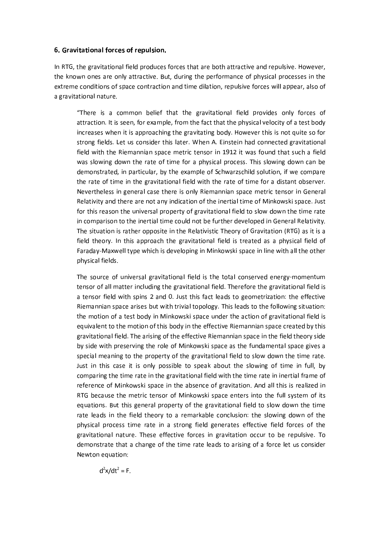#### 6. Gravitational forces of repulsion.

In RTG, the gravitational field produces forces that are both attractive and repulsive. However, the known ones are only attractive. But, during the performance of physical processes in the extreme conditions of space contraction and time dilation, repulsive forces will appear, also of a gravitational nature.

"There is a common belief that the gravitational field provides only forces of attraction. It is seen, for example, from the fact that the physical velocity of a test body increases when it is approaching the gravitating body. However this is not quite so for strong fields. Let us consider this later. When A. Einstein had connected gravitational field with the Riemannian space metric tensor in 1912 it was found that such a field was slowing down the rate of time for a physical process. This slowing down can be demonstrated, in particular, by the example of Schwarzschild solution, if we compare the rate of time in the gravitational field with the rate of time for a distant observer. Nevertheless in general case there is only Riemannian space metric tensor in General Relativity and there are not any indication of the inertial time of Minkowski space. Just for this reason the universal property of gravitational field to slow down the time rate in comparison to the inertial time could not be further developed in General Relativity. The situation is rather opposite in the Relativistic Theory of Gravitation (RTG) as it is a field theory. In this approach the gravitational field is treated as a physical field of Faraday-Maxwell type which is developing in Minkowski space in line with all the other physical fields.

The source of universal gravitational field is the total conserved energy-momentum tensor of all matter including the gravitational field. Therefore the gravitational field is a tensor field with spins 2 and 0. Just this fact leads to geometrization: the effective Riemannian space arises but with trivial topology. This leads to the following situation: the motion of a test body in Minkowski space under the action of gravitational field is equivalent to the motion of this body in the effective Riemannian space created by this gravitational field. The arising of the effective Riemannian space in the field theory side by side with preserving the role of Minkowski space as the fundamental space gives a special meaning to the property of the gravitational field to slow down the time rate. Just in this case it is only possible to speak about the slowing of time in full, by comparing the time rate in the gravitational field with the time rate in inertial frame of reference of Minkowski space in the absence of gravitation. And all this is realized in RTG because the metric tensor of Minkowski space enters into the full system of its equations. But this general property of the gravitational field to slow down the time rate leads in the field theory to a remarkable conclusion: the slowing down of the physical process time rate in a strong field generates effective field forces of the gravitational nature. These effective forces in gravitation occur to be repulsive. To demonstrate that a change of the time rate leads to arising of a force let us consider Newton equation:

 $d^{2}x/dt^{2} = F.$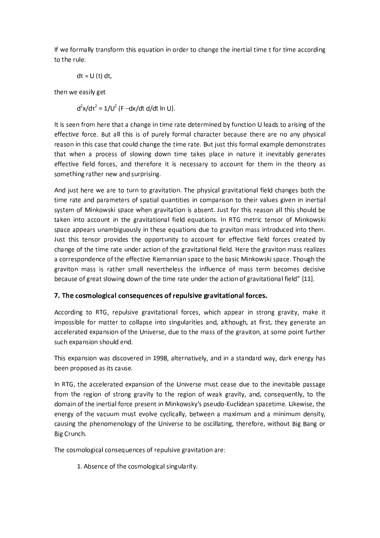If we formally transform this equation in order to change the inertial time t for time according to the rule:

$$
d\tau = U(t) dt,
$$

then we easily get

 $d^{2}x/d\tau^{2} = 1/U^{2}$  (F -dx/dt d/dt ln U).

It is seen from here that a change in time rate determined by function U leads to arising of the effective force. But all this is of purely formal character because there are no any physical reason in this case that could change the time rate. But just this formal example demonstrates that when a process of slowing down time takes place in nature it inevitably generates effective field forces, and therefore it is necessary to account for them in the theory as something rather new and surprising.

And just here we are to turn to gravitation. The physical gravitational field changes both the time rate and parameters of spatial quantities in comparison to their values given in inertial system of Minkowski space when gravitation is absent. Just for this reason all this should be taken into account in the gravitational field equations. In RTG metric tensor of Minkowski space appears unambiguously in these equations due to graviton mass introduced into them. Just this tensor provides the opportunity to account for effective field forces created by change of the time rate under action of the gravitational field. Here the graviton mass realizes a correspondence of the effective Riemannian space to the basic Minkowski space. Though the graviton mass is rather small nevertheless the influence of mass term becomes decisive because of great slowing down of the time rate under the action of gravitational field" [11].

## 7. The cosmological consequences of repulsive gravitational forces.

According to RTG, repulsive gravitational forces, which appear in strong gravity, make it impossible for matter to collapse into singularities and, although, at first, they generate an accelerated expansion of the Universe, due to the mass of the graviton, at some point further such expansion should end.

This expansion was discovered in 1998, alternatively, and in a standard way, dark energy has been proposed as its cause.

In RTG, the accelerated expansion of the Universe must cease due to the inevitable passage from the region of strong gravity to the region of weak gravity, and, consequently, to the domain of the inertial force present in Minkowsky's pseudo-Euclidean spacetime. Likewise, the energy of the vacuum must evolve cyclically, between a maximum and a minimum density, causing the phenomenology of the Universe to be oscillating, therefore, without Big Bang or Big Crunch.

The cosmological consequences of repulsive gravitation are:

1. Absence of the cosmological singularity.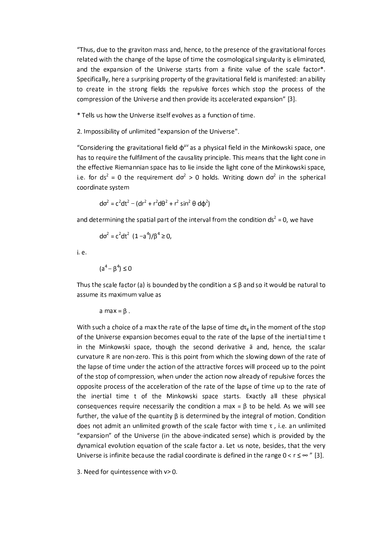"Thus, due to the graviton mass and, hence, to the presence of the gravitational forces related with the change of the lapse of time the cosmological singularity is eliminated, and the expansion of the Universe starts from a finite value of the scale factor\*. Specifically, here a surprising property of the gravitational field is manifested: an ability to create in the strong fields the repulsive forces which stop the process of the compression of the Universe and then provide its accelerated expansion" [3].

\* Tells us how the Universe itself evolves as a function of time.

2. Impossibility of unlimited "expansion of the Universe".

"Considering the gravitational field  $\phi^{\mu\nu}$  as a physical field in the Minkowski space, one has to require the fulfilment of the causality principle. This means that the light cone in the effective Riemannian space has to lie inside the light cone of the Minkowski space, i.e. for  $ds^2 = 0$  the requirement  $d\sigma^2 > 0$  holds. Writing down  $d\sigma^2$  in the spherical coordinate system

$$
d\sigma^2 = c^2 dt^2 - (dr^2 + r^2 d\theta^2 + r^2 \sin^2 \theta d\phi^2)
$$

and determining the spatial part of the interval from the condition  $ds^2 = 0$ , we have

$$
d\sigma^2 = c^2 dt^2 (1 - a^4)/\beta^4 \ge 0,
$$

i. e.

 $(a^4 - \beta^4) \le 0$ 

Thus the scale factor (a) is bounded by the condition  $a \leq \beta$  and so it would be natural to assume its maximum value as

 $a$  max =  $\beta$ .

With such a choice of a max the rate of the lapse of time  $d\tau_{e}$  in the moment of the stop of the Universe expansion becomes equal to the rate of the lapse of the inertial time t in the Minkowski space, though the second derivative ä and, hence, the scalar curvature R are non-zero. This is this point from which the slowing down of the rate of the lapse of time under the action of the attractive forces will proceed up to the point of the stop of compression, when under the action now already of repulsive forces the opposite process of the acceleration of the rate of the lapse of time up to the rate of the inertial time t of the Minkowski space starts. Exactly all these physical consequences require necessarily the condition a max =  $\beta$  to be held. As we will see further, the value of the quantity  $\beta$  is determined by the integral of motion. Condition does not admit an unlimited growth of the scale factor with time  $\tau$ , i.e. an unlimited "expansion" of the Universe (in the above-indicated sense) which is provided by the dynamical evolution equation of the scale factor a. Let us note, besides, that the very Universe is infinite because the radial coordinate is defined in the range  $0 < r \leq \infty$  " [3].

3. Need for quintessence with v> 0.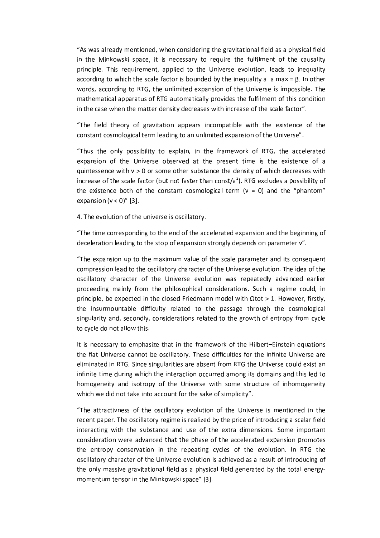"As was already mentioned, when considering the gravitational field as a physical field in the Minkowski space, it is necessary to require the fulfilment of the causality principle. This requirement, applied to the Universe evolution, leads to inequality according to which the scale factor is bounded by the inequality a a max =  $\beta$ . In other words, according to RTG, the unlimited expansion of the Universe is impossible. The mathematical apparatus of RTG automatically provides the fulfilment of this condition in the case when the matter density decreases with increase of the scale factor".

"The field theory of gravitation appears incompatible with the existence of the constant cosmological term leading to an unlimited expansion of the Universe".

"Thus the only possibility to explain, in the framework of RTG, the accelerated expansion of the Universe observed at the present time is the existence of a quintessence with  $v > 0$  or some other substance the density of which decreases with increase of the scale factor (but not faster than const/a<sup>2</sup>). RTG excludes a possibility of the existence both of the constant cosmological term ( $v = 0$ ) and the "phantom" expansion  $(v < 0)$ " [3].

4. The evolution of the universe is oscillatory.

"The time corresponding to the end of the accelerated expansion and the beginning of deceleration leading to the stop of expansion strongly depends on parameter v".

"The expansion up to the maximum value of the scale parameter and its consequent compression lead to the oscillatory character of the Universe evolution. The idea of the oscillatory character of the Universe evolution was repeatedly advanced earlier proceeding mainly from the philosophical considerations. Such a regime could, in principle, be expected in the closed Friedmann model with  $\Omega$ tot > 1. However, firstly, the insurmountable difficulty related to the passage through the cosmological singularity and, secondly, considerations related to the growth of entropy from cycle to cycle do not allow this.

It is necessary to emphasize that in the framework of the Hilbert-Einstein equations the flat Universe cannot be oscillatory. These difficulties for the infinite Universe are eliminated in RTG. Since singularities are absent from RTG the Universe could exist an infinite time during which the interaction occurred among its domains and this led to homogeneity and isotropy of the Universe with some structure of inhomogeneity which we did not take into account for the sake of simplicity".

"The attractivness of the oscillatory evolution of the Universe is mentioned in the recent paper. The oscillatory regime is realized by the price of introducing a scalar field interacting with the substance and use of the extra dimensions. Some important consideration were advanced that the phase of the accelerated expansion promotes the entropy conservation in the repeating cycles of the evolution. In RTG the oscillatory character of the Universe evolution is achieved as a result of introducing of the only massive gravitational field as a physical field generated by the total energymomentum tensor in the Minkowski space" [3].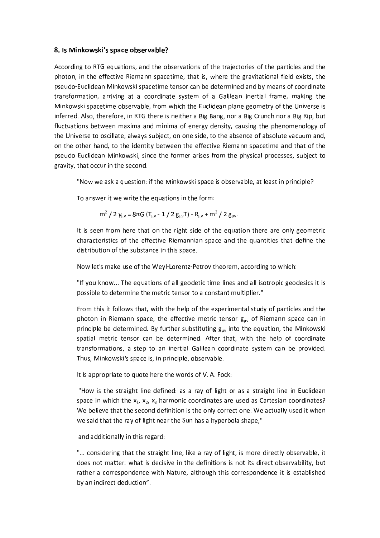#### 8. Is Minkowski's space observable?

According to RTG equations, and the observations of the trajectories of the particles and the photon, in the effective Riemann spacetime, that is, where the gravitational field exists, the pseudo-Euclidean Minkowski spacetime tensor can be determined and by means of coordinate transformation, arriving at a coordinate system of a Galilean inertial frame, making the Minkowski spacetime observable, from which the Euclidean plane geometry of the Universe is inferred. Also, therefore, in RTG there is neither a Big Bang, nor a Big Crunch nor a Big Rip, but fluctuations between maxima and minima of energy density, causing the phenomenology of the Universe to oscillate, always subject, on one side, to the absence of absolute vacuum and, on the other hand, to the identity between the effective Riemann spacetime and that of the pseudo Euclidean Minkowski, since the former arises from the physical processes, subject to gravity, that occur in the second.

"Now we ask a question: if the Minkowski space is observable, at least in principle?

To answer it we write the equations in the form:

$$
m^2 / 2
$$
  $\gamma_{\mu\nu} = 8\pi G (T_{\mu\nu} - 1 / 2 g_{\mu\nu}T) - R_{\mu\nu} + m^2 / 2 g_{\mu\nu}$ 

It is seen from here that on the right side of the equation there are only geometric characteristics of the effective Riemannian space and the quantities that define the distribution of the substance in this space.

Now let's make use of the Weyl-Lorentz-Petrov theorem, according to which:

"If you know... The equations of all geodetic time lines and all isotropic geodesics it is possible to determine the metric tensor to a constant multiplier."

From this it follows that, with the help of the experimental study of particles and the photon in Riemann space, the effective metric tensor guv of Riemann space can in principle be determined. By further substituting  $g_{\mu\nu}$  into the equation, the Minkowski spatial metric tensor can be determined. After that, with the help of coordinate transformations, a step to an inertial Galilean coordinate system can be provided. Thus, Minkowski's space is, in principle, observable.

It is appropriate to quote here the words of V. A. Fock:

"How is the straight line defined: as a ray of light or as a straight line in Euclidean space in which the  $x_1$ ,  $x_2$ ,  $x_3$  harmonic coordinates are used as Cartesian coordinates? We believe that the second definition is the only correct one. We actually used it when we said that the ray of light near the Sun has a hyperbola shape,"

and additionally in this regard:

"... considering that the straight line, like a ray of light, is more directly observable, it does not matter: what is decisive in the definitions is not its direct observability, but rather a correspondence with Nature, although this correspondence it is established by an indirect deduction".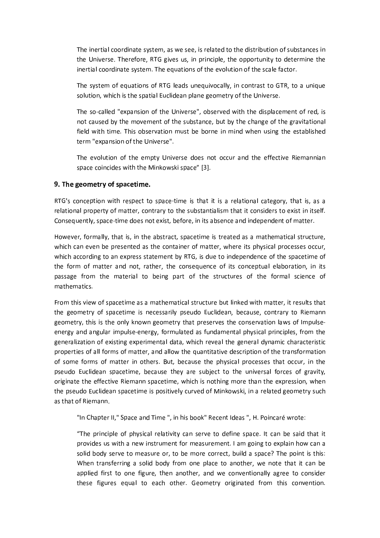The inertial coordinate system, as we see, is related to the distribution of substances in the Universe. Therefore, RTG gives us, in principle, the opportunity to determine the inertial coordinate system. The equations of the evolution of the scale factor.

The system of equations of RTG leads unequivocally, in contrast to GTR, to a unique solution, which is the spatial Euclidean plane geometry of the Universe.

The so-called "expansion of the Universe", observed with the displacement of red, is not caused by the movement of the substance, but by the change of the gravitational field with time. This observation must be borne in mind when using the established term "expansion of the Universe".

The evolution of the empty Universe does not occur and the effective Riemannian space coincides with the Minkowski space" [3].

### 9. The geometry of spacetime.

RTG's conception with respect to space-time is that it is a relational category, that is, as a relational property of matter, contrary to the substantialism that it considers to exist in itself. Consequently, space-time does not exist, before, in its absence and independent of matter.

However, formally, that is, in the abstract, spacetime is treated as a mathematical structure, which can even be presented as the container of matter, where its physical processes occur, which according to an express statement by RTG, is due to independence of the spacetime of the form of matter and not, rather, the consequence of its conceptual elaboration, in its passage from the material to being part of the structures of the formal science of mathematics.

From this view of spacetime as a mathematical structure but linked with matter, it results that the geometry of spacetime is necessarily pseudo Euclidean, because, contrary to Riemann geometry, this is the only known geometry that preserves the conservation laws of Impulseenergy and angular impulse-energy, formulated as fundamental physical principles, from the generalization of existing experimental data, which reveal the general dynamic characteristic properties of all forms of matter, and allow the quantitative description of the transformation of some forms of matter in others. But, because the physical processes that occur, in the pseudo Euclidean spacetime, because they are subject to the universal forces of gravity, originate the effective Riemann spacetime, which is nothing more than the expression, when the pseudo Euclidean spacetime is positively curved of Minkowski, in a related geometry such as that of Riemann.

"In Chapter II," Space and Time ", in his book" Recent Ideas ", H. Poincaré wrote:

"The principle of physical relativity can serve to define space. It can be said that it provides us with a new instrument for measurement. I am going to explain how can a solid body serve to measure or, to be more correct, build a space? The point is this: When transferring a solid body from one place to another, we note that it can be applied first to one figure, then another, and we conventionally agree to consider these figures equal to each other. Geometry originated from this convention.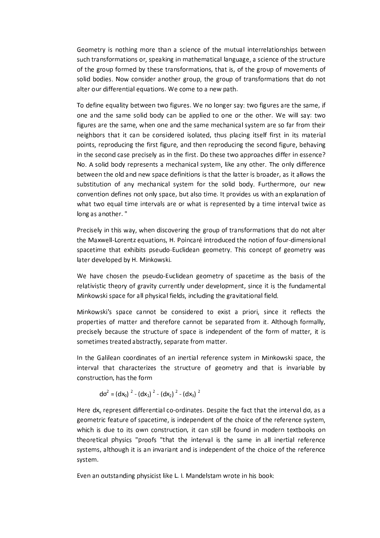Geometry is nothing more than a science of the mutual interrelationships between such transformations or, speaking in mathematical language, a science of the structure of the group formed by these transformations, that is, of the group of movements of solid bodies. Now consider another group, the group of transformations that do not alter our differential equations. We come to a new path.

To define equality between two figures. We no longer say: two figures are the same, if one and the same solid body can be applied to one or the other. We will say: two figures are the same, when one and the same mechanical system are so far from their neighbors that it can be considered isolated, thus placing itself first in its material points, reproducing the first figure, and then reproducing the second figure, behaving in the second case precisely as in the first. Do these two approaches differ in essence? No. A solid body represents a mechanical system, like any other. The only difference between the old and new space definitions is that the latter is broader, as it allows the substitution of any mechanical system for the solid body. Furthermore, our new convention defines not only space, but also time. It provides us with an explanation of what two equal time intervals are or what is represented by a time interval twice as long as another."

Precisely in this way, when discovering the group of transformations that do not alter the Maxwell-Lorentz equations, H. Poincaré introduced the notion of four-dimensional spacetime that exhibits pseudo-Euclidean geometry. This concept of geometry was later developed by H. Minkowski.

We have chosen the pseudo-Euclidean geometry of spacetime as the basis of the relativistic theory of gravity currently under development, since it is the fundamental Minkowski space for all physical fields, including the gravitational field.

Minkowski's space cannot be considered to exist a priori, since it reflects the properties of matter and therefore cannot be separated from it. Although formally, precisely because the structure of space is independent of the form of matter, it is sometimes treated abstractly, separate from matter.

In the Galilean coordinates of an inertial reference system in Minkowski space, the interval that characterizes the structure of geometry and that is invariable by construction, has the form

$$
d\sigma^2 = (dx_0)^2 - (dx_1)^2 - (dx_2)^2 - (dx_3)^2
$$

Here dx<sub>y</sub> represent differential co-ordinates. Despite the fact that the interval do, as a geometric feature of spacetime, is independent of the choice of the reference system, which is due to its own construction, it can still be found in modern textbooks on theoretical physics "proofs "that the interval is the same in all inertial reference systems, although it is an invariant and is independent of the choice of the reference system.

Even an outstanding physicist like L. I. Mandelstam wrote in his book: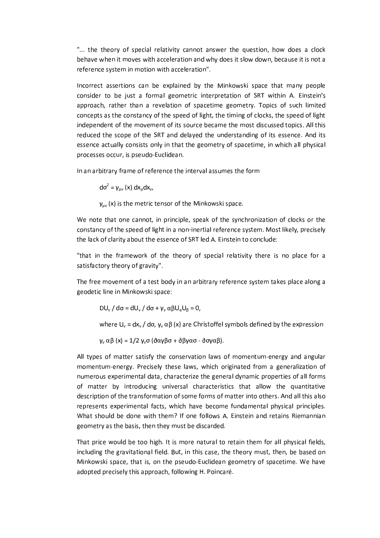"... the theory of special relativity cannot answer the question, how does a clock behave when it moves with acceleration and why does it slow down, because it is not a reference system in motion with acceleration".

Incorrect assertions can be explained by the Minkowski space that many people consider to be just a formal geometric interpretation of SRT within A. Einstein's approach, rather than a revelation of spacetime geometry. Topics of such limited concepts as the constancy of the speed of light, the timing of clocks, the speed of light independent of the movement of its source became the most discussed topics. All this reduced the scope of the SRT and delayed the understanding of its essence. And its essence actually consists only in that the geometry of spacetime, in which all physical processes occur, is pseudo-Euclidean.

In an arbitrary frame of reference the interval assumes the form

 $d\sigma^2 = \gamma_{uv}(x) dx_u dx_v$ 

 $y_{uv}$  (x) is the metric tensor of the Minkowski space.

We note that one cannot, in principle, speak of the synchronization of clocks or the constancy of the speed of light in a non-inertial reference system. Most likely, precisely the lack of clarity about the essence of SRT led A. Einstein to conclude:

"that in the framework of the theory of special relativity there is no place for a satisfactory theory of gravity".

The free movement of a test body in an arbitrary reference system takes place along a geodetic line in Minkowski space:

DU<sub>v</sub> / d $\sigma$  = dU<sub>v</sub> / d $\sigma$  +  $\gamma_v$   $\alpha \beta U_\alpha U_\beta$  = 0,

where  $U_v = dx_v / d\sigma$ ,  $\gamma_v \alpha \beta$  (x) are Christoffel symbols defined by the expression

 $γ<sub>ν</sub> αβ (x) = 1/2 γ<sub>ν</sub>σ (δαγβσ + δβγασ - δσγαβ).$ 

All types of matter satisfy the conservation laws of momentum-energy and angular momentum-energy. Precisely these laws, which originated from a generalization of numerous experimental data, characterize the general dynamic properties of all forms of matter by introducing universal characteristics that allow the quantitative description of the transformation of some forms of matter into others. And all this also represents experimental facts, which have become fundamental physical principles. What should be done with them? If one follows A. Einstein and retains Riemannian geometry as the basis, then they must be discarded.

That price would be too high. It is more natural to retain them for all physical fields, including the gravitational field. But, in this case, the theory must, then, be based on Minkowski space, that is, on the pseudo-Euclidean geometry of spacetime. We have adopted precisely this approach, following H. Poincaré.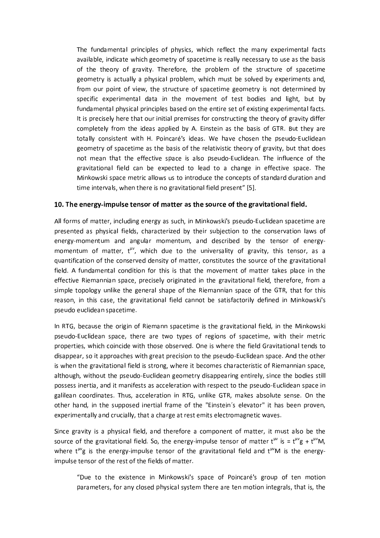The fundamental principles of physics, which reflect the many experimental facts available, indicate which geometry of spacetime is really necessary to use as the basis of the theory of gravity. Therefore, the problem of the structure of spacetime geometry is actually a physical problem, which must be solved by experiments and, from our point of view, the structure of spacetime geometry is not determined by specific experimental data in the movement of test bodies and light, but by fundamental physical principles based on the entire set of existing experimental facts. It is precisely here that our initial premises for constructing the theory of gravity differ completely from the ideas applied by A. Einstein as the basis of GTR. But they are totally consistent with H. Poincaré's ideas. We have chosen the pseudo-Euclidean geometry of spacetime as the basis of the relativistic theory of gravity, but that does not mean that the effective space is also pseudo-Euclidean. The influence of the gravitational field can be expected to lead to a change in effective space. The Minkowski space metric allows us to introduce the concepts of standard duration and time intervals, when there is no gravitational field present" [5].

#### 10. The energy-impulse tensor of matter as the source of the gravitational field.

All forms of matter, including energy as such, in Minkowski's pseudo-Euclidean spacetime are presented as physical fields, characterized by their subjection to the conservation laws of energy-momentum and angular momentum, and described by the tensor of energymomentum of matter, t<sup>w</sup>, which due to the universality of gravity, this tensor, as a quantification of the conserved density of matter, constitutes the source of the gravitational field. A fundamental condition for this is that the movement of matter takes place in the effective Riemannian space, precisely originated in the gravitational field, therefore, from a simple topology unlike the general shape of the Riemannian space of the GTR, that for this reason, in this case, the gravitational field cannot be satisfactorily defined in Minkowski's pseudo euclidean spacetime.

In RTG, because the origin of Riemann spacetime is the gravitational field, in the Minkowski pseudo-Euclidean space, there are two types of regions of spacetime, with their metric properties, which coincide with those observed. One is where the field Gravitational tends to disappear, so it approaches with great precision to the pseudo-Euclidean space. And the other is when the gravitational field is strong, where it becomes characteristic of Riemannian space, although, without the pseudo-Euclidean geometry disappearing entirely, since the bodies still possess inertia, and it manifests as acceleration with respect to the pseudo-Euclidean space in galilean coordinates. Thus, acceleration in RTG, unlike GTR, makes absolute sense. On the other hand, in the supposed inertial frame of the "Einstein's elevator" it has been proven, experimentally and crucially, that a charge at rest emits electromagnetic waves.

Since gravity is a physical field, and therefore a component of matter, it must also be the source of the gravitational field. So, the energy-impulse tensor of matter  $t^{\mu\nu}$  is =  $t^{\mu\nu}g + t^{\mu\nu}M$ , where  $t^{\mu\nu}g$  is the energy-impulse tensor of the gravitational field and  $t^{\mu\nu}M$  is the energyimpulse tensor of the rest of the fields of matter.

"Due to the existence in Minkowski's space of Poincaré's group of ten motion parameters, for any closed physical system there are ten motion integrals, that is, the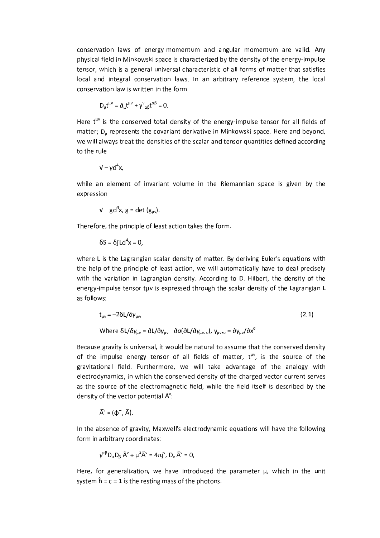conservation laws of energy-momentum and angular momentum are valid. Any physical field in Minkowski space is characterized by the density of the energy-impulse tensor, which is a general universal characteristic of all forms of matter that satisfies local and integral conservation laws. In an arbitrary reference system, the local conservation law is written in the form

$$
D_{\mu}t^{\mu\nu} = \partial_{\mu}t^{\mu\nu} + \gamma^{\nu}{}_{\alpha\beta}t^{\alpha\beta} = 0
$$

Here t<sup>w</sup> is the conserved total density of the energy-impulse tensor for all fields of matter;  $D_u$  represents the covariant derivative in Minkowski space. Here and beyond, we will always treat the densities of the scalar and tensor quantities defined according to the rule

$$
v - \gamma d^4 x,
$$

while an element of invariant volume in the Riemannian space is given by the expression

$$
\mathsf{v}-\mathsf{gd}^4\mathsf{x},\,\mathsf{g}=\mathsf{det}\,(\mathsf{g}_{\mu\nu}).
$$

Therefore, the principle of least action takes the form.

$$
\delta S = \delta \int L d^4 x = 0,
$$

where L is the Lagrangian scalar density of matter. By deriving Euler's equations with the help of the principle of least action, we will automatically have to deal precisely with the variation in Lagrangian density. According to D. Hilbert, the density of the energy-impulse tensor tuv is expressed through the scalar density of the Lagrangian L as follows:

$$
t_{\mu\nu} = -2\delta L/\delta \gamma_{\mu\nu},
$$
\nWhere  $\delta L/\delta \gamma_{\mu\nu} = \frac{\partial L}{\partial \gamma_{\mu\nu} - \partial \sigma (\partial L/\partial \gamma_{\mu\nu, \sigma})}$ ,  $\gamma_{\mu\nu\sigma} = \frac{\partial \gamma_{\mu\nu}}{\partial x^{\sigma}}$ 

\n(2.1)

Because gravity is universal, it would be natural to assume that the conserved density of the impulse energy tensor of all fields of matter,  $t^{\mu\nu}$ , is the source of the gravitational field. Furthermore, we will take advantage of the analogy with electrodynamics, in which the conserved density of the charged vector current serves as the source of the electromagnetic field, while the field itself is described by the density of the vector potential  $\tilde{A}^v$ :

$$
\tilde{A}^{\vee} = (\varphi^{\sim}, \tilde{A}).
$$

In the absence of gravity, Maxwell's electrodynamic equations will have the following form in arbitrary coordinates:

$$
\gamma^{\alpha\beta}D_{\alpha}D_{\beta}\tilde{A}^{\nu} + \mu^2\tilde{A}^{\nu} = 4\pi j^{\nu}, D_{\nu}\tilde{A}^{\nu} = 0,
$$

Here, for generalization, we have introduced the parameter  $\mu$ , which in the unit system  $\hat{h} = c = 1$  is the resting mass of the photons.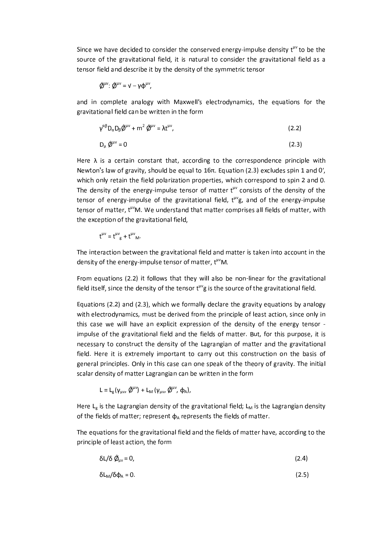Since we have decided to consider the conserved energy-impulse density t<sup>uv</sup> to be the source of the gravitational field, it is natural to consider the gravitational field as a tensor field and describe it by the density of the symmetric tensor

$$
\tilde{\textbf{Q}}^{\mu\nu}\colon \tilde{\textbf{Q}}^{\mu\nu}=\textbf{V}-\gamma\varphi^{\mu\nu},
$$

and in complete analogy with Maxwell's electrodynamics, the equations for the gravitational field can be written in the form

$$
\gamma^{\alpha\beta}D_{\alpha}D_{\beta}\hat{\varnothing}^{\mu\nu} + m^2\hat{\varnothing}^{\mu\nu} = \lambda t^{\mu\nu},\tag{2.2}
$$

$$
D_{\mu} \hat{\phi}^{\mu\nu} = 0 \tag{2.3}
$$

Here  $\lambda$  is a certain constant that, according to the correspondence principle with Newton's law of gravity, should be equal to 16π. Equation (2.3) excludes spin 1 and 0', which only retain the field polarization properties, which correspond to spin 2 and 0. The density of the energy-impulse tensor of matter  $t^{\mu\nu}$  consists of the density of the tensor of energy-impulse of the gravitational field, t<sup>µv</sup>g, and of the energy-impulse tensor of matter, t<sup>w</sup>M. We understand that matter comprises all fields of matter, with the exception of the gravitational field,

$$
t^{\mu\nu} = t^{\mu\nu}_{g} + t^{\mu\nu}_{M}.
$$

The interaction between the gravitational field and matter is taken into account in the density of the energy-impulse tensor of matter, t<sup>uv</sup>M.

From equations (2.2) it follows that they will also be non-linear for the gravitational field itself, since the density of the tensor t<sup>uv</sup>g is the source of the gravitational field.

Equations (2.2) and (2.3), which we formally declare the gravity equations by analogy with electrodynamics, must be derived from the principle of least action, since only in this case we will have an explicit expression of the density of the energy tensor impulse of the gravitational field and the fields of matter. But, for this purpose, it is necessary to construct the density of the Lagrangian of matter and the gravitational field. Here it is extremely important to carry out this construction on the basis of general principles. Only in this case can one speak of the theory of gravity. The initial scalar density of matter Lagrangian can be written in the form

$$
L = L_{g}(\gamma_{\mu\nu}, \tilde{\mathcal{Q}}^{\mu\nu}) + L_{M}(\gamma_{\mu\nu}, \tilde{\mathcal{Q}}^{\mu\nu}, \varphi_{A}),
$$

Here  $L_g$  is the Lagrangian density of the gravitational field;  $L_M$  is the Lagrangian density of the fields of matter; represent  $\phi_A$  represents the fields of matter.

The equations for the gravitational field and the fields of matter have, according to the principle of least action, the form

$$
\delta L/\delta \hat{\phi}_{\mu\nu} = 0, \tag{2.4}
$$

$$
\delta L_M / \delta \varphi_A = 0. \tag{2.5}
$$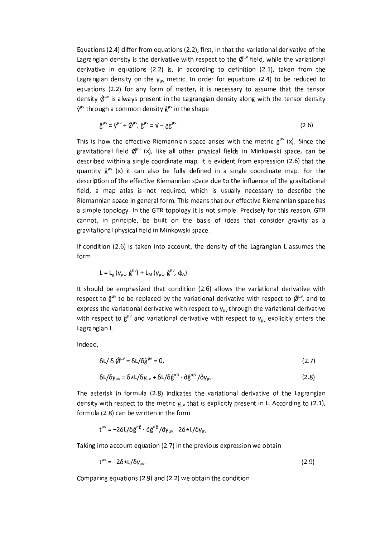Equations (2.4) differ from equations (2.2), first, in that the variational derivative of the Lagrangian density is the derivative with respect to the  $\hat{\varphi}^{\mu\nu}$  field, while the variational derivative in equations (2.2) is, in according to definition (2.1), taken from the Lagrangian density on the  $y_{\mu\nu}$  metric. In order for equations (2.4) to be reduced to equations (2.2) for any form of matter, it is necessary to assume that the tensor density  $\hat{\varphi}^{\mu\nu}$  is always present in the Lagrangian density along with the tensor density  $\hat{v}^{\mu\nu}$  through a common density  $\hat{g}^{\mu\nu}$  in the shape

$$
\hat{\mathbf{g}}^{\mu\nu} = \hat{\mathbf{y}}^{\mu\nu} + \hat{\mathbf{Q}}^{\mu\nu}, \, \hat{\mathbf{g}}^{\mu\nu} = \mathbf{v} - \mathbf{g} \mathbf{g}^{\mu\nu}.\tag{2.6}
$$

This is how the effective Riemannian space arises with the metric  $g^{\mu\nu}$  (x). Since the gravitational field  $\hat{\phi}^{\mu\nu}$  (x), like all other physical fields in Minkowski space, can be described within a single coordinate map, it is evident from expression (2.6) that the quantity  $\hat{g}^{\mu\nu}$  (x) it can also be fully defined in a single coordinate map. For the description of the effective Riemannian space due to the influence of the gravitational field, a map atlas is not required, which is usually necessary to describe the Riemannian space in general form. This means that our effective Riemannian space has a simple topology. In the GTR topology it is not simple. Precisely for this reason, GTR cannot, in principle, be built on the basis of ideas that consider gravity as a gravitational physical field in Minkowski space.

If condition (2.6) is taken into account, the density of the Lagrangian L assumes the form

$$
L = L_{g} \left( \gamma_{\mu\nu}, \hat{g}^{\mu\nu} \right) + L_{M} \left( \gamma_{\mu\nu}, \hat{g}^{\mu\nu}, \varphi_{A} \right).
$$

It should be emphasized that condition (2.6) allows the variational derivative with respect to  $\hat{g}^{\mu\nu}$  to be replaced by the variational derivative with respect to  $\hat{Q}^{\mu\nu}$ , and to express the variational derivative with respect to  $\gamma_{\mu\nu}$  through the variational derivative with respect to  $\hat{g}^{\mu\nu}$  and variational derivative with respect to  $y_{\mu\nu}$  explicitly enters the Lagrangian L.

Indeed,

$$
\delta L / \delta \, \hat{\varnothing}^{\mu\nu} = \delta L / \delta \hat{g}^{\mu\nu} = 0, \tag{2.7}
$$

$$
\delta L/\delta \gamma_{\mu\nu} = \delta \star L/\delta \gamma_{\mu\nu} + \delta L/\delta \hat{g}^{\alpha\beta} \cdot \partial \hat{g}^{\alpha\beta}/\partial \gamma_{\mu\nu}.
$$
 (2.8)

The asterisk in formula (2.8) indicates the variational derivative of the Lagrangian density with respect to the metric  $y_{uv}$  that is explicitly present in L. According to (2.1), formula (2.8) can be written in the form

$$
t^{\mu\nu} = -2\delta L/\delta \hat{g}^{\alpha\beta} \cdot \delta \hat{g}^{\alpha\beta}/\delta \gamma_{\mu\nu} - 2\delta \star L/\delta \gamma_{\mu\nu}.
$$

Taking into account equation (2.7) in the previous expression we obtain

$$
t^{\mu\nu} = -2\delta \star L/\delta \gamma_{\mu\nu}.
$$
 (2.9)

Comparing equations (2.9) and (2.2) we obtain the condition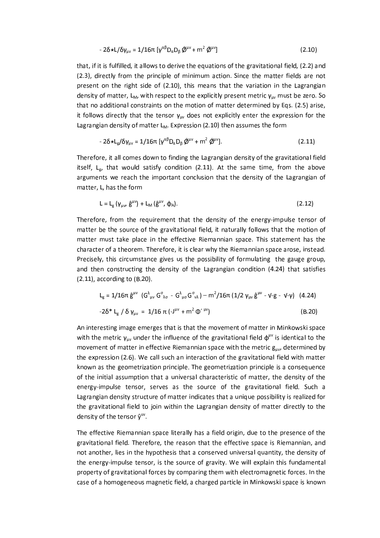$$
-2\delta \star L/\delta \gamma_{\mu\nu} = 1/16\pi \left[ \gamma^{\alpha\beta} D_{\alpha} D_{\beta} \hat{\phi}^{\mu\nu} + m^2 \hat{\phi}^{\mu\nu} \right]
$$
 (2.10)

that, if it is fulfilled, it allows to derive the equations of the gravitational field, (2.2) and (2.3), directly from the principle of minimum action. Since the matter fields are not present on the right side of (2.10), this means that the variation in the Lagrangian density of matter, L<sub>M</sub>, with respect to the explicitly present metric  $y_{uv}$  must be zero. So that no additional constraints on the motion of matter determined by Eqs. (2.5) arise, it follows directly that the tensor  $y_{uv}$  does not explicitly enter the expression for the Lagrangian density of matter L<sub>M</sub>. Expression (2.10) then assumes the form

$$
-2\delta \star L_g/\delta \gamma_{\mu\nu} = 1/16\pi \left[ \gamma^{\alpha\beta} D_\alpha D_\beta \, \hat{\varnothing}^{\mu\nu} + m^2 \, \hat{\varnothing}^{\mu\nu} \right]. \tag{2.11}
$$

Therefore, it all comes down to finding the Lagrangian density of the gravitational field itself,  $L_{g}$ , that would satisfy condition (2.11). At the same time, from the above arguments we reach the important conclusion that the density of the Lagrangian of matter, L, has the form

$$
L = L_g \left( \gamma_{\mu\nu}, \hat{g}^{\mu\nu} \right) + L_M \left( \hat{g}^{\mu\nu}, \varphi_A \right). \tag{2.12}
$$

Therefore, from the requirement that the density of the energy-impulse tensor of matter be the source of the gravitational field, it naturally follows that the motion of matter must take place in the effective Riemannian space. This statement has the character of a theorem. Therefore, it is clear why the Riemannian space arose, instead. Precisely, this circumstance gives us the possibility of formulating the gauge group, and then constructing the density of the Lagrangian condition (4.24) that satisfies  $(2.11)$ , according to  $(B.20)$ .

$$
L_{g} = 1/16\pi \hat{g}^{\mu\nu} (G^{\lambda}{}_{\mu\nu} G^{\sigma}{}_{\lambda\sigma} - G^{\lambda}{}_{\mu\sigma} G^{\sigma}{}_{\nu\lambda}) - m^{2}/16\pi (1/2 \gamma_{\mu\nu} \hat{g}^{\mu\nu} - \nu - g - \nu - \gamma) (4.24)
$$
  
-2\delta \* L\_{g} / \delta \gamma\_{\mu\nu} = 1/16 \pi (-J^{\mu\nu} + m^{2} \Phi^{\prime \mu\nu}) (B.20)

An interesting image emerges that is that the movement of matter in Minkowski space with the metric  $\gamma_{uv}$  under the influence of the gravitational field  $\phi^{\mu\nu}$  is identical to the movement of matter in effective Riemannian space with the metric g<sub>uv</sub>, determined by the expression (2.6). We call such an interaction of the gravitational field with matter known as the geometrization principle. The geometrization principle is a consequence of the initial assumption that a universal characteristic of matter, the density of the energy-impulse tensor, serves as the source of the gravitational field. Such a Lagrangian density structure of matter indicates that a unique possibility is realized for the gravitational field to join within the Lagrangian density of matter directly to the density of the tensor  $\hat{y}^{uv}$ .

The effective Riemannian space literally has a field origin, due to the presence of the gravitational field. Therefore, the reason that the effective space is Riemannian, and not another, lies in the hypothesis that a conserved universal quantity, the density of the energy-impulse tensor, is the source of gravity. We will explain this fundamental property of gravitational forces by comparing them with electromagnetic forces. In the case of a homogeneous magnetic field, a charged particle in Minkowski space is known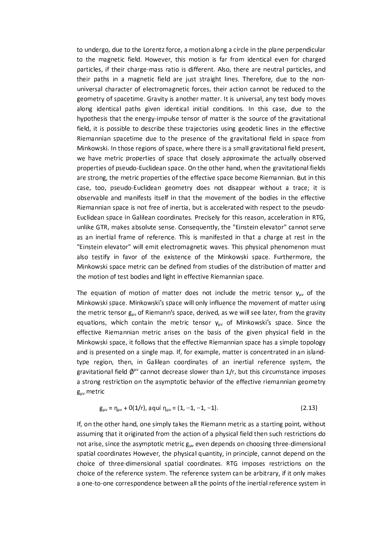to undergo, due to the Lorentz force, a motion along a circle in the plane perpendicular to the magnetic field. However, this motion is far from identical even for charged particles, if their charge-mass ratio is different. Also, there are neutral particles, and their paths in a magnetic field are just straight lines. Therefore, due to the nonuniversal character of electromagnetic forces, their action cannot be reduced to the geometry of spacetime. Gravity is another matter. It is universal, any test body moves along identical paths given identical initial conditions. In this case, due to the hypothesis that the energy-impulse tensor of matter is the source of the gravitational field, it is possible to describe these trajectories using geodetic lines in the effective Riemannian spacetime due to the presence of the gravitational field in space from Minkowski. In those regions of space, where there is a small gravitational field present, we have metric properties of space that closely approximate the actually observed properties of pseudo-Euclidean space. On the other hand, when the gravitational fields are strong, the metric properties of the effective space become Riemannian. But in this case, too, pseudo-Euclidean geometry does not disappear without a trace; it is observable and manifests itself in that the movement of the bodies in the effective Riemannian space is not free of inertia, but is accelerated with respect to the pseudo-Euclidean space in Galilean coordinates. Precisely for this reason, acceleration in RTG, unlike GTR, makes absolute sense. Consequently, the "Einstein elevator" cannot serve as an inertial frame of reference. This is manifested in that a charge at rest in the "Einstein elevator" will emit electromagnetic waves. This physical phenomenon must also testify in favor of the existence of the Minkowski space. Furthermore, the Minkowski space metric can be defined from studies of the distribution of matter and the motion of test bodies and light in effective Riemannian space.

The equation of motion of matter does not include the metric tensor  $y_{uv}$  of the Minkowski space. Minkowski's space will only influence the movement of matter using the metric tensor g<sub>uv</sub> of Riemann's space, derived, as we will see later, from the gravity equations, which contain the metric tensor  $\gamma_{\mu\nu}$  of Minkowski's space. Since the effective Riemannian metric arises on the basis of the given physical field in the Minkowski space, it follows that the effective Riemannian space has a simple topology and is presented on a single map. If, for example, matter is concentrated in an islandtype region, then, in Galilean coordinates of an inertial reference system, the gravitational field  $\hat{\varphi}^{\mu\nu}$  cannot decrease slower than 1/r, but this circumstance imposes a strong restriction on the asymptotic behavior of the effective riemannian geometry  $g_{uv}$  metric

$$
g_{\mu\nu} = \eta_{\mu\nu} + O(1/r), \quad \text{aquí } \eta_{\mu\nu} = (1, -1, -1, -1). \tag{2.13}
$$

If, on the other hand, one simply takes the Riemann metric as a starting point, without assuming that it originated from the action of a physical field then such restrictions do not arise, since the asymptotic metric  $g_{\mu\nu}$  even depends on choosing three-dimensional spatial coordinates However, the physical quantity, in principle, cannot depend on the choice of three-dimensional spatial coordinates. RTG imposes restrictions on the choice of the reference system. The reference system can be arbitrary, if it only makes a one-to-one correspondence between all the points of the inertial reference system in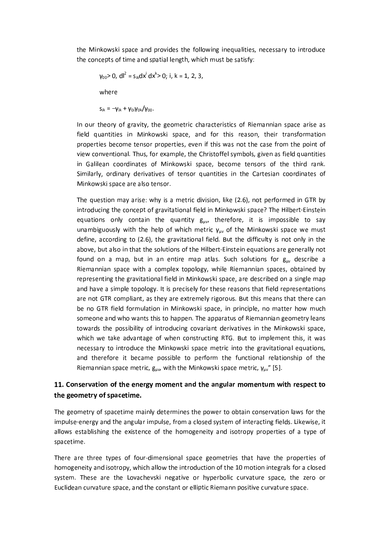the Minkowski space and provides the following inequalities, necessary to introduce the concepts of time and spatial length, which must be satisfy:

$$
\gamma_{00}
$$
 > 0, dl<sup>2</sup> = s<sub>ik</sub>dx<sup>i</sup> dx<sup>k</sup> > 0; i, k = 1, 2, 3,

where

 $S_{ik} = -V_{ik} + V_{0i}V_{0k}/V_{00}$ 

In our theory of gravity, the geometric characteristics of Riemannian space arise as field quantities in Minkowski space, and for this reason, their transformation properties become tensor properties, even if this was not the case from the point of view conventional. Thus, for example, the Christoffel symbols, given as field quantities in Galilean coordinates of Minkowski space, become tensors of the third rank. Similarly, ordinary derivatives of tensor quantities in the Cartesian coordinates of Minkowski space are also tensor.

The question may arise: why is a metric division, like (2.6), not performed in GTR by introducing the concept of gravitational field in Minkowski space? The Hilbert-Einstein equations only contain the quantity  $g_{uv}$ , therefore, it is impossible to say unambiguously with the help of which metric  $y_{uv}$  of the Minkowski space we must define, according to (2.6), the gravitational field. But the difficulty is not only in the above, but also in that the solutions of the Hilbert-Einstein equations are generally not found on a map, but in an entire map atlas. Such solutions for  $g_{\mu\nu}$  describe a Riemannian space with a complex topology, while Riemannian spaces, obtained by representing the gravitational field in Minkowski space, are described on a single map and have a simple topology. It is precisely for these reasons that field representations are not GTR compliant, as they are extremely rigorous. But this means that there can be no GTR field formulation in Minkowski space, in principle, no matter how much someone and who wants this to happen. The apparatus of Riemannian geometry leans towards the possibility of introducing covariant derivatives in the Minkowski space, which we take advantage of when constructing RTG. But to implement this, it was necessary to introduce the Minkowski space metric into the gravitational equations, and therefore it became possible to perform the functional relationship of the Riemannian space metric,  $g_{\mu\nu}$ , with the Minkowski space metric,  $\gamma_{\mu\nu}$ " [5].

# 11. Conservation of the energy moment and the angular momentum with respect to the geometry of spacetime.

The geometry of spacetime mainly determines the power to obtain conservation laws for the impulse-energy and the angular impulse, from a closed system of interacting fields. Likewise, it allows establishing the existence of the homogeneity and isotropy properties of a type of spacetime.

There are three types of four-dimensional space geometries that have the properties of homogeneity and isotropy, which allow the introduction of the 10 motion integrals for a closed system. These are the Lovachevski negative or hyperbolic curvature space, the zero or Euclidean curvature space, and the constant or elliptic Riemann positive curvature space.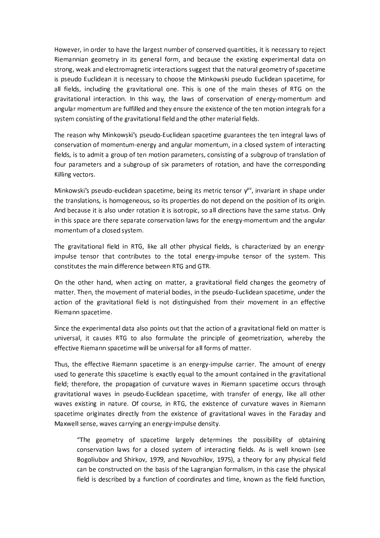However, in order to have the largest number of conserved quantities, it is necessary to reject Riemannian geometry in its general form, and because the existing experimental data on strong, weak and electromagnetic interactions suggest that the natural geometry of spacetime is pseudo Euclidean it is necessary to choose the Minkowski pseudo Euclidean spacetime, for all fields, including the gravitational one. This is one of the main theses of RTG on the gravitational interaction. In this way, the laws of conservation of energy-momentum and angular momentum are fulfilled and they ensure the existence of the ten motion integrals for a system consisting of the gravitational field and the other material fields.

The reason why Minkowski's pseudo-Euclidean spacetime guarantees the ten integral laws of conservation of momentum-energy and angular momentum, in a closed system of interacting fields, is to admit a group of ten motion parameters, consisting of a subgroup of translation of four parameters and a subgroup of six parameters of rotation, and have the corresponding Killing vectors.

Minkowski's pseudo-euclidean spacetime, being its metric tensor  $\gamma^{\mu\nu}$ , invariant in shape under the translations, is homogeneous, so its properties do not depend on the position of its origin. And because it is also under rotation it is isotropic, so all directions have the same status. Only in this space are there separate conservation laws for the energy-momentum and the angular momentum of a closed system.

The gravitational field in RTG, like all other physical fields, is characterized by an energyimpulse tensor that contributes to the total energy-impulse tensor of the system. This constitutes the main difference between RTG and GTR.

On the other hand, when acting on matter, a gravitational field changes the geometry of matter. Then, the movement of material bodies, in the pseudo-Euclidean spacetime, under the action of the gravitational field is not distinguished from their movement in an effective Riemann spacetime.

Since the experimental data also points out that the action of a gravitational field on matter is universal, it causes RTG to also formulate the principle of geometrization, whereby the effective Riemann spacetime will be universal for all forms of matter.

Thus, the effective Riemann spacetime is an energy-impulse carrier. The amount of energy used to generate this spacetime is exactly equal to the amount contained in the gravitational field; therefore, the propagation of curvature waves in Riemann spacetime occurs through gravitational waves in pseudo-Euclidean spacetime, with transfer of energy, like all other waves existing in nature. Of course, in RTG, the existence of curvature waves in Riemann spacetime originates directly from the existence of gravitational waves in the Faraday and Maxwell sense, waves carrying an energy-impulse density.

"The geometry of spacetime largely determines the possibility of obtaining conservation laws for a closed system of interacting fields. As is well known (see Bogoliubov and Shirkov, 1979, and Novozhilov, 1975), a theory for any physical field can be constructed on the basis of the Lagrangian formalism, in this case the physical field is described by a function of coordinates and time, known as the field function,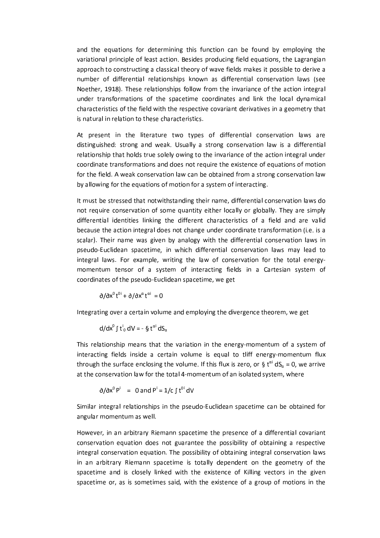and the equations for determining this function can be found by employing the variational principle of least action. Besides producing field equations, the Lagrangian approach to constructing a classical theory of wave fields makes it possible to derive a number of differential relationships known as differential conservation laws (see Noether, 1918). These relationships follow from the invariance of the action integral under transformations of the spacetime coordinates and link the local dynamical characteristics of the field with the respective covariant derivatives in a geometry that is natural in relation to these characteristics.

At present in the literature two types of differential conservation laws are distinguished: strong and weak. Usually a strong conservation law is a differential relationship that holds true solely owing to the invariance of the action integral under coordinate transformations and does not require the existence of equations of motion for the field. A weak conservation law can be obtained from a strong conservation law by allowing for the equations of motion for a system of interacting.

It must be stressed that notwithstanding their name, differential conservation laws do not require conservation of some quantity either locally or globally. They are simply differential identities linking the different characteristics of a field and are valid because the action integral does not change under coordinate transformation (i.e. is a scalar). Their name was given by analogy with the differential conservation laws in pseudo-Euclidean spacetime, in which differential conservation laws may lead to integral laws. For example, writing the law of conservation for the total energymomentum tensor of a system of interacting fields in a Cartesian system of coordinates of the pseudo-Euclidean spacetime, we get

$$
\partial/\partial x^0 t^{0i} + \partial/\partial x^{\alpha} t^{\alpha i} = 0
$$

Integrating over a certain volume and employing the divergence theorem, we get

$$
d/dx^0 \int t_0^i dV = -\S t^{\alpha i} dS_{\alpha}
$$

This relationship means that the variation in the energy-momentum of a system of interacting fields inside a certain volume is equal to tliff energy-momentum flux through the surface enclosing the volume. If this flux is zero, or § t<sup>ai</sup> dS<sub>a</sub> = 0, we arrive at the conservation law for the total 4-momentum of an isolated system, where

$$
\partial/\partial x^0 P^i = 0
$$
 and  $P^i = 1/c \int t^{0i} dV$ 

Similar integral relationships in the pseudo-Euclidean spacetime can be obtained for angular momentum as well.

However, in an arbitrary Riemann spacetime the presence of a differential covariant conservation equation does not guarantee the possibility of obtaining a respective integral conservation equation. The possibility of obtaining integral conservation laws in an arbitrary Riemann spacetime is totally dependent on the geometry of the spacetime and is closely linked with the existence of Killing vectors in the given spacetime or, as is sometimes said, with the existence of a group of motions in the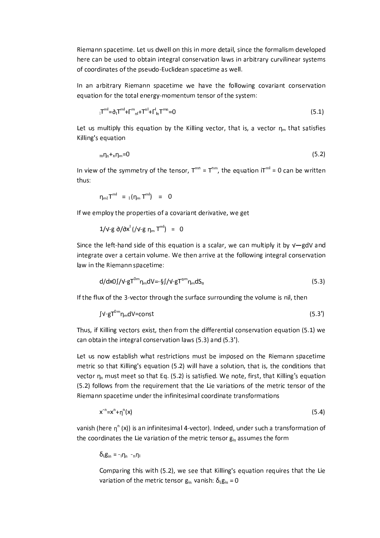Riemann spacetime. Let us dwell on this in more detail, since the formalism developed here can be used to obtain integral conservation laws in arbitrary curvilinear systems of coordinates of the pseudo-Euclidean spacetime as well.

In an arbitrary Riemann spacetime we have the following covariant conservation equation for the total energy-momentum tensor of the system:

$$
{}_{1}T^{m!} = \partial_{1}T^{m!} + \Gamma^{m}{}_{n!} + T^{n!} + \Gamma^{l}{}_{n}T^{mn} = 0
$$
\n
$$
(5.1)
$$

Let us multiply this equation by the Killing vector, that is, a vector  $\eta_m$  that satisfies Killing's equation

$$
{}_{m}\eta_{n}+{}_{n}\eta_{m}=0\tag{5.2}
$$

In view of the symmetry of the tensor,  $T^{mn} = T^{nm}$ , the equation  $iT^{ml} = 0$  can be written thus:

$$
\eta_{\rm ml} T^{\rm ml} = {}_1(\eta_{\rm m} T^{\rm ml}) = 0
$$

If we employ the properties of a covariant derivative, we get

$$
1/\nu - g \, \partial/\partial x^{i} \, (\nu - g \, \eta_{m} \, T^{m i}) = 0
$$

Since the left-hand side of this equation is a scalar, we can multiply it by  $V-gdV$  and integrate over a certain volume. We then arrive at the following integral conservation law in the Riemann spacetime:

$$
d/dx0 \int /V \cdot gT^{0m} \eta_m dV = -\frac{S}{2} \int /V \cdot gT^{0m} \eta_m dS_\alpha \tag{5.3}
$$

If the flux of the 3-vector through the surface surrounding the volume is nil, then

$$
\int V - gT^{0m} \eta_m dV = const
$$
 (5.3')

Thus, if Killing vectors exist, then from the differential conservation equation (5.1) we can obtain the integral conservation laws (5.3) and (5.3').

Let us now establish what restrictions must be imposed on the Riemann spacetime metric so that Killing's equation (5.2) will have a solution, that is, the conditions that vector  $n_n$  must meet so that Eq. (5.2) is satisfied. We note, first, that Killing's equation (5.2) follows from the requirement that the Lie variations of the metric tensor of the Riemann spacetime under the infinitesimal coordinate transformations

$$
x^{\prime n} = x^n + \eta^n(x) \tag{5.4}
$$

vanish (here  $\eta$ <sup>n</sup> (x)) is an infinitesimal 4-vector). Indeed, under such a transformation of the coordinates the Lie variation of the metric tensor g<sub>in</sub> assumes the form

 $\delta_{\text{L}}\mathbf{g}_{\text{in}} = -i\eta_{\text{n}} - n\eta_{\text{l}}$ 

Comparing this with (5.2), we see that Killing's equation requires that the Lie variation of the metric tensor  $g_{in}$  vanish:  $\delta_{L}g_{in} = 0$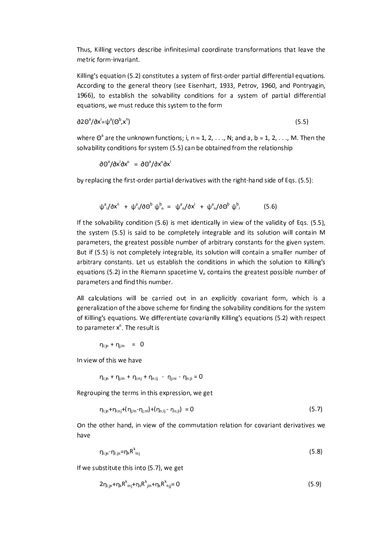Thus, Killing vectors describe infinitesimal coordinate transformations that leave the metric form-invariant.

Killing's equation (5.2) constitutes a system of first-order partial differential equations. According to the general theory (see Eisenhart, 1933, Petrov, 1960, and Pontryagin, 1966), to establish the solvability conditions for a system of partial differential equations, we must reduce this system to the form

$$
\partial 2\Theta^a/\partial x^i = \psi^a(\Theta^b, x^n) \tag{5.5}
$$

where  $\Theta^a$  are the unknown functions; i, n = 1, 2, . . ., N; and a, b = 1, 2, . . ., M. Then the solvability conditions for system (5.5) can be obtained from the relationship

 $\partial \Theta^a/\partial x^i \partial x^n = \partial \Theta^a/\partial x^n \partial x^i$ 

by replacing the first-order partial derivatives with the right-hand side of Eqs. (5.5):

$$
\psi^a / \partial x^n + \psi^a / \partial \Theta^b \psi^b{}_n = \psi^a{}_n / \partial x^i + \psi^a{}_n / \partial \Theta^b \psi^b{}_i
$$
 (5.6)

If the solvability condition (5.6) is met identically in view of the validity of Eqs. (5.5), the system (5.5) is said to be completely integrable and its solution will contain M parameters, the greatest possible number of arbitrary constants for the given system. But if (5.5) is not completely integrable, its solution will contain a smaller number of arbitrary constants. Let us establish the conditions in which the solution to Killing's equations (5.2) in the Riemann spacetime  $V_n$  contains the greatest possible number of parameters and find this number.

All calculations will be carried out in an explicitly covariant form, which is a generalization of the above scheme for finding the solvability conditions for the system of Killing's equations. We differentiate covarianlly Killing's equations (5.2) with respect to parameter x<sup>n</sup>. The result is

 $\eta_{i;jn} + \eta_{j;in} = 0$ 

In view of this we have

 $\eta_{i;jn}+\eta_{j;in}+\eta_{i;nj}+\eta_{n;ij}~\vdots~\eta_{j;ni}+\eta_{n;ji}=0$ 

Regrouping the terms in this expression, we get

$$
\eta_{i;j_{0}+}\eta_{i;nj}+(\eta_{j;n}-\eta_{j;ni})+(\eta_{n;jj}-\eta_{n;ji})=0
$$
\n(5.7)

On the other hand, in view of the commutation relation for covariant derivatives we have

$$
\eta_{ijn} - \eta_{ijn} = \eta_k R^k_{ijn}
$$
\n
$$
(5.8)
$$

If we substitute this into (5.7), we get

$$
2\eta_{i,jn} + \eta_k R^k_{i} + \eta_k R^k_{jin} + \eta_k R^k_{nij} = 0
$$
\n
$$
(5.9)
$$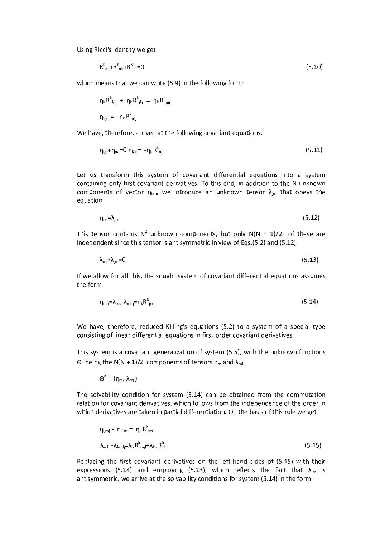Using Ricci's identity we get

$$
R^k_{\text{in}} + R^k_{\text{ni}} + R^k_{\text{lin}} = 0 \tag{5.10}
$$

which means that we can write (5.9) in the following form:

$$
\eta_k R^k_{\text{ inj }} + \eta_k R^k_{\text{ jin }} = \eta_k R^k_{\text{ njj }}
$$
  

$$
\eta_{\text{ i;jn}} = -\eta_k R^k_{\text{ nij}}
$$

We have, therefore, arrived at the following covariant equations:

$$
\eta_{i,n} + \eta_{n,i} = 0 \eta_{i,j,n} = -\eta_k R_{nij}^k \tag{5.11}
$$

Let us transform this system of covariant differential equations into a system containing only first covariant derivatives. To this end, in addition to the N unknown components of vector  $\eta_{km}$ , we introduce an unknown tensor  $\lambda_{im}$  that obeys the equation

$$
\eta_{i,n} = \lambda_{j,m} \tag{5.12}
$$

This tensor contains  $N^2$  unknown components, but only  $N(N + 1)/2$  of these are independent since this tensor is antisymmetric in view of Eqs.(5.2) and (5.12):

$$
\lambda_{\rm mi} + \lambda_{\rm jm} = 0 \tag{5.13}
$$

If we allow for all this, the sought system of covariant differential equations assumes the form

$$
\eta_{m;i} = \lambda_{m,i}, \lambda_{m;i,j} = \eta_k R^k_{jim} \tag{5.14}
$$

We have, therefore, reduced Killing's equations (5.2) to a system of a special type consisting of linear differential equations in first-order covariant derivatives.

This system is a covariant generalization of system (5.5), with the unknown functions  $\Theta^a$  being the N(N + 1)/2 components of tensors  $\eta_m$  and  $\lambda_{mi}$ 

$$
\Theta^a = \{\eta_m, \lambda_m\}
$$

The solvability condition for system (5.14) can be obtained from the commutation relation for covariant derivatives, which follows from the independence of the order in which derivatives are taken in partial differentiation. On the basis of this rule we get

$$
\eta_{i;mi} - \eta_{i;jm} = \eta_k R^k_{imij}
$$
  
\n
$$
\lambda_{mi;ji} - \lambda_{im;ij} = \lambda_{ik} R^k_{mjj} + \lambda_{km} R^k_{ijl}
$$
\n(5.15)

Replacing the first covariant derivatives on the left-hand sides of (5.15) with their expressions (5.14) and employing (5.13), which reflects the fact that  $\lambda_{\text{im}}$  is antisymmetric, we arrive at the solvability conditions for system (5.14) in the form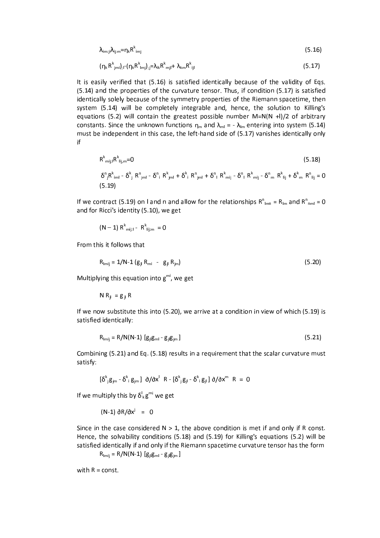$$
\lambda_{\text{im:}i}\lambda_{\text{ij:}m} = \eta_k R^k_{\text{im}i}
$$
\n(5.16)

$$
(\eta_{k} R^{k}_{jmi})_{;l} (\eta_{k} R^{k}_{lmi})_{;j} = \lambda_{ik} R^{k}_{mjl} + \lambda_{km} R^{k}_{ijl}
$$
\n(5.17)

It is easily verified that (5.16) is satisfied identically because of the validity of Eqs. (5.14) and the properties of the curvature tensor. Thus, if condition (5.17) is satisfied identically solely because of the symmetry properties of the Riemann spacetime, then system (5.14) will be completely integrable and, hence, the solution to Killing's equations (5.2) will contain the greatest possible number  $M=N(N + 1)/2$  of arbitrary constants. Since the unknown functions  $\eta_m$  and  $\lambda_{ml} = -\lambda_{lm}$  entering into system (5.14) must be independent in this case, the left-hand side of (5.17) vanishes identically only if

$$
R^k_{\text{mij};l}R^k_{\text{ij},m}=0\tag{5.18}
$$

$$
\delta^{n}{}_{j}R^{k}{}_{imi} - \delta^{k}{}_{j}R^{n}{}_{jmi} - \delta^{n}{}_{i}R^{k}{}_{jm} + \delta^{k}{}_{i}R^{n}{}_{jm} + \delta^{n}{}_{i}R^{k}{}_{mj} - \delta^{n}{}_{i}R^{k}{}_{mj} - \delta^{n}{}_{m}R^{k}{}_{mj} + \delta^{k}{}_{m}R^{n}{}_{ij} = 0
$$
\n(5.19)

If we contract (5.19) on I and n and allow for the relationships  $R^{n}_{1mn} = R_{1m}$  and  $R^{n}_{nm} = 0$ and for Ricci's identity (5.10), we get

$$
(N-1) R^{k}
$$
<sub>mij;1</sub> -  $R^{k}$ <sub>ij; m</sub> = 0

From this it follows that

$$
R_{\text{[m}i]} = 1/N - 1 (g_{i} R_{\text{mi}} - g_{i} R_{\text{jm}})
$$
 (5.20)

Multiplying this equation into  $g^{mi}$ , we get

$$
N R_{ji} = g_{ji} R
$$

If we now substitute this into (5.20), we arrive at a condition in view of which (5.19) is satisfied identically:

$$
R_{\text{Imij}} = R/N(N-1) \left[ g_{ij} g_{mi} - g_{jl} g_{jm} \right]
$$
 (5.21)

Combining (5.21) and Eq. (5.18) results in a requirement that the scalar curvature must satisfy:

$$
[\delta^k_{j}g_{jm} - \delta^k_{j}g_{jm}] \partial/\partial x^{l} R - [\delta^k_{j}g_{jl} - \delta^k_{j}g_{jl}] \partial/\partial x^{m} R = 0
$$

If we multiply this by  $\delta_k^{\text{I}} g^{\text{mi}}$  we get

$$
(N-1) \frac{\partial R}{\partial x^j} = 0
$$

Since in the case considered  $N > 1$ , the above condition is met if and only if R const. Hence, the solvability conditions (5.18) and (5.19) for Killing's equations (5.2) will be satisfied identically if and only if the Riemann spacetime curvature tensor has the form

 $R_{\text{imij}} = R/N(N-1) [g_{jl}g_{ml} - g_{jl}g_{jm}]$ 

with  $R = const.$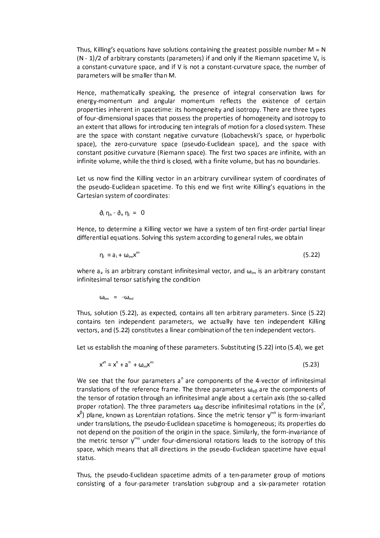Thus, Killing's equations have solutions containing the greatest possible number  $M = N$  $(N - 1)/2$  of arbitrary constants (parameters) if and only if the Riemann spacetime  $V_n$  is a constant-curvature space, and if V is not a constant-curvature space, the number of parameters will be smaller than M.

Hence, mathematically speaking, the presence of integral conservation laws for energy-momentum and angular momentum reflects the existence of certain properties inherent in spacetime: its homogeneity and isotropy. There are three types of four-dimensional spaces that possess the properties of homogeneity and isotropy to an extent that allows for introducing ten integrals of motion for a closed system. These are the space with constant negative curvature (Lobachevski's space, or hyperbolic space), the zero-curvature space (pseudo-Euclidean space), and the space with constant positive curvature (Riemann space). The first two spaces are infinite, with an infinite volume, while the third is closed, with a finite volume, but has no boundaries.

Let us now find the Killing vector in an arbitrary curvilinear system of coordinates of the pseudo-Euclidean spacetime. To this end we first write Killing's equations in the Cartesian system of coordinates:

$$
\partial_i \eta_n - \partial_n \eta_i = 0
$$

Hence, to determine a Killing vector we have a system of ten first-order partial linear differential equations. Solving this system according to general rules, we obtain

$$
\eta_i = a_i + \omega_{im} x^m \tag{5.22}
$$

where  $a_i$ , is an arbitrary constant infinitesimal vector, and  $\omega_{im}$  is an arbitrary constant infinitesimal tensor satisfying the condition

 $\omega_{\text{im}}$  =  $-\omega_{\text{mi}}$ 

Thus, solution (5.22), as expected, contains all ten arbitrary parameters. Since (5.22) contains ten independent parameters, we actually have ten independent Killing vectors, and (5.22) constitutes a linear combination of the ten independent vectors.

Let us establish the moaning of these parameters. Substituting (5.22) into (5.4), we get

 $x^{n} = x^{n} + a^{n} + \omega_{m}x^{m}$  $(5.23)$ 

We see that the four parameters  $a^n$  are components of the 4-vector of infinitesimal translations of the reference frame. The three parameters  $\omega_{\alpha\beta}$  are the components of the tensor of rotation through an infinitesimal angle about a certain axis (the so-called proper rotation). The three parameters  $\omega_{0\beta}$  describe infinitesimal rotations in the  $(x^0,$  $x^{\beta}$ ) plane, known as Lorentzian rotations. Since the metric tensor  $y^{mn}$  is form-invariant under translations, the pseudo-Euclidean spacetime is homogeneous; its properties do not depend on the position of the origin in the space. Similarly, the form-invariance of the metric tensor  $y^{mn}$  under four-dimensional rotations leads to the isotropy of this space, which means that all directions in the pseudo-Euclidean spacetime have equal status.

Thus, the pseudo-Euclidean spacetime admits of a ten-parameter group of motions consisting of a four-parameter translation subgroup and a six-parameter rotation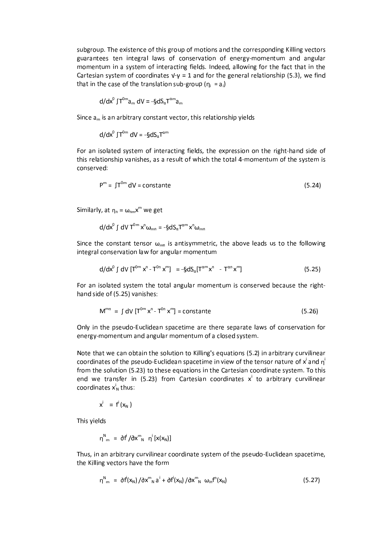subgroup. The existence of this group of motions and the corresponding Killing vectors guarantees ten integral laws of conservation of energy-momentum and angular momentum in a system of interacting fields. Indeed, allowing for the fact that in the Cartesian system of coordinates  $V - V = 1$  and for the general relationship (5.3), we find that in the case of the translation sub-group ( $\eta_i = a_i$ )

$$
d/dx^0 \int T^{0m} a_m dV = -\S dS_{\alpha} T^{\alpha m} a_m
$$

Since  $a_m$  is an arbitrary constant vector, this relationship yields

$$
d/dx^0 \int T^{0m} dV = -\S dS_n T^{\alpha m}
$$

For an isolated system of interacting fields, the expression on the right-hand side of this relationship vanishes, as a result of which the total 4-momentum of the system is conserved:

$$
P^{m} = \int T^{0m} dV = \text{constant}
$$
 (5.24)

Similarly, at  $\eta_n = \omega_{nm} x^m$  we get

$$
d/dx^0 \int dV T^{0m} x^n \omega_{mn} = -\S dS_{\alpha} T^{\alpha m} x^n \omega_{mn}
$$

Since the constant tensor  $\omega_{mn}$  is antisymmetric, the above leads us to the following integral conservation law for angular momentum

$$
d/dx^0 \int dV \left[ T^{0m} x^n - T^{0n} x^m \right] = -\S dS_\alpha[T^{\alpha m} x^n - T^{\alpha n} x^m]
$$
 (5.25)

For an isolated system the total angular momentum is conserved because the righthand side of (5.25) vanishes:

$$
M^{mn} = \int dV \left[ T^{0m} x^n - T^{0n} x^m \right] = constant
$$
 (5.26)

Only in the pseudo-Euclidean spacetime are there separate laws of conservation for energy-momentum and angular momentum of a closed system.

Note that we can obtain the solution to Killing's equations (5.2) in arbitrary curvilinear coordinates of the pseudo-Euclidean spacetime in view of the tensor nature of  $x^{i}$  and  $n^{i}$ from the solution (5.23) to these equations in the Cartesian coordinate system. To this end we transfer in (5.23) from Cartesian coordinates  $x^i$  to arbitrary curvilinear coordinates  $x_N^i$  thus:

$$
x^i = f^i(x_N)
$$

This yields

$$
\eta^N{}_{m} = \partial f^i / \partial x^m{}_N \eta^i [x(x_N)]
$$

Thus, in an arbitrary curvilinear coordinate system of the pseudo-Euclidean spacetime, the Killing vectors have the form

$$
\eta^N_{m} = \partial f^i(x_N) / \partial x^m_{N} a^i + \partial f^i(x_N) / \partial x^m_{N} \omega_{in} f^n(x_N)
$$
 (5.27)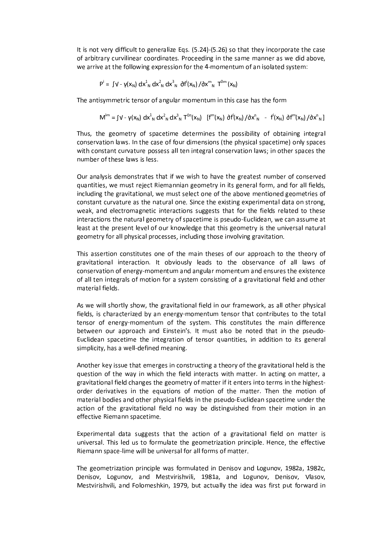It is not very difficult to generalize Eqs. (5.24)-(5.26) so that they incorporate the case of arbitrary curvilinear coordinates. Proceeding in the same manner as we did above, we arrive at the following expression for the 4-momentum of an isolated system:

$$
P^i = \int V - \gamma(x_N) dx_N^1 dx_N^2 dx_N^3 d\hat{r}^i(x_N) / dx_m^m T^{0m}(x_N)
$$

The antisymmetric tensor of angular momentum in this case has the form

$$
M^{im} = \int V - \gamma(x_N) dx_{N}^{1} dx_{N}^{2} dx_{N}^{3} T^{0n}(x_N) \quad [f^{m}(x_N) \ \partial f^{i}(x_N) / \partial x_{N}^{n} - f^{i}(x_N) \ \partial f^{m}(x_N) / \partial x_{N}^{n}]
$$

Thus, the geometry of spacetime determines the possibility of obtaining integral conservation laws. In the case of four dimensions (the physical spacetime) only spaces with constant curvature possess all ten integral conservation laws; in other spaces the number of these laws is less.

Our analysis demonstrates that if we wish to have the greatest number of conserved quantities, we must reject Riemannian geometry in its general form, and for all fields, including the gravitational, we must select one of the above mentioned geometries of constant curvature as the natural one. Since the existing experimental data on strong, weak, and electromagnetic interactions suggests that for the fields related to these interactions the natural geometry of spacetime is pseudo-Euclidean, we can assume at least at the present level of our knowledge that this geometry is the universal natural geometry for all physical processes, including those involving gravitation.

This assertion constitutes one of the main theses of our approach to the theory of gravitational interaction. It obviously leads to the observance of all laws of conservation of energy-momentum and angular momentum and ensures the existence of all ten integrals of motion for a system consisting of a gravitational field and other material fields.

As we will shortly show, the gravitational field in our framework, as all other physical fields, is characterized by an energy-momentum tensor that contributes to the total tensor of energy-momentum of the system. This constitutes the main difference between our approach and Einstein's. It must also be noted that in the pseudo-Euclidean spacetime the integration of tensor quantities, in addition to its general simplicity, has a well-defined meaning.

Another key issue that emerges in constructing a theory of the gravitational held is the question of the way in which the field interacts with matter. In acting on matter, a gravitational field changes the geometry of matter if it enters into terms in the highestorder derivatives in the equations of motion of the matter. Then the motion of material bodies and other physical fields in the pseudo-Euclidean spacetime under the action of the gravitational field no way be distinguished from their motion in an effective Riemann spacetime.

Experimental data suggests that the action of a gravitational field on matter is universal. This led us to formulate the geometrization principle. Hence, the effective Riemann space-lime will be universal for all forms of matter.

The geometrization principle was formulated in Denisov and Logunov, 1982a, 1982c, Denisov, Logunov, and Mestvirishvili, 1981a, and Logunov, Denisov, Vlasov, Mestvirishvili, and Folomeshkin, 1979, but actually the idea was first put forward in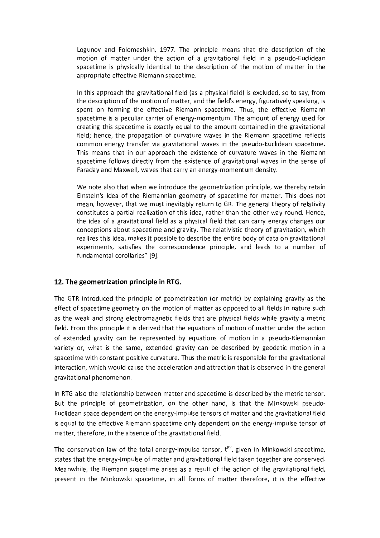Logunov and Folomeshkin, 1977. The principle means that the description of the motion of matter under the action of a gravitational field in a pseudo-Euclidean spacetime is physically identical to the description of the motion of matter in the appropriate effective Riemann spacetime.

In this approach the gravitational field (as a physical field) is excluded, so to say, from the description of the motion of matter, and the field's energy, figuratively speaking, is spent on forming the effective Riemann spacetime. Thus, the effective Riemann spacetime is a peculiar carrier of energy-momentum. The amount of energy used for creating this spacetime is exactly equal to the amount contained in the gravitational field; hence, the propagation of curvature waves in the Riemann spacetime reflects common energy transfer via gravitational waves in the pseudo-Euclidean spacetime. This means that in our approach the existence of curvature waves in the Riemann spacetime follows directly from the existence of gravitational waves in the sense of Faraday and Maxwell, waves that carry an energy-momentum density.

We note also that when we introduce the geometrization principle, we thereby retain Einstein's idea of the Riemannian geometry of spacetime for matter. This does not mean, however, that we must inevitably return to GR. The general theory of relativity constitutes a partial realization of this idea, rather than the other way round. Hence, the idea of a gravitational field as a physical field that can carry energy changes our conceptions about spacetime and gravity. The relativistic theory of gravitation, which realizes this idea, makes it possible to describe the entire body of data on gravitational experiments, satisfies the correspondence principle, and leads to a number of fundamental corollaries" [9].

### 12. The geometrization principle in RTG.

The GTR introduced the principle of geometrization (or metric) by explaining gravity as the effect of spacetime geometry on the motion of matter as opposed to all fields in nature such as the weak and strong electromagnetic fields that are physical fields while gravity a metric field. From this principle it is derived that the equations of motion of matter under the action of extended gravity can be represented by equations of motion in a pseudo-Riemannian variety or, what is the same, extended gravity can be described by geodetic motion in a spacetime with constant positive curvature. Thus the metric is responsible for the gravitational interaction, which would cause the acceleration and attraction that is observed in the general gravitational phenomenon.

In RTG also the relationship between matter and spacetime is described by the metric tensor. But the principle of geometrization, on the other hand, is that the Minkowski pseudo-Euclidean space dependent on the energy-impulse tensors of matter and the gravitational field is equal to the effective Riemann spacetime only dependent on the energy-impulse tensor of matter, therefore, in the absence of the gravitational field.

The conservation law of the total energy-impulse tensor,  $t^{\mu\nu}$ , given in Minkowski spacetime, states that the energy-impulse of matter and gravitational field taken together are conserved. Meanwhile, the Riemann spacetime arises as a result of the action of the gravitational field, present in the Minkowski spacetime, in all forms of matter therefore, it is the effective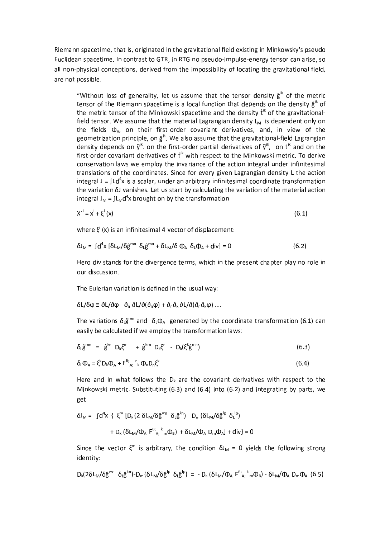Riemann spacetime, that is, originated in the gravitational field existing in Minkowsky's pseudo Euclidean spacetime. In contrast to GTR, in RTG no pseudo-impulse-energy tensor can arise, so all non-physical conceptions, derived from the impossibility of locating the gravitational field, are not possible.

"Without loss of generality, let us assume that the tensor density  $\hat{g}^{ik}$  of the metric tensor of the Riemann spacetime is a local function that depends on the density  $\hat{g}^{ik}$  of the metric tensor of the Minkowski spacetime and the density t<sup>ik</sup> of the gravitationalfield tensor. We assume that the material Lagrangian density  $L_M$  is dependent only on the fields  $\Phi_{\alpha}$ , on their first-order covariant derivatives, and, in view of the geometrization principle, on  $\hat{g}^{ik}$ . We also assume that the gravitational-field Lagrangian density depends on  $\tilde{y}^{ik}$ . on the first-order partial derivatives of  $\tilde{y}^{ik}$ , on  $\tilde{t}^{ik}$  and on the first-order covariant derivatives of t<sup>ik</sup> with respect to the Minkowski metric. To derive conservation laws we employ the invariance of the action integral under infinitesimal translations of the coordinates. Since for every given Lagrangian density L the action integral  $J = \int L d^4x$  is a scalar, under an arbitrary infinitesimal coordinate transformation the variation  $\delta$ J vanishes. Let us start by calculating the variation of the material action integral  $J_M = \int L_M d^4x$  brought on by the transformation

$$
X^{\prime} = x^i + \xi^i(x) \tag{6.1}
$$

where  $\xi^i(x)$  is an infinitesimal 4-vector of displacement:

$$
\delta J_{\rm M} = \int d^4x \left[ \delta L_{\rm M} / \delta \hat{g}^{\rm m} \delta_{\rm L} \hat{g}^{\rm m} + \delta L_{\rm M} / \delta \Phi_{\rm A} \delta_{\rm L} \Phi_{\rm A} + \text{div} \right] = 0 \tag{6.2}
$$

Hero div stands for the divergence terms, which in the present chapter play no role in our discussion.

The Eulerian variation is defined in the usual way:

$$
\delta L/\delta \phi \equiv \partial L/\partial \phi - \partial_n \partial L/\partial (\partial_n \phi) + \partial_n \partial_k \partial L/\partial (\partial_n \partial_k \phi) \dots
$$

The variations  $\delta_{L}\hat{g}^{mn}$  and  $\delta_{L}\Phi_{A}$  generated by the coordinate transformation (6.1) can easily be calculated if we employ the transformation laws:

$$
\delta_{\mathsf{L}}\hat{\mathsf{g}}^{\mathsf{m}} = \hat{\mathsf{g}}^{\mathsf{kn}} \; \mathsf{D}_{\mathsf{k}} \xi^{\mathsf{m}} + \hat{\mathsf{g}}^{\mathsf{km}} \; \mathsf{D}_{\mathsf{k}} \xi^{\mathsf{n}} - \mathsf{D}_{\mathsf{k}} (\xi^{\mathsf{k}} \hat{\mathsf{g}}^{\mathsf{m}})
$$
\n
$$
\tag{6.3}
$$

$$
\delta_{L}\Phi_{A} = \xi^{k}D_{k}\Phi_{A} + F^{B^{*}}{}_{A^{*}}{}^{n}{}_{k}\Phi_{B}D_{n}\xi^{k}
$$
\n(6.4)

Here and in what follows the  $D_k$  are the covariant derivatives with respect to the Minkowski metric. Substituting  $(6.3)$  and  $(6.4)$  into  $(6.2)$  and integrating by parts, we get

$$
\delta J_M = \int d^4x \left\{ - \xi^m \left[ D_k \left( 2 \delta L_M / \delta \hat{g}^{mn} \delta_L \hat{g}^{kn} \right) - D_m \left( \delta L_M / \delta \hat{g}^{lp} \delta_L^{lp} \right) \right. \right.\left. + D_k \left( \delta L_M / \Phi_A F^{B\dagger} A_i \right)^k m \Phi_B \right\} + \delta L_M / \Phi_A D_m \Phi_A \right\} + \text{div} \} = 0
$$

Since the vector  $\xi^m$  is arbitrary, the condition  $\delta J_M = 0$  yields the following strong identity:

$$
D_k(2\delta L_M/\delta \hat{g}^{mn} \delta_{L} \hat{g}^{kn})-D_m(\delta L_M/\delta \hat{g}^{lp} \delta_{L} \hat{g}^{lp}) = -D_k(\delta L_M/\Phi_A F^{B}{}_{A}{}^k {}_m \Phi_B) - \delta L_M/\Phi_A D_m \Phi_A (6.5)
$$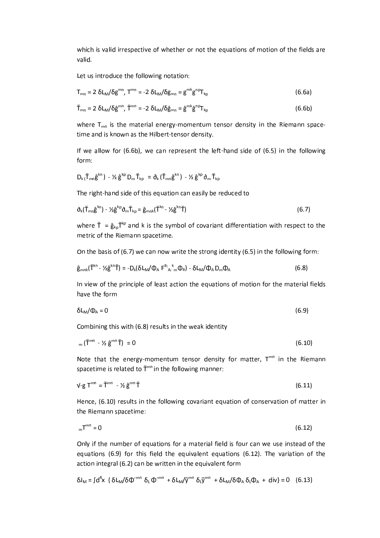which is valid irrespective of whether or not the equations of motion of the fields are valid.

Let us introduce the following notation:

$$
T_{mn} = 2 \delta L_M / \delta g^{mn}, T^{mn} = -2 \delta L_M / \delta g_{mn} = g^{mk} g^{np} T_{kp}
$$
 (6.6a)

$$
\check{\mathsf{T}}_{mn} = 2 \delta \mathsf{L}_M / \delta \hat{\mathsf{g}}^{mn}, \; \check{\mathsf{T}}^{mn} = -2 \delta \mathsf{L}_M / \delta \hat{\mathsf{g}}_{mn} = \hat{\mathsf{g}}^{mk} \hat{\mathsf{g}}^{np} \mathsf{T}_{kp}
$$
\n(6.6b)

where  $T_{mn}$  is the material energy-momentum tensor density in the Riemann spacetime and is known as the Hilbert-tensor density.

If we allow for  $(6.6b)$ , we can represent the left-hand side of  $(6.5)$  in the following form:

$$
D_k\,(\breve{\textbf{T}}_{mn}\hat{\textbf{g}}^{kn})\; \textbf{- 1}\dot{\textbf{1}}\;\hat{\textbf{g}}^{kp}\;D_m\,\breve{\textbf{T}}_{kp}\; \textbf{=}\; \eth_k\,\big(\breve{\textbf{T}}_{mn}\hat{\textbf{g}}^{kn}\big)\; \textbf{- 1}\dot{\textbf{1}}\;\hat{\textbf{g}}^{kp}\,\eth_m\,\breve{\textbf{T}}_{kp}
$$

The right-hand side of this equation can easily be reduced to

$$
\partial_{k}(\check{\mathsf{T}}_{mn}\hat{\mathsf{g}}^{kn}) - \mathcal{V}\hat{\mathsf{g}}^{kp}\partial_{m}\check{\mathsf{T}}_{kp} = \hat{\mathsf{g}}_{mnk}(\check{\mathsf{T}}^{kn} - \mathcal{V}\hat{\mathsf{g}}^{kn}\check{\mathsf{T}}) \tag{6.7}
$$

where  $\check{T} = \hat{g}_{k} \check{T}^{k}$  and k is the symbol of covariant differentiation with respect to the metric of the Riemann spacetime.

On the basis of (6.7) we can now write the strong identity (6.5) in the following form:

$$
\hat{\mathbf{g}}_{mnk}(\check{\mathbf{T}}^{kn} - \mathcal{V}\hat{\mathbf{g}}^{kn}\check{\mathbf{T}}) = -D_k(\delta L_m/\Phi_A F^{B}{}_{A}{}_{k}{}^{k}m\Phi_B) - \delta L_m/\Phi_A D_m\Phi_A
$$
\n(6.8)

In view of the principle of least action the equations of motion for the material fields have the form

$$
\delta L_M/\Phi_A = 0 \tag{6.9}
$$

Combining this with (6.8) results in the weak identity

$$
_{m}(\check{T}^{mn} - \frac{1}{2} \hat{g}^{mn}\check{T}) = 0 \tag{6.10}
$$

Note that the energy-momentum tensor density for matter, T<sup>mn</sup> in the Riemann spacetime is related to  $\tilde{T}^{mn}$  in the following manner:

$$
V - g T^{mn} = \tilde{T}^{mn} - \frac{1}{2} g^{mn} \tilde{T}
$$
 (6.11)

Hence, (6.10) results in the following covariant equation of conservation of matter in the Riemann spacetime:

$$
m^{\text{m}} = 0 \tag{6.12}
$$

Only if the number of equations for a material field is four can we use instead of the equations  $(6.9)$  for this field the equivalent equations  $(6.12)$ . The variation of the action integral (6.2) can be written in the equivalent form

$$
\delta J_{\text{M}} = \int d^4x \ \{ \delta L_{\text{M}} / \delta \Phi^{\text{m}} \ \delta_{\text{L}} \Phi^{\text{m}} + \delta L_{\text{M}} / \tilde{\gamma}^{\text{m}} \ \delta_{\text{L}} \tilde{\gamma}^{\text{m}} + \delta L_{\text{M}} / \delta \Phi_{\text{A}} \ \delta_{\text{L}} \Phi_{\text{A}} + \text{div} \} = 0 \quad (6.13)
$$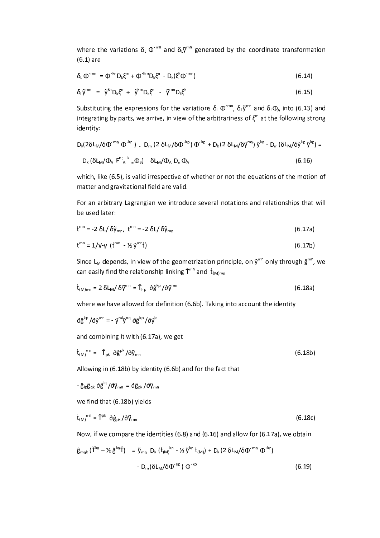where the variations  $\delta_L \Phi^{mn}$  and  $\delta_L \tilde{y}^{mn}$  generated by the coordinate transformation  $(6.1)$  are

$$
\delta_{L} \Phi^{\prime mn} = \Phi^{\prime kn} D_{k} \xi^{m} + \Phi^{\prime km} D_{k} \xi^{n} - D_{k} (\xi^{k} \Phi^{\prime mn})
$$
\n(6.14)

$$
\delta_{L}\tilde{y}^{mn} = \tilde{y}^{kn}D_{k}\xi^{m} + \tilde{y}^{km}D_{k}\xi^{n} - \tilde{y}^{mn}D_{k}\xi^{k}
$$
\n(6.15)

Substituting the expressions for the variations  $\delta_{L} \Phi^{cm}$ ,  $\delta_{L} \tilde{\phi}^{mn}$  and  $\delta_{L} \Phi_{A}$  into (6.13) and integrating by parts, we arrive, in view of the arbitrariness of  $\xi^m$  at the following strong identity:

$$
D_{k}(2\delta L_{M}/\delta\Phi^{\prime mn}\Phi^{\prime kn}) = D_{m}(2\delta L_{M}/\delta\Phi^{\prime kp})\Phi^{\prime kp} + D_{k}(2\delta L_{M}/\delta\tilde{\gamma}^{mn})\tilde{\gamma}^{kn} - D_{m}(\delta L_{M}/\delta\tilde{\gamma}^{kp}\tilde{\gamma}^{kp}) =
$$
  
- 
$$
D_{k}(\delta L_{M}/\Phi_{A} F^{B^{*}}{}_{A^{*}}{}^{k}{}_{m}\Phi_{B}) - \delta L_{M}/\Phi_{A} D_{m}\Phi_{A}
$$
 (6.16)

which, like (6.5), is valid irrespective of whether or not the equations of the motion of matter and gravitational field are valid.

For an arbitrary Lagrangian we introduce several notations and relationships that will be used later:

$$
\dot{\mathbf{t}}^{\text{mn}} = -2 \delta \mathbf{L} / \delta \tilde{\mathbf{y}}_{\text{mn}}, \quad \dot{\mathbf{t}}^{\text{mn}} = -2 \delta \mathbf{L} / \delta \tilde{\mathbf{y}}_{\text{mn}}
$$
 (6.17a)

$$
t^{mn} = 1/v - \gamma \left( t^{mn} - \frac{1}{2} \tilde{y}^{mn} t \right)
$$
 (6.17b)

Since L<sub>M</sub> depends, in view of the geometrization principle, on  $\tilde{y}^{mn}$  only through  $\hat{g}^{mn}$ , we can easily find the relationship linking  $\check{T}^{mn}$  and  $\dot{t}_{(M)mn}$ 

$$
\dot{\mathbf{t}}_{(M)mn} = 2 \delta \mathbf{L}_M / \delta \tilde{\mathbf{y}}^{mn} = \tilde{\mathbf{T}}_{hp} \ \partial \hat{\mathbf{g}}^{kp} / \delta \tilde{\mathbf{y}}^{mn}
$$
 (6.18a)

where we have allowed for definition (6.6b). Taking into account the identity

 $\partial \hat{g}^{kp}/\partial \tilde{v}^{mn} = -\tilde{v}^{ml}\tilde{v}^{nq} \partial \hat{g}^{kp}/\partial \tilde{v}^{lq}$ 

and combining it with (6.17a), we get

$$
\dot{\mathbf{t}}_{(M)}^{\text{mn}} = -\breve{\mathbf{T}}_{pk} \partial \hat{\mathbf{g}}^{pk} / \partial \tilde{\mathbf{y}}_{mn}
$$
 (6.18b)

Allowing in (6.18b) by identity (6.6b) and for the fact that

 $-\hat{g}_{lp}\hat{g}_{qk}\partial \hat{g}^{lq}/\partial \tilde{y}_{mn}=\partial \hat{g}_{nk}/\partial \tilde{y}_{mn}$ 

we find that (6.18b) yields

$$
\dot{\mathbf{t}}_{(M)}^{\text{mn}} = \check{\mathbf{T}}^{\text{pk}} \; \partial \hat{\mathbf{g}}_{\text{pk}} / \partial \tilde{\mathbf{y}}_{\text{mn}} \tag{6.18c}
$$

Now, if we compare the identities (6.8) and (6.16) and allow for (6.17a), we obtain

$$
\hat{\mathbf{g}}_{mnk} (\check{\mathbf{T}}^{kn} - \mathcal{V}_{2} \hat{\mathbf{g}}^{kn} \check{\mathbf{T}}) = \tilde{\mathbf{y}}_{mn} D_{k} (t_{(M)}^{kn} - \mathcal{V}_{2} \tilde{\mathbf{y}}^{kn} t_{(M)}) + D_{k} (2 \delta L_{M} / \delta \Phi^{\prime mn} \Phi^{\prime kn})
$$

$$
- D_{m} (\delta L_{M} / \delta \Phi^{\prime kp}) \Phi^{\prime kp}
$$
(6.19)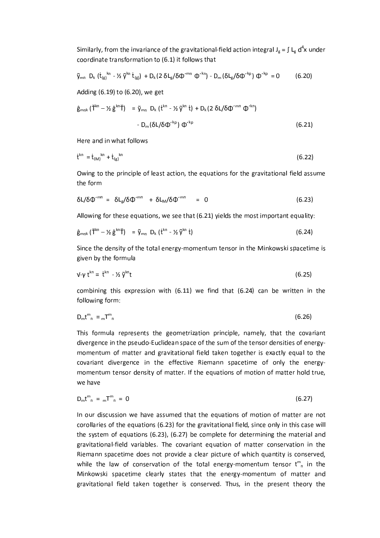Similarly, from the invariance of the gravitational-field action integral  $J_g = \int L_g d^4x$  under coordinate transformation to (6.1) it follows that

$$
\tilde{\gamma}_{mn} D_k \left( \dot{t}_{(g)}^{kn} - \frac{1}{2} \tilde{\gamma}^{kn} \dot{t}_{(g)} \right) + D_k (2 \delta L_g / \delta \Phi^{mn} \Phi^{k n}) - D_m (\delta L_g / \delta \Phi^{k p}) \Phi^{k p} = 0 \qquad (6.20)
$$

Adding (6.19) to (6.20), we get

$$
\hat{\mathbf{g}}_{mnk} (\check{\mathbf{T}}^{kn} - \mathcal{V}_{\hat{\mathbf{g}}}^{kn} \check{\mathbf{T}}) = \tilde{\mathbf{y}}_{mn} \; \mathbf{D}_k \; (\dot{\mathbf{t}}^{kn} - \mathcal{V}_{\hat{\mathbf{y}}} \tilde{\mathbf{y}}^{kn} \; \dot{\mathbf{t}}) + \mathbf{D}_k (2 \; \delta L / \delta \Phi^{mn} \; \Phi^{kn})
$$
\n
$$
- \mathbf{D}_m (\delta L / \delta \Phi^{kp}) \; \Phi^{kp} \tag{6.21}
$$

Here and in what follows

$$
\dot{\mathbf{t}}^{kn} = \dot{\mathbf{t}}_{(M)}^{kn} + \dot{\mathbf{t}}_{(g)}^{kn} \tag{6.22}
$$

Owing to the principle of least action, the equations for the gravitational field assume the form

$$
\delta L/\delta \Phi^{\prime mn} = \delta L_g/\delta \Phi^{\prime mn} + \delta L_m/\delta \Phi^{\prime mn} = 0 \qquad (6.23)
$$

Allowing for these equations, we see that (6.21) yields the most important equality:

$$
\hat{\mathbf{g}}_{mnk} (\check{\mathbf{T}}^{kn} - \mathcal{V} \; \hat{\mathbf{g}}^{kn} \check{\mathbf{T}}) = \tilde{\mathbf{y}}_{mn} \; \mathbf{D}_k \; (\dot{\mathbf{t}}^{kn} - \mathcal{V} \; \tilde{\mathbf{y}}^{kn} \; \dot{\mathbf{t}}) \tag{6.24}
$$

Since the density of the total energy-momentum tensor in the Minkowski spacetime is given by the formula

$$
\mathsf{v}\text{-}\mathsf{v}\,\mathsf{t}^{\mathsf{kn}}=\mathsf{t}^{\mathsf{kn}}\cdot\mathsf{Y}_{2}\,\widetilde{\mathsf{v}}^{\mathsf{kn}}\mathsf{t}\tag{6.25}
$$

combining this expression with  $(6.11)$  we find that  $(6.24)$  can be written in the following form:

$$
D_m t^m{}_n = {}_m T^m{}_n \tag{6.26}
$$

This formula represents the geometrization principle, namely, that the covariant divergence in the pseudo-Euclidean space of the sum of the tensor densities of energymomentum of matter and gravitational field taken together is exactly equal to the covariant divergence in the effective Riemann spacetime of only the energymomentum tensor density of matter. If the equations of motion of matter hold true, we have

$$
D_m t^m{}_n = {}_m T^m{}_n = 0 \tag{6.27}
$$

In our discussion we have assumed that the equations of motion of matter are not corollaries of the equations (6.23) for the gravitational field, since only in this case will the system of equations (6.23), (6.27) be complete for determining the material and gravitational-field variables. The covariant equation of matter conservation in the Riemann spacetime does not provide a clear picture of which quantity is conserved, while the law of conservation of the total energy-momentum tensor  $t_{n}^{m}$  in the Minkowski spacetime clearly states that the energy-momentum of matter and gravitational field taken together is conserved. Thus, in the present theory the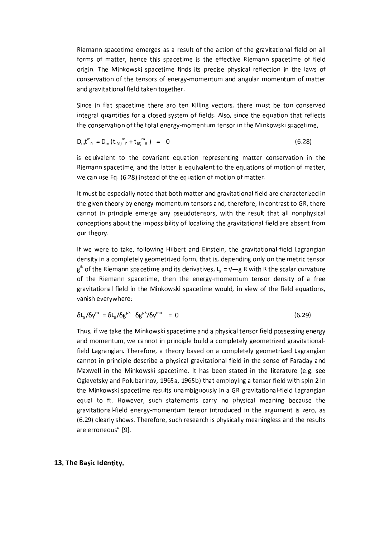Riemann spacetime emerges as a result of the action of the gravitational field on all forms of matter, hence this spacetime is the effective Riemann spacetime of field origin. The Minkowski spacetime finds its precise physical reflection in the laws of conservation of the tensors of energy-momentum and angular momentum of matter and gravitational field taken together.

Since in flat spacetime there aro ten Killing vectors, there must be ton conserved integral quantities for a closed system of fields. Also, since the equation that reflects the conservation of the total energy-momentum tensor in the Minkowski spacetime,

$$
D_m t^m{}_n = D_m (t_{(M)}^m{}_n + t_{(g)}^m{}_n) = 0
$$
 (6.28)

is equivalent to the covariant equation representing matter conservation in the Riemann spacetime, and the latter is equivalent to the equations of motion of matter, we can use Eq. (6.28) instead of the equation of motion of matter.

It must be especially noted that both matter and gravitational field are characterized in the given theory by energy-momentum tensors and, therefore, in contrast to GR, there cannot in principle emerge any pseudotensors, with the result that all nonphysical conceptions about the impossibility of localizing the gravitational field are absent from our theory.

If we were to take, following Hilbert and Einstein, the gravitational-field Lagrangian density in a completely geometrized form, that is, depending only on the metric tensor  $g^{ik}$  of the Riemann spacetime and its derivatives, L<sub>g</sub> =  $V-g$  R with R the scalar curvature of the Riemann spacetime, then the energy-momentum tensor density of a free gravitational field in the Minkowski spacetime would, in view of the field equations, vanish everywhere:

$$
\delta L_g / \delta \gamma^{mn} = \delta L_g / \delta g^{pk} / \delta \gamma^{mn} = 0 \qquad (6.29)
$$

Thus, if we take the Minkowski spacetime and a physical tensor field possessing energy and momentum, we cannot in principle build a completely geometrized gravitationalfield Lagrangian. Therefore, a theory based on a completely geometrized Lagrangian cannot in principle describe a physical gravitational field in the sense of Faraday and Maxwell in the Minkowski spacetime. It has been stated in the literature (e.g. see Ogievetsky and Polubarinov, 1965a, 1965b) that employing a tensor field with spin 2 in the Minkowski spacetime results unambiguously in a GR gravitational-field Lagrangian equal to ft. However, such statements carry no physical meaning because the gravitational-field energy-momentum tensor introduced in the argument is zero, as (6.29) clearly shows. Therefore, such research is physically meaningless and the results are erroneous" [9].

### 13. The Basic Identity.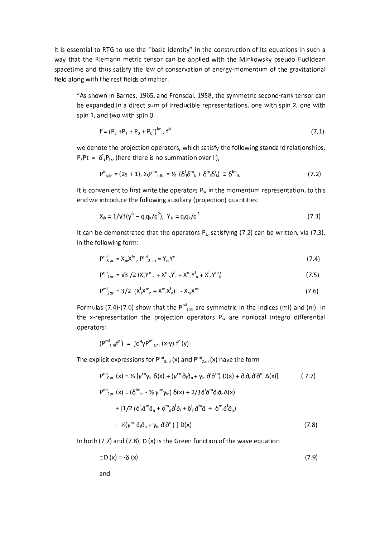It is essential to RTG to use the "basic identity" in the construction of its equations in such a way that the Riemann metric tensor can be applied with the Minkowsky pseudo Euclidean spacetime and thus satisfy the law of conservation of energy-momentum of the gravitational field along with the rest fields of matter.

"As shown in Barnes, 1965, and Fronsdal, 1958, the symmetric second-rank tensor can be expanded in a direct sum of irreducible representations, one with spin 2, one with spin 1, and two with spin 0:

$$
f^{i} = (P_2 + P_1 + P_0 + P_0')^{lm}{}_{ik} f^{ik}
$$
\n(7.1)

we denote the projection operators, which satisfy the following standard relationships:  $P_3Pt = \delta^t_s P_t$ , (here there is no summation over I),

$$
P^{in}_{s;in} = (2s + 1), \Sigma_s P^{in}_{s;ik} = \frac{1}{2} \left( \delta^i \delta^m_{k} + \delta^m \delta^i_{k} \right) \equiv \delta^{in}_{ik}
$$
 (7.2)

It is convenient to first write the operators  $P_s$ , in the momentum representation, to this end we introduce the following auxiliary (projection) quantities:

$$
X_{ik} = 1/V3(\gamma^{ik} - q_i q_k/q^2), Y_{ik} = q_i q_k/q^2
$$
 (7.3)

It can be demonstrated that the operators  $P_s$ , satisfying (7.2) can be written, via (7.3), in the following form:

$$
P^{mi}_{0;ni} = X_{ni}X^{lm}, P^{mi}_{0;ni} = Y_{ni}Y^{ml}
$$
 (7.4)

$$
P^{mi}_{1;ni} = \frac{v_3}{2} \left( \frac{X^i}{Y^m_{n}} + \frac{X^m}{Y^i_{n}} + \frac{X^m}{Y^i_{n}} + \frac{X^i}{Y^m_{n}} \right)
$$
 (7.5)

$$
P_{2;ni}^{mi} = 3/2 \left( X_i^l X_i^m + X_i^m X_i^l \right) - X_{ni} X_i^{mi}
$$
 (7.6)

Formulas (7.4)-(7.6) show that the  $P^{mi}$ <sub>s,ni</sub> are symmetric in the indices (ml) and (nl). In the x-representation the projection operators P<sub>s</sub>, are nonlocal integro differential operators:

$$
(P^{mi}_{s;ni}f^{ni}) = \int d^4y P^{mi}_{s;ni}(x-y) f^{ni}(y)
$$

The explicit expressions for  $P^{mi}_{0,ni}$  (x) and  $P^{mi}_{2,ni}$  (x) have the form

$$
P^{mi}_{0;ni}(x) = \frac{1}{3} [\gamma^{im} \gamma_{in} \delta(x) + (\gamma^{im} \delta_{i} \delta_{n} + \gamma_{in} \delta^{i} \delta^{m}) D(x) + \delta_{i} \delta_{n} \delta^{i} \delta^{m} \Delta(x)] \qquad (7.7)
$$
  
\n
$$
P^{mi}_{2;ni}(x) = (\delta^{im}_{in} - \frac{1}{3} \gamma^{im} \gamma_{in}) \delta(x) + \frac{2}{3} \delta^{i} \delta^{m} \delta_{i} \delta_{n} \Delta(x)
$$
  
\n
$$
+ \frac{1}{2} (\delta^{i} \delta^{m} \delta_{n} + \delta^{m} \delta^{i} \delta_{i} + \delta^{i} \delta^{m} \delta_{i} + \delta^{m} \delta^{i} \delta_{n})
$$
  
\n
$$
- \frac{1}{3} (\gamma^{im} \delta_{i} \delta_{n} + \gamma_{in} \delta^{i} \delta^{m})] D(x) \qquad (7.8)
$$

In both  $(7.7)$  and  $(7.8)$ , D  $(x)$  is the Green function of the wave equation

$$
\Box D(x) = -\delta(x) \tag{7.9}
$$

and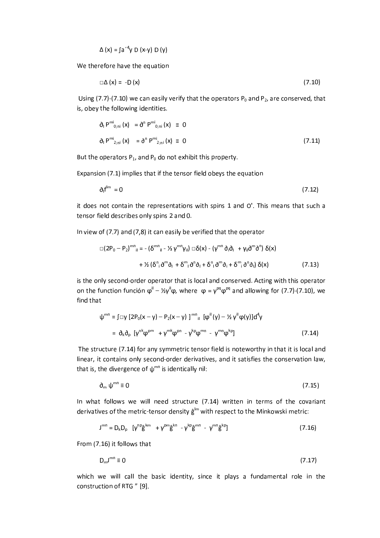$$
\Delta(x) = \int a'^4 y D(x-y) D(y)
$$

We therefore have the equation

$$
\Box \Delta (x) = -D (x) \tag{7.10}
$$

Using (7.7)-(7.10) we can easily verify that the operators  $P_0$  and  $P_2$ , are conserved, that is, obey the following identities.

$$
\partial_{\perp} P^{m_1}{}_{0;ni}(x) = \partial^n P^{m_1}{}_{0;ni}(x) \equiv 0
$$
\n
$$
\partial_{\perp} P^{m_1}{}_{2;ni}(x) = \partial^n P^{m_1}{}_{2;ni}(x) \equiv 0 \tag{7.11}
$$

But the operators  $P_1$ , and  $P_0$  do not exhibit this property.

Expansion (7.1) implies that if the tensor field obeys the equation

$$
\partial_1 f^{lm} = 0 \tag{7.12}
$$

it does not contain the representations with spins 1 and O'. This means that such a tensor field describes only spins 2 and 0.

In view of (7.7) and (7,8) it can easily be verified that the operator

$$
\Box(2P_0 - P_2)^{mn}{}_{il} = -(\delta^{mn}{}_{il} - \frac{1}{2} \gamma^{mn} \gamma_{il}) \Box \delta(x) - (\gamma^{mn} \delta_i \delta_l + \gamma_{il} \delta^m \delta^n) \delta(x)
$$
  
+ 
$$
\frac{1}{2} (\delta^n{}_i \delta^m \delta_l + \delta^m{}_i \delta^n \delta_l + \delta^n{}_i \delta^m \delta_i + \delta^m{}_i \delta^n \delta_l) \delta(x)
$$
 (7.13)

is the only second-order operator that is local and conserved. Acting with this operator on the function función  $\varphi^{\parallel} - \frac{1}{2} \gamma^{\parallel} \varphi$ , where  $\varphi = \gamma^{pq} \varphi^{pq}$  and allowing for (7.7)-(7.10), we find that

$$
\psi^{mn} = \int \Box y \left[ 2P_0(x - y) - P_2(x - y) \right]^{mn} \left[ \phi^{ii}(y) - \frac{1}{2} y^i \phi(y) \right] d^4 y
$$
  
=  $\partial_k \partial_p \left[ y^{nk} \phi^{pm} + y^{mk} \phi^{pn} - y^{kp} \phi^{mn} - y^{mn} \phi^{kp} \right]$  (7.14)

The structure (7.14) for any symmetric tensor field is noteworthy in that it is local and linear, it contains only second-order derivatives, and it satisfies the conservation law, that is, the divergence of  $\psi^{mn}$  is identically nil:

$$
\mathbf{d}_{m} \psi^{mn} \equiv 0 \tag{7.15}
$$

In what follows we will need structure (7.14) written in terms of the covariant derivatives of the metric-tensor density  $\hat{\mathsf{g}}^{\text{lm}}$  with respect to the Minkowski metric:

$$
J^{mn} = D_k D_p \left[ \gamma^{np} \hat{g}^{km} + \gamma^{pm} \hat{g}^{kn} - \gamma^{kp} \hat{g}^{mn} - \gamma^{mn} \hat{g}^{kp} \right]
$$
 (7.16)

From (7.16) it follows that

$$
D_m J^{mn} \equiv 0 \tag{7.17}
$$

which we will call the basic identity, since it plays a fundamental role in the construction of RTG " [9].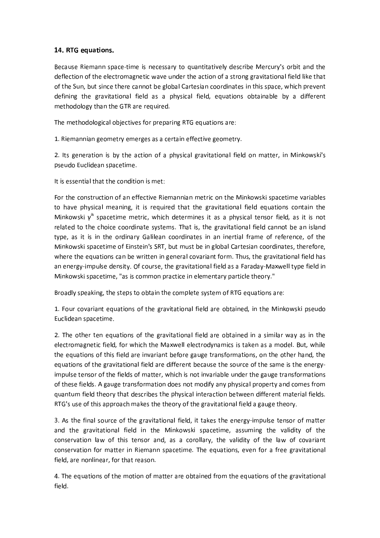### 14. RTG equations.

Because Riemann space-time is necessary to quantitatively describe Mercury's orbit and the deflection of the electromagnetic wave under the action of a strong gravitational field like that of the Sun, but since there cannot be global Cartesian coordinates in this space, which prevent defining the gravitational field as a physical field, equations obtainable by a different methodology than the GTR are required.

The methodological objectives for preparing RTG equations are:

1. Riemannian geometry emerges as a certain effective geometry.

2. Its generation is by the action of a physical gravitational field on matter, in Minkowski's pseudo Euclidean spacetime.

It is essential that the condition is met:

For the construction of an effective Riemannian metric on the Minkowski spacetime variables to have physical meaning, it is required that the gravitational field equations contain the Minkowski  $y^k$  spacetime metric, which determines it as a physical tensor field, as it is not related to the choice coordinate systems. That is, the gravitational field cannot be an island type, as it is in the ordinary Galilean coordinates in an inertial frame of reference, of the Minkowski spacetime of Einstein's SRT, but must be in global Cartesian coordinates, therefore, where the equations can be written in general covariant form. Thus, the gravitational field has an energy-impulse density. Of course, the gravitational field as a Faraday-Maxwell type field in Minkowski spacetime, "as is common practice in elementary particle theory."

Broadly speaking, the steps to obtain the complete system of RTG equations are:

1. Four covariant equations of the gravitational field are obtained, in the Minkowski pseudo Euclidean spacetime.

2. The other ten equations of the gravitational field are obtained in a similar way as in the electromagnetic field, for which the Maxwell electrodynamics is taken as a model. But, while the equations of this field are invariant before gauge transformations, on the other hand, the equations of the gravitational field are different because the source of the same is the energyimpulse tensor of the fields of matter, which is not invariable under the gauge transformations of these fields. A gauge transformation does not modify any physical property and comes from quantum field theory that describes the physical interaction between different material fields. RTG's use of this approach makes the theory of the gravitational field a gauge theory.

3. As the final source of the gravitational field, it takes the energy-impulse tensor of matter and the gravitational field in the Minkowski spacetime, assuming the validity of the conservation law of this tensor and, as a corollary, the validity of the law of covariant conservation for matter in Riemann spacetime. The equations, even for a free gravitational field, are nonlinear, for that reason.

4. The equations of the motion of matter are obtained from the equations of the gravitational field.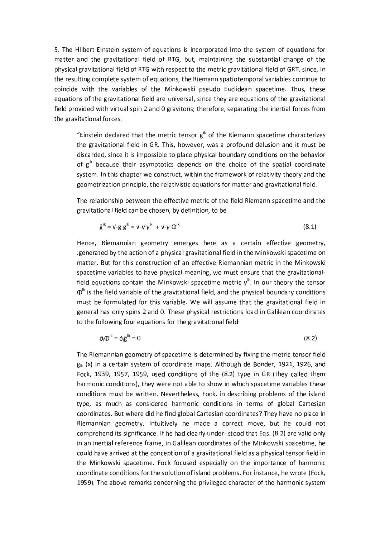5. The Hilbert-Einstein system of equations is incorporated into the system of equations for matter and the gravitational field of RTG, but, maintaining the substantial change of the physical gravitational field of RTG with respect to the metric gravitational field of GRT, since, In the resulting complete system of equations, the Riemann spatiotemporal variables continue to coincide with the variables of the Minkowski pseudo Euclidean spacetime. Thus, these equations of the gravitational field are universal, since they are equations of the gravitational field provided with virtual spin 2 and 0 gravitons; therefore, separating the inertial forces from the gravitational forces.

"Einstein declared that the metric tensor  $g^k$  of the Riemann spacetime characterizes the gravitational field in GR. This, however, was a profound delusion and it must be discarded, since it is impossible to place physical boundary conditions on the behavior of  $g^{ik}$  because their asymptotics depends on the choice of the spatial coordinate system. In this chapter we construct, within the framework of relativity theory and the geometrization principle, the relativistic equations for matter and gravitational field.

The relationship between the effective metric of the field Riemann spacetime and the gravitational field can be chosen, by definition, to be

$$
\hat{\mathbf{g}}^{ik} = \mathbf{v} - \mathbf{g} \mathbf{g}^{ik} = \mathbf{v} - \mathbf{y} \mathbf{v}^{ik} + \mathbf{v} - \mathbf{y} \Phi^{ik}
$$
 (8.1)

Hence, Riemannian geometry emerges here as a certain effective geometry, generated by the action of a physical gravitational field in the Minkowski spacetime on matter. But for this construction of an effective Riemannian metric in the Minkowski spacetime variables to have physical meaning, wo must ensure that the gravitationalfield equations contain the Minkowski spacetime metric  $y^{ik}$ . In our theory the tensor  $\Phi^{\text{ik}}$  is the field variable of the gravitational field, and the physical boundary conditions must be formulated for this variable. We will assume that the gravitational field in general has only spins 2 and 0. These physical restrictions load in Galilean coordinates to the following four equations for the gravitational field:

$$
\partial_i \Phi^{ik} = \partial_i \hat{g}^{ik} = 0 \tag{8.2}
$$

The Riemannian geometry of spacetime is determined by fixing the metric-tensor field  $g_{ik}$  (x) in a certain system of coordinate maps. Although de Bonder, 1921, 1926, and Fock, 1939, 1957, 1959, used conditions of the (8.2) type in GR (they called them harmonic conditions), they were not able to show in which spacetime variables these conditions must be written. Nevertheless, Fock, in describing problems of the island type, as much as considered harmonic conditions in terms of global Cartesian coordinates. But where did he find global Cartesian coordinates? They have no place in Riemannian geometry. Intuitively he made a correct move, but he could not comprehend its significance. If he had clearly under-stood that Eqs. (8.2) are valid only in an inertial reference frame, in Galilean coordinates of the Minkowski spacetime, he could have arrived at the conception of a gravitational field as a physical tensor field in the Minkowski spacetime. Fock focused especially on the importance of harmonic coordinate conditions for the solution of island problems. For instance, he wrote (Fock, 1959): The above remarks concerning the privileged character of the harmonic system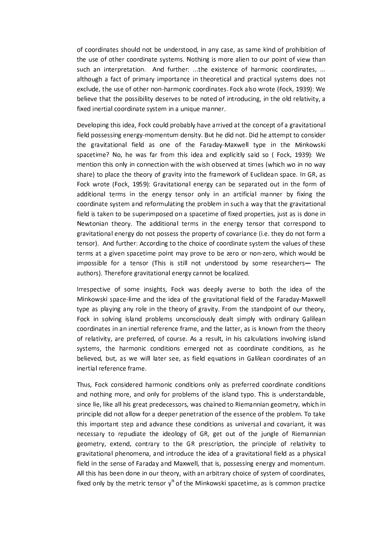of coordinates should not be understood, in any case, as same kind of prohibition of the use of other coordinate systems. Nothing is more alien to our point of view than such an interpretation. And further: ...the existence of harmonic coordinates, ... although a fact of primary importance in theoretical and practical systems does not exclude, the use of other non-harmonic coordinates. Fock also wrote (Fock, 1939): We believe that the possibility deserves to be noted of introducing, in the old relativity, a fixed inertial coordinate system in a unique manner.

Developing this idea, Fock could probably have arrived at the concept of a gravitational field possessing energy-momentum density. But he did not. Did he attempt to consider the gravitational field as one of the Faraday-Maxwell type in the Minkowski spacetime? No, he was far from this idea and explicitly said so (Fock, 1939): We mention this only in connection with the wish observed at times (which wo in no way share) to place the theory of gravity into the framework of Euclidean space. In GR, as Fock wrote (Fock, 1959): Gravitational energy can be separated out in the form of additional terms in the energy tensor only in an artificial manner by fixing the coordinate system and reformulating the problem in such a way that the gravitational field is taken to be superimposed on a spacetime of fixed properties, just as is done in Newtonian theory. The additional terms in the energy tensor that correspond to gravitational energy do not possess the property of covariance (i.e. they do not form a tensor). And further: According to the choice of coordinate system the values of these terms at a given spacetime point may prove to be zero or non-zero, which would be impossible for a tensor (This is still not understood by some researchers- The authors). Therefore gravitational energy cannot be localized.

Irrespective of some insights, Fock was deeply averse to both the idea of the Minkowski space-lime and the idea of the gravitational field of the Faraday-Maxwell type as playing any role in the theory of gravity. From the standpoint of our theory, Fock in solving island problems unconsciously dealt simply with ordinary Galilean coordinates in an inertial reference frame, and the latter, as is known from the theory of relativity, are preferred, of course. As a result, in his calculations involving island systems, the harmonic conditions emerged not as coordinate conditions, as he believed, but, as we will later see, as field equations in Galilean coordinates of an inertial reference frame.

Thus, Fock considered harmonic conditions only as preferred coordinate conditions and nothing more, and only for problems of the island typo. This is understandable, since lie, like all his great predecessors, was chained to Riemannian geometry, which in principle did not allow for a deeper penetration of the essence of the problem. To take this important step and advance these conditions as universal and covariant, it was necessary to repudiate the ideology of GR, get out of the jungle of Riemannian geometry, extend, contrary to the GR prescription, the principle of relativity to gravitational phenomena, and introduce the idea of a gravitational field as a physical field in the sense of Faraday and Maxwell, that is, possessing energy and momentum. All this has been done in our theory, with an arbitrary choice of system of coordinates, fixed only by the metric tensor  $y^k$  of the Minkowski spacetime, as is common practice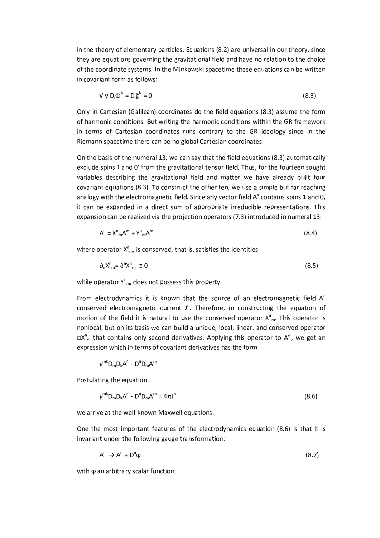in the theory of elementary particles. Equations (8.2) are universal in our theory, since they are equations governing the gravitational field and have no relation to the choice of the coordinate systems. In the Minkowski spacetime these equations can be written in covariant form as follows:

$$
\mathbf{V} \cdot \mathbf{V} \mathbf{D}_i \mathbf{Q}^{ik} = \mathbf{D}_i \hat{\mathbf{g}}^{ik} = \mathbf{0} \tag{8.3}
$$

Only in Cartesian (Galilean) coordinates do the field equations (8.3) assume the form of harmonic conditions. But writing the harmonic conditions within the GR framework in terms of Cartesian coordinates runs contrary to the GR ideology since in the Riemann spacetime there can be no global Cartesian coordinates.

On the basis of the numeral 13, we can say that the field equations (8.3) automatically exclude spins 1 and 0' from the gravitational tensor field. Thus, for the fourteen sought variables describing the gravitational field and matter we have already built four covariant equations (8.3). To construct the other ten, we use a simple but far reaching analogy with the electromagnetic field. Since any vector field  $A<sup>n</sup>$  contains spins 1 and 0, it can be expanded in a direct sum of appropriate irreducible representations. This expansion can be realized via the projection operators (7.3) introduced in numeral 13:

$$
A^n = X^n{}_{m}A^m + Y^n{}_{m}A^m \tag{8.4}
$$

where operator  $X_{m}^{n}$ , is conserved, that is, satisfies the identities

$$
\partial_n X^n{}_{m} = \partial^n X^n{}_{m} \equiv 0 \tag{8.5}
$$

while operator  $Y_{m}^{n}$ , does not possess this property.

From electrodynamics it is known that the source of an electromagnetic field  $A^n$ conserved electromagnetic current J<sup>n</sup>. Therefore, in constructing the equation of motion of the field it is natural to use the conserved operator  $X_{m}^{n}$ . This operator is nonlocal, but on its basis we can build a unique, local, linear, and conserved operator  $\Box X^{n}$  that contains only second derivatives. Applying this operator to A<sup>m</sup>, we get an expression which in terms of covariant derivatives has the form

 $v^{mk}D_{m}D_{k}A^{n}$  -  $D^{n}D_{m}A^{m}$ 

Postulating the equation

$$
\gamma^{\mathrm{mk}} D_{\mathrm{m}} D_{\mathrm{k}} A^{\mathrm{n}} - D^{\mathrm{n}} D_{\mathrm{m}} A^{\mathrm{m}} = 4\pi J^{\mathrm{n}} \tag{8.6}
$$

we arrive at the well-known Maxwell equations.

One the most important features of the electrodynamics equation (8.6) is that it is invariant under the following gauge transformation:

$$
A^n \to A^n + D^n \varphi \tag{8.7}
$$

with  $\varphi$  an arbitrary scalar function.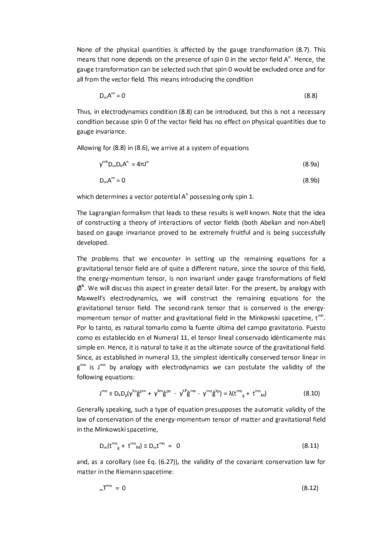None of the physical quantities is affected by the gauge transformation (8.7). This means that none depends on the presence of spin 0 in the vector field A<sup>n</sup>. Hence, the gauge transformation can be selected such that spin 0 would be excluded once and for all from the vector field. This means introducing the condition

$$
D_m A^m = 0 \tag{8.8}
$$

Thus, in electrodynamics condition (8.8) can be introduced, but this is not a necessary condition because spin 0 of the vector field has no effect on physical quantities due to gauge invariance.

Allowing for (8.8) in (8.6), we arrive at a system of equations

$$
\gamma^{\mathrm{mk}} D_{\mathrm{m}} D_{\mathrm{k}} A^{\mathrm{n}} = 4\pi J^{\mathrm{n}} \tag{8.9a}
$$

$$
D_m A^m = 0 \tag{8.9b}
$$

which determines a vector potential  $A<sup>n</sup>$  possessing only spin 1.

The Lagrangian formalism that leads to these results is well known. Note that the idea of constructing a theory of interactions of vector fields (both Abelian and non-Abel) based on gauge invariance proved to be extremely fruitful and is being successfully developed.

The problems that we encounter in setting up the remaining equations for a gravitational tensor field are of quite a different nature, since the source of this field, the energy-momentum tensor, is non invariant under gauge transformations of field  $\hat{\varnothing}^{\text{ik}}$ . We will discuss this aspect in greater detail later. For the present, by analogy with Maxwell's electrodynamics, we will construct the remaining equations for the gravitational tensor field. The second-rank tensor that is conserved is the energymomentum tensor of matter and gravitational field in the Minkowski spacetime, t<sup>mn</sup>. Por lo tanto, es natural tomarlo como la fuente última del campo gravitatorio. Puesto como es establecido en el Numeral 11, el tensor lineal conservado idénticamente más simple en. Hence, it is natural to take it as the ultimate source of the gravitational field. Since, as established in numeral 13, the simplest identically conserved tensor linear in  $g^{mn}$  is  $J^{mn}$  by analogy with electrodynamics we can postulate the validity of the following equations:

$$
J^{mn} \equiv D_{k}D_{p}(\gamma^{kn}\hat{g}^{pm} + \gamma^{km}\hat{g}^{pn} - \gamma^{k} \hat{g}^{mn} - \gamma^{mn}\hat{g}^{kp}) = \lambda(t^{mn}{}_{g} + t^{mn}{}_{M})
$$
(8.10)

Generally speaking, such a type of equation presupposes the automatic validity of the law of conservation of the energy-momentum tensor of matter and gravitational field in the Minkowski spacetime,

$$
D_m(t^{mn}{}_g + t^{mn}{}_M) \equiv D_m t^{mn} = 0 \tag{8.11}
$$

and, as a corollary (see Eq. (6.27)), the validity of the covariant conservation law for matter in the Riemann spacetime:

$$
_{m}T^{mn} = 0 \tag{8.12}
$$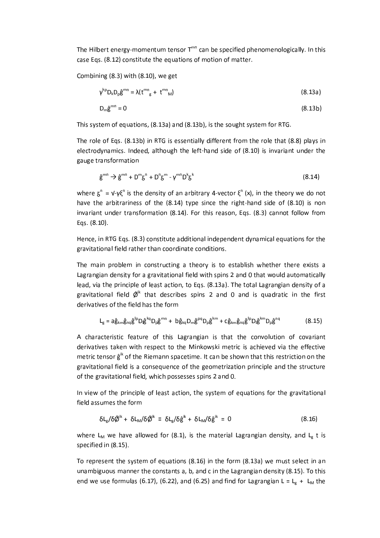The Hilbert energy-momentum tensor T<sup>mn</sup> can be specified phenomenologically. In this case Eqs. (8.12) constitute the equations of motion of matter.

Combining (8.3) with (8.10), we get

$$
\gamma^{kp} D_k D_p \hat{\mathbf{g}}^{mn} = \lambda (t^{mn}_{g} + t^{mn}_{M})
$$
\n(8.13a)

$$
D_m \hat{g}^{mn} = 0 \tag{8.13b}
$$

This system of equations, (8.13a) and (8.13b), is the sought system for RTG.

The role of Eqs. (8.13b) in RTG is essentially different from the role that (8.8) plays in electrodynamics. Indeed, although the left-hand side of (8.10) is invariant under the gauge transformation

$$
\hat{\mathbf{g}}^{\text{mn}} \to \hat{\mathbf{g}}^{\text{mn}} + \mathbf{D}^{\text{m}} \mathbf{g}^{\text{n}} + \mathbf{D}^{\text{n}} \mathbf{g}^{\text{m}} - \gamma^{\text{mn}} \mathbf{D}^{\text{k}} \mathbf{g}^{\text{k}}
$$
\n(8.14)

where  $\zeta^n = v - v \zeta^n$  is the density of an arbitrary 4-vector  $\xi^n$  (x), in the theory we do not have the arbitrariness of the (8.14) type since the right-hand side of (8.10) is non invariant under transformation (8.14). For this reason, Eqs. (8.3) cannot follow from Eqs. (8.10).

Hence, in RTG Eqs. (8.3) constitute additional independent dynamical equations for the gravitational field rather than coordinate conditions.

The main problem in constructing a theory is to establish whether there exists a Lagrangian density for a gravitational field with spins 2 and 0 that would automatically lead, via the principle of least action, to Eqs. (8.13a). The total Lagrangian density of a gravitational field  $\hat{\varnothing}^{\text{lk}}$  that describes spins 2 and 0 and is quadratic in the first derivatives of the field has the form

$$
L_g = a\hat{g}_{km}\hat{g}_{nq}\hat{g}^{lp}D_l\hat{g}^{kq}D_p\hat{g}^{mn} + b\hat{g}_{kq}D_m\hat{g}^{pq}D_p\hat{g}^{km} + c\hat{g}_{km}\hat{g}_{nq}\hat{g}^{lp}D_l\hat{g}^{km}D_p\hat{g}^{nq}
$$
(8.15)

A characteristic feature of this Lagrangian is that the convolution of covariant derivatives taken with respect to the Minkowski metric is achieved via the effective metric tensor  $\hat{\mathbf{g}}^{\text{ik}}$  of the Riemann spacetime. It can be shown that this restriction on the gravitational field is a consequence of the geometrization principle and the structure of the gravitational field, which possesses spins 2 and 0.

In view of the principle of least action, the system of equations for the gravitational field assumes the form

$$
\delta L_g/\delta \acute{\phi}^{ik} + \delta L_m/\delta \acute{\phi}^{ik} \equiv \delta L_g/\delta \hat{g}^{ik} + \delta L_m/\delta \hat{g}^{ik} = 0 \qquad (8.16)
$$

where L<sub>M</sub> we have allowed for (8.1), is the material Lagrangian density, and L<sub>g</sub> t is specified in (8.15).

To represent the system of equations (8.16) in the form (8.13a) we must select in an unambiguous manner the constants a, b, and c in the Lagrangian density (8.15). To this end we use formulas (6.17), (6.22), and (6.25) and find for Lagrangian L = L<sub>g</sub> + L<sub>M</sub> the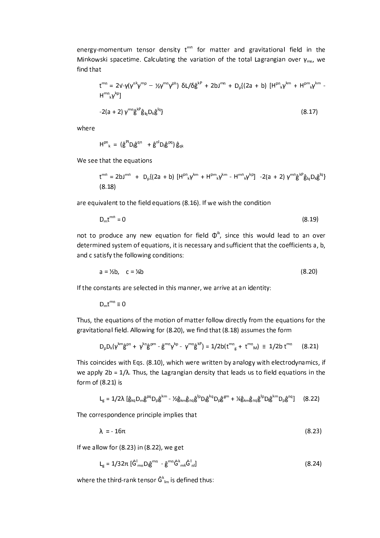energy-momentum tensor density t<sup>mn</sup> for matter and gravitational field in the Minkowski spacetime. Calculating the variation of the total Lagrangian over  $\gamma_{mn}$ , we find that

$$
t^{mn} = 2v - \gamma(\gamma^{nk}\gamma^{mp} - \frac{1}{2}\gamma^{mn}\gamma^{ph}) \delta L/\delta \hat{g}^{kp} + 2bJ^{mn} + D_p\{(2a + b) [H^{pn}{}_{k}\gamma^{km} + H^{pm}{}_{k}\gamma^{km} + H^{pm}{}_{k}\gamma^{km} + H^{pm}{}_{k}\gamma^{km} + H^{pm}{}_{k}\gamma^{km} + H^{pm}{}_{k}\gamma^{km} + H^{pm}{}_{k}\gamma^{km} + H^{pm}{}_{k}\gamma^{km}
$$
\n
$$
-2(a + 2) \gamma^{mn}\hat{g}^{kp}\hat{g}_{lq}D_{k}\hat{g}^{lq}\}
$$
\n(8.17)

where

$$
H^{pn}_{k} = (\hat{g}^{pl}D_{l}\hat{g}^{qn} + \hat{g}^{nl}D_{l}\hat{g}^{pq})\hat{g}_{qk}
$$

We see that the equations

$$
t^{mn} = 2bJ^{mn} + D_{p}\{(2a + b) [H^{pn}_{k} \gamma^{km} + H^{pn}_{k} \gamma^{km} - H^{mn}_{k} \gamma^{kp}] - 2(a + 2) \gamma^{mn} \hat{g}^{kp} \hat{g}_{iq} D_{k} \hat{g}^{iq}\}\
$$
  
(8.18)

are equivalent to the field equations (8.16). If we wish the condition

$$
D_{\rm m}t^{\rm mn}=0\tag{8.19}
$$

not to produce any new equation for field  $\Phi^k$ , since this would lead to an over determined system of equations, it is necessary and sufficient that the coefficients a, b, and c satisfy the following conditions:

$$
a = \frac{1}{2}b, \quad c = \frac{1}{4}b \tag{8.20}
$$

If the constants are selected in this manner, we arrive at an identity:

 $D_m t^{mn} \equiv 0$ 

Thus, the equations of the motion of matter follow directly from the equations for the gravitational field. Allowing for (8.20), we find that (8.18) assumes the form

$$
D_{p}D_{k}(\gamma^{km}\hat{g}^{pn} + \gamma^{kn}\hat{g}^{pm} - \hat{g}^{mn}\gamma^{kp} - \gamma^{mn}\hat{g}^{kp}) = 1/2b(t^{mn}_{g} + t^{mn}_{M}) \equiv 1/2b t^{mn}
$$
 (8.21)

This coincides with Eqs. (8.10), which were written by analogy with electrodynamics, if we apply  $2b = 1/\lambda$ . Thus, the Lagrangian density that leads us to field equations in the form of (8.21) is

$$
L_g = 1/2\lambda \left[ \hat{g}_{kq} D_m \hat{g}^{pq} D_p \hat{g}^{km} - \frac{1}{2} \hat{g}_{km} \hat{g}_{nq} \hat{g}^{lp} D_l \hat{g}^{ka} D_p \hat{g}^{gm} + \frac{1}{2} \hat{g}_{km} \hat{g}_{nq} \hat{g}^{lp} D_l \hat{g}^{km} D_p \hat{g}^{nq} \right] \quad (8.22)
$$

The correspondence principle implies that

$$
\lambda = -16\pi \tag{8.23}
$$

If we allow for (8.23) in (8.22), we get

 $L_g = 1/32\pi \left[ \hat{G}_{mn}^{\dagger} D_{l} \hat{g}^{mn} - \hat{g}^{mn} \hat{G}_{mk}^{k} \hat{G}_{nl}^{\dagger} \right]$  $(8.24)$ 

where the third-rank tensor  $\hat{G}^{k}_{lm}$  is defined thus: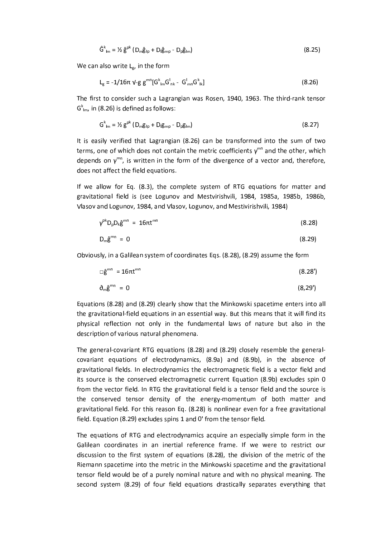$$
\hat{G}^k_{lm} = \frac{1}{2} \hat{g}^{pk} \left( D_m \hat{g}_{lp} + D_l \hat{g}_{mp} - D_p \hat{g}_{lm} \right) \tag{8.25}
$$

We can also write  $L_g$ , in the form

$$
L_{g} = -1/16\pi \, V - g \, g^{mn} [G^{k}_{nm} G^{k}_{nk} - G^{l}_{mn} G^{k}_{nk}]
$$
\n(8.26)

The first to consider such a Lagrangian was Rosen, 1940, 1963. The third-rank tensor  $G_{\text{lm}}^{k}$ , in (8.26) is defined as follows:

$$
G^{k}_{1m} = \frac{1}{2} g^{pk} (D_{m} g_{lp} + D_{l} g_{mp} - D_{p} g_{lm})
$$
 (8.27)

It is easily verified that Lagrangian (8.26) can be transformed into the sum of two terms, one of which does not contain the metric coefficients  $y^{mn}$  and the other, which depends on  $\gamma^{mn}$ , is written in the form of the divergence of a vector and, therefore, does not affect the field equations.

If we allow for Eq. (8.3), the complete system of RTG equations for matter and gravitational field is (see Logunov and Mestvirishvili, 1984, 1985a, 1985b, 1986b, Vlasov and Logunov, 1984, and Vlasov, Logunov, and Mestivirishvili, 1984)

$$
\gamma^{\rm pk} D_{\rm b} D_k \hat{\mathbf{g}}^{\rm mn} = 16 \pi \mathbf{t}^{\rm mn} \tag{8.28}
$$

$$
D_m \hat{g}^{mn} = 0 \tag{8.29}
$$

Obviously, in a Galilean system of coordinates Eqs. (8.28), (8.29) assume the form

$$
\Box \hat{\mathsf{g}}^{\mathsf{mn}} = 16\pi \mathsf{t}^{\mathsf{mn}} \tag{8.28'}
$$

$$
\partial_m \hat{g}^{mn} = 0 \tag{8.29'}
$$

Equations (8.28) and (8.29) clearly show that the Minkowski spacetime enters into all the gravitational-field equations in an essential way. But this means that it will find its physical reflection not only in the fundamental laws of nature but also in the description of various natural phenomena.

The general-covariant RTG equations (8.28) and (8.29) closely resemble the generalcovariant equations of electrodynamics, (8.9a) and (8.9b), in the absence of gravitational fields. In electrodynamics the electromagnetic field is a vector field and its source is the conserved electromagnetic current Equation (8.9b) excludes spin 0 from the vector field. In RTG the gravitational field is a tensor field and the source is the conserved tensor density of the energy-momentum of both matter and gravitational field. For this reason Eq. (8.28) is nonlinear even for a free gravitational field. Equation (8.29) excludes spins 1 and 0' from the tensor field.

The equations of RTG and electrodynamics acquire an especially simple form in the Galilean coordinates in an inertial reference frame. If we were to restrict our discussion to the first system of equations (8.28), the division of the metric of the Riemann spacetime into the metric in the Minkowski spacetime and the gravitational tensor field would be of a purely nominal nature and with no physical meaning. The second system (8.29) of four field equations drastically separates everything that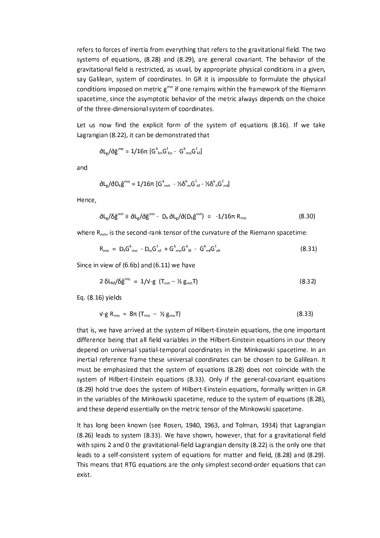refers to forces of inertia from everything that refers to the gravitational field. The two systems of equations, (8.28) and (8.29), are general covariant. The behavior of the gravitational field is restricted, as usual, by appropriate physical conditions in a given, say Galilean, system of coordinates. In GR it is impossible to formulate the physical conditions imposed on metric g<sup>mn</sup> if one remains within the framework of the Riemann spacetime, since the asymptotic behavior of the metric always depends on the choice of the three-dimensional system of coordinates.

Let us now find the explicit form of the system of equations (8.16). If we take Lagrangian (8.22), it can be demonstrated that

$$
\delta L_g / \delta \hat{g}^{mn} = 1/16\pi \left[ G^k_{1m} G^l_{kn} - G^k_{mn} G^l_{kl} \right]
$$

and

$$
\delta L_g / \delta D_k \hat{g}^{mn} = 1/16\pi \left[ G^k{}_{mn} - \frac{1}{2} \delta^k{}_m G^l{}_{nl} - \frac{1}{2} \delta^k{}_n G^l{}_{ml} \right]
$$

Hence.

$$
\partial L_g / \delta \hat{g}^{mn} \equiv \partial L_g / \partial \hat{g}^{mn} - D_k \partial L_g / \partial (D_k \hat{g}^{mn}) = -1/16\pi R_{mn}
$$
 (8.30)

where  $R_{mn}$ , is the second-rank tensor of the curvature of the Riemann spacetime:

$$
R_{mn} = D_k G_{mn}^k - D_m G_{nl}^l + G_{mn}^k G_{kl}^k - G_{ml}^k G_{nk}^l
$$
 (8.31)

Since in view of  $(6.6b)$  and  $(6.11)$  we have

$$
2 \delta L_M / \delta \hat{g}^{mn} = 1 / \nu \cdot g \left( T_{mn} - \frac{1}{2} g_{mn} T \right) \tag{8.32}
$$

Eq. (8.16) yields

$$
\mathsf{V}\text{-}\mathsf{g}\;\mathsf{R}_{\mathsf{m}\mathsf{n}} = 8\pi\left(\mathsf{T}_{\mathsf{m}\mathsf{n}} - \mathcal{V}\right)\mathsf{g}_{\mathsf{m}\mathsf{n}}\mathsf{T}
$$
\n
$$
\tag{8.33}
$$

that is, we have arrived at the system of Hilbert-Einstein equations, the one important difference being that all field variables in the Hilbert-Einstein equations in our theory depend on universal spatial-temporal coordinates in the Minkowski spacetime. In an inertial reference frame these universal coordinates can be chosen to be Galilean. It must be emphasized that the system of equations (8.28) does not coincide with the system of Hilbert-Einstein equations (8.33). Only if the general-covariant equations (8.29) hold true does the system of Hilbert-Einstein equations, formally written in GR in the variables of the Minkowski spacetime, reduce to the system of equations (8.28), and these depend essentially on the metric tensor of the Minkowski spacetime.

It has long been known (see Rosen, 1940, 1963, and Tolman, 1934) that Lagrangian (8.26) leads to system (8.33). We have shown, however, that for a gravitational field with spins 2 and 0 the gravitational-field Lagrangian density (8.22) is the only one that leads to a self-consistent system of equations for matter and field, (8.28) and (8.29). This means that RTG equations are the only simplest second-order equations that can exist.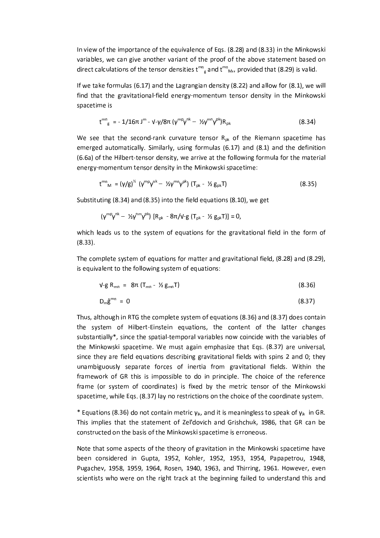In view of the importance of the equivalence of Eqs. (8.28) and (8.33) in the Minkowski variables, we can give another variant of the proof of the above statement based on direct calculations of the tensor densities  $t^{mn}_{R}$  and  $t^{mn}_{M}$ , provided that (8.29) is valid.

If we take formulas (6.17) and the Lagrangian density (8.22) and allow for  $(8.1)$ , we will find that the gravitational-field energy-momentum tensor density in the Minkowski spacetime is

$$
t^{mn}_{g} = -1/16\pi J^{m} - \nu - \gamma/8\pi (\gamma^{mp}\gamma^{nk} - \frac{1}{2}\gamma^{mn}\gamma^{pk})R_{pk}
$$
 (8.34)

We see that the second-rank curvature tensor  $R_{nk}$  of the Riemann spacetime has emerged automatically. Similarly, using formulas (6.17) and (8.1) and the definition (6.6a) of the Hilbert-tensor density, we arrive at the following formula for the material energy-momentum tensor density in the Minkowski spacetime:

$$
t^{mn}_{M} = (\gamma/g)^{\frac{1}{2}} (\gamma^{mp}\gamma^{nk} - \frac{1}{2}\gamma^{mn}\gamma^{pk}) (\mathsf{T}_{pk} - \frac{1}{2}\mathsf{g}_{pk}\mathsf{T})
$$
 (8.35)

Substituting (8.34) and (8.35) into the field equations (8.10), we get

$$
(\gamma^{mp}\gamma^{nk}-\mathcal{V}_{2}\gamma^{nm}\gamma^{pk}) [R_{pk}-8\pi/\nu-g (T_{pk}-\mathcal{V}_{2}g_{pk}T)] = 0,
$$

which leads us to the system of equations for the gravitational field in the form of  $(8.33)$ .

The complete system of equations for matter and gravitational field, (8.28) and (8.29), is equivalent to the following system of equations:

$$
V-g R_{mn} = 8\pi (T_{mn} - \frac{1}{2} g_{mn} T) \tag{8.36}
$$

$$
D_m \hat{g}^{mn} = 0 \tag{8.37}
$$

Thus, although in RTG the complete system of equations (8.36) and (8.37) does contain the system of Hilbert-Einstein equations, the content of the latter changes substantially\*, since the spatial-temporal variables now coincide with the variables of the Minkowski spacetime. We must again emphasize that Eqs. (8.37) are universal, since they are field equations describing gravitational fields with spins 2 and 0; they unambiguously separate forces of inertia from gravitational fields. Within the framework of GR this is impossible to do in principle. The choice of the reference frame (or system of coordinates) is fixed by the metric tensor of the Minkowski spacetime, while Eqs. (8.37) lay no restrictions on the choice of the coordinate system.

\* Equations (8.36) do not contain metric  $y_{ik}$ , and it is meaningless to speak of  $y_{ik}$  in GR. This implies that the statement of Zel'dovich and Grishchuk, 1986, that GR can be constructed on the basis of the Minkowski spacetime is erroneous.

Note that some aspects of the theory of gravitation in the Minkowski spacetime have been considered in Gupta, 1952, Kohler, 1952, 1953, 1954, Papapetrou, 1948, Pugachev, 1958, 1959, 1964, Rosen, 1940, 1963, and Thirring, 1961. However, even scientists who were on the right track at the beginning failed to understand this and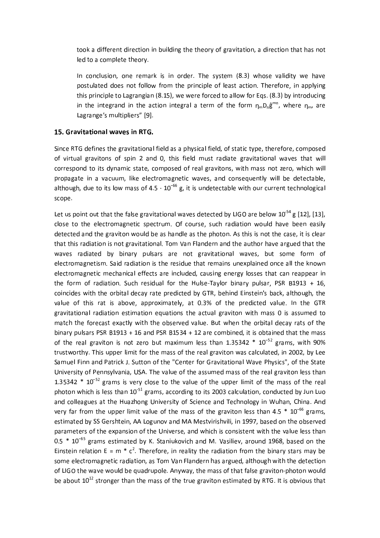took a different direction in building the theory of gravitation, a direction that has not led to a complete theory.

In conclusion, one remark is in order. The system (8.3) whose validity we have postulated does not follow from the principle of least action. Therefore, in applying this principle to Lagrangian (8.15), we were forced to allow for Eqs. (8.3) by introducing in the integrand in the action integral a term of the form  $\eta_m D_n \hat{g}^{mn}$ , where  $\eta_m$ , are Lagrange's multipliers" [9].

### 15. Gravitational waves in RTG.

Since RTG defines the gravitational field as a physical field, of static type, therefore, composed of virtual gravitons of spin 2 and 0, this field must radiate gravitational waves that will correspond to its dynamic state, composed of real gravitons, with mass not zero, which will propagate in a vacuum, like electromagnetic waves, and consequently will be detectable, although, due to its low mass of  $4.5 \cdot 10^{-66}$  g, it is undetectable with our current technological scope.

Let us point out that the false gravitational waves detected by LIGO are below  $10^{-54}$  g [12], [13], close to the electromagnetic spectrum. Of course, such radiation would have been easily detected and the graviton would be as handle as the photon. As this is not the case, it is clear that this radiation is not gravitational. Tom Van Flandern and the author have argued that the waves radiated by binary pulsars are not gravitational waves, but some form of electromagnetism. Said radiation is the residue that remains unexplained once all the known electromagnetic mechanical effects are included, causing energy losses that can reappear in the form of radiation. Such residual for the Hulse-Taylor binary pulsar, PSR B1913 + 16, coincides with the orbital decay rate predicted by GTR, behind Einstein's back, although, the value of this rat is above, approximately, at 0.3% of the predicted value. In the GTR gravitational radiation estimation equations the actual graviton with mass 0 is assumed to match the forecast exactly with the observed value. But when the orbital decay rats of the binary pulsars PSR B1913 + 16 and PSR B1534 + 12 are combined, it is obtained that the mass of the real graviton is not zero but maximum less than  $1.35342 * 10^{-52}$  grams, with 90% trustworthy. This upper limit for the mass of the real graviton was calculated, in 2002, by Lee Samuel Finn and Patrick J. Sutton of the "Center for Gravitational Wave Physics", of the State University of Pennsylvania, USA. The value of the assumed mass of the real graviton less than 1.35342  $*$  10<sup>-52</sup> grams is very close to the value of the upper limit of the mass of the real photon which is less than 10<sup>-51</sup> grams, according to its 2003 calculation, conducted by Jun Luo and colleagues at the Huazhong University of Science and Technology in Wuhan, China. And very far from the upper limit value of the mass of the graviton less than  $4.5 * 10^{-66}$  grams, estimated by SS Gershtein, AA Logunov and MA Mestvirishvili, in 1997, based on the observed parameters of the expansion of the Universe, and which is consistent with the value less than 0.5  $*$  10<sup>-65</sup> grams estimated by K. Staniukovich and M. Vasiliev, around 1968, based on the Einstein relation E =  $m * c^2$ . Therefore, in reality the radiation from the binary stars may be some electromagnetic radiation, as Tom Van Flandern has argued, although with the detection of LIGO the wave would be quadrupole. Anyway, the mass of that false graviton-photon would be about  $10^{12}$  stronger than the mass of the true graviton estimated by RTG. It is obvious that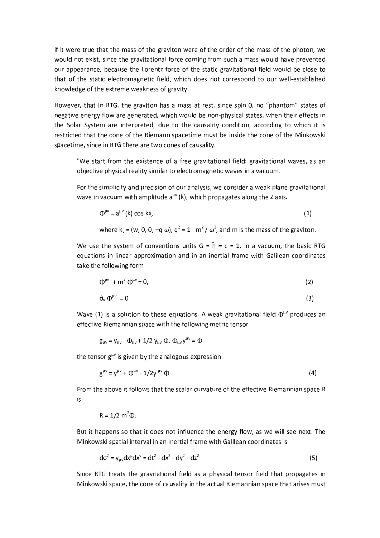if it were true that the mass of the graviton were of the order of the mass of the photon, we would not exist, since the gravitational force coming from such a mass would have prevented our appearance, because the Lorentz force of the static gravitational field would be close to that of the static electromagnetic field, which does not correspond to our well-established knowledge of the extreme weakness of gravity.

However, that in RTG, the graviton has a mass at rest, since spin 0, no "phantom" states of negative energy flow are generated, which would be non-physical states, when their effects in the Solar System are interpreted, due to the causality condition, according to which it is restricted that the cone of the Riemann spacetime must be inside the cone of the Minkowski spacetime, since in RTG there are two cones of causality.

"We start from the existence of a free gravitational field: gravitational waves, as an objective physical reality similar to electromagnetic waves in a vacuum.

For the simplicity and precision of our analysis, we consider a weak plane gravitational wave in vacuum with amplitude  $a^{\mu\nu}$  (k), which propagates along the Z axis.

$$
\Phi^{\mu\nu} = a^{\mu\nu} \text{ (k) cos kx,}
$$
 (1)

where 
$$
k_v = (w, 0, 0, -q \omega)
$$
,  $q^2 = 1 - m^2 / \omega^2$ , and m is the mass of the graviton

We use the system of conventions units  $G = \hat{h} = c = 1$ . In a vacuum, the basic RTG equations in linear approximation and in an inertial frame with Galilean coordinates take the following form

$$
\Phi^{\mu\nu} + m^2 \Phi^{\mu\nu} = 0, \tag{2}
$$

$$
\partial_{v} \Phi^{\mu\nu} = 0 \tag{3}
$$

Wave (1) is a solution to these equations. A weak gravitational field  $\Phi^{\mu\nu}$  produces an effective Riemannian space with the following metric tensor

$$
g_{\mu\nu} = \gamma_{\mu\nu} - \Phi_{\mu\nu} + 1/2 \gamma_{\mu\nu} \Phi, \Phi_{\mu\nu} \gamma^{\mu\nu} = \Phi
$$

the tensor g<sup>uv</sup> is given by the analogous expression

$$
g^{\mu\nu} = y^{\mu\nu} + \Phi^{\mu\nu} - 1/2y^{\mu\nu} \Phi
$$
 (4)

From the above it follows that the scalar curvature of the effective Riemannian space R is

$$
R = 1/2 \, \text{m}^2 \, \text{D}
$$
.

But it happens so that it does not influence the energy flow, as we will see next. The Minkowski spatial interval in an inertial frame with Galilean coordinates is

$$
d\sigma^2 = y_{uv}dx^u dx^v = dt^2 - dx^2 - dy^2 - dz^2
$$
 (5)

Since RTG treats the gravitational field as a physical tensor field that propagates in Minkowski space, the cone of causality in the actual Riemannian space that arises must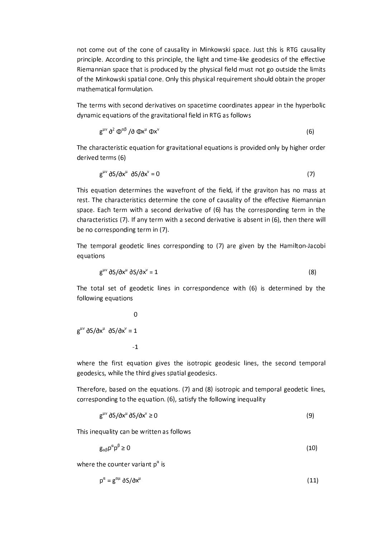not come out of the cone of causality in Minkowski space. Just this is RTG causality principle. According to this principle, the light and time-like geodesics of the effective Riemannian space that is produced by the physical field must not go outside the limits of the Minkowski spatial cone. Only this physical requirement should obtain the proper mathematical formulation.

The terms with second derivatives on spacetime coordinates appear in the hyperbolic dynamic equations of the gravitational field in RTG as follows

$$
g^{\mu\nu}\partial^2\Phi^{\alpha\beta}/\partial\Phi x^{\mu}\Phi x^{\nu}
$$
 (6)

The characteristic equation for gravitational equations is provided only by higher order derived terms (6)

$$
g^{\mu\nu}\,\partial S/\partial x^{\mu}\,\partial S/\partial x^{\nu}=0\tag{7}
$$

This equation determines the wavefront of the field, if the graviton has no mass at rest. The characteristics determine the cone of causality of the effective Riemannian space. Each term with a second derivative of (6) has the corresponding term in the characteristics (7). If any term with a second derivative is absent in (6), then there will be no corresponding term in (7).

The temporal geodetic lines corresponding to (7) are given by the Hamilton-Jacobi equations

$$
g^{\mu\nu}\,\partial S/\partial x^{\mu}\,\partial S/\partial x^{\nu}=1\tag{8}
$$

The total set of geodetic lines in correspondence with (6) is determined by the following equations

$$
g^{\mu\nu} \delta S/\delta x^{\mu} \delta S/\delta x^{\nu} = 1
$$

where the first equation gives the isotropic geodesic lines, the second temporal geodesics, while the third gives spatial geodesics.

Therefore, based on the equations. (7) and (8) isotropic and temporal geodetic lines, corresponding to the equation. (6), satisfy the following inequality

$$
g^{\mu\nu}\,\partial S/\partial x^{\mu}\,\partial S/\partial x^{\nu}\geq 0\tag{9}
$$

This inequality can be written as follows

$$
g_{\alpha\beta}p^{\alpha}p^{\beta}\geq 0\tag{10}
$$

where the counter variant  $p^{\alpha}$  is

$$
p^{\alpha} = g^{\alpha\mu} \partial S/\partial x^{\mu}
$$
 (11)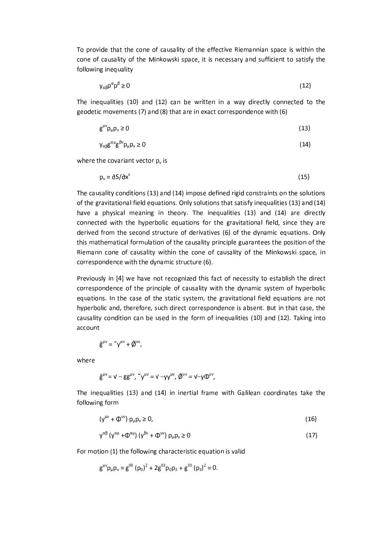To provide that the cone of causality of the effective Riemannian space is within the cone of causality of the Minkowski space, it is necessary and sufficient to satisfy the following inequality

$$
y_{\alpha\beta}p^{\alpha}p^{\beta}\geq 0\tag{12}
$$

The inequalities (10) and (12) can be written in a way directly connected to the geodetic movements (7) and (8) that are in exact correspondence with (6)

$$
g^{\mu\nu}p_{\mu}p_{\nu}\geq 0\tag{13}
$$

$$
y_{\alpha\beta}g^{\alpha\mu}g^{\beta\nu}p_{\mu}p_{\nu}\geq 0\tag{14}
$$

where the covariant vector  $p_v$  is

$$
p_v = \partial S / \partial x^v \tag{15}
$$

The causality conditions (13) and (14) impose defined rigid constraints on the solutions of the gravitational field equations. Only solutions that satisfy inequalities (13) and (14) have a physical meaning in theory. The inequalities (13) and (14) are directly connected with the hyperbolic equations for the gravitational field, since they are derived from the second structure of derivatives (6) of the dynamic equations. Only this mathematical formulation of the causality principle guarantees the position of the Riemann cone of causality within the cone of causality of the Minkowski space, in correspondence with the dynamic structure (6).

Previously in [4] we have not recognized this fact of necessity to establish the direct correspondence of the principle of causality with the dynamic system of hyperbolic equations. In the case of the static system, the gravitational field equations are not hyperbolic and, therefore, such direct correspondence is absent. But in that case, the causality condition can be used in the form of inequalities (10) and (12). Taking into account

$$
\hat{g}^{\mu\nu} = \tilde{~} \gamma^{\mu\nu} + \tilde{\phi}^{\mu\nu},
$$

where

$$
\hat{g}^{\mu\nu}=\nu-gg^{\mu\nu},\,\text{``}\nu^{\mu\nu}=\nu-\gamma\nu^{\mu\nu},\,\hat{\varnothing}^{\mu\nu}=\nu-\gamma\Phi^{\mu\nu},
$$

The inequalities (13) and (14) in inertial frame with Galilean coordinates take the following form

$$
(\gamma^{\mu\nu} + \Phi^{\mu\nu}) p_{\mu} p_{\nu} \ge 0, \tag{16}
$$

$$
y^{\alpha\beta} (y^{\alpha\mu} + \Phi^{\alpha\mu}) (y^{\beta\nu} + \Phi^{\mu\nu}) p_{\mu} p_{\nu} \ge 0
$$
 (17)

For motion (1) the following characteristic equation is valid

$$
g^{\mu\nu}p_{\mu}p_{\nu}=g^{00}(p_0)^2+2g^{03}p_0p_3+g^{33}(p_3)^2=0.
$$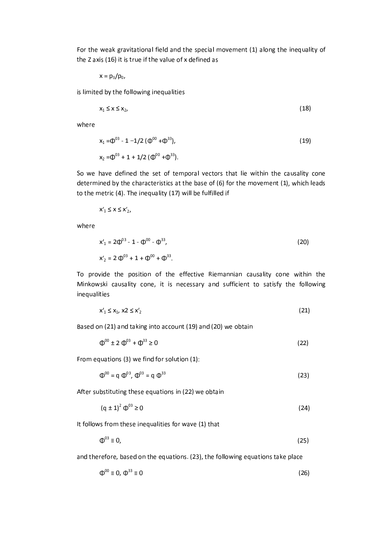For the weak gravitational field and the special movement (1) along the inequality of the Z axis (16) it is true if the value of x defined as

$$
x = p_3/p_0,
$$

is limited by the following inequalities

$$
x_1 \leq x \leq x_2, \tag{18}
$$

where

$$
x_1 = \Phi^{03} - 1 - 1/2 \ (\Phi^{00} + \Phi^{33}),
$$
  
\n
$$
x_2 = \Phi^{03} + 1 + 1/2 \ (\Phi^{00} + \Phi^{33}).
$$
\n(19)

So we have defined the set of temporal vectors that lie within the causality cone determined by the characteristics at the base of (6) for the movement (1), which leads to the metric (4). The inequality (17) will be fulfilled if

$$
x'_1 \le x \le x'_2,
$$

where

$$
x'_{1} = 2\Phi^{03} - 1 - \Phi^{00} - \Phi^{33},
$$
  
\n
$$
x'_{2} = 2\Phi^{03} + 1 + \Phi^{00} + \Phi^{33}.
$$
\n(20)

To provide the position of the effective Riemannian causality cone within the Minkowski causality cone, it is necessary and sufficient to satisfy the following inequalities

$$
x'_1 \le x_1, x_2 \le x'_2 \tag{21}
$$

Based on (21) and taking into account (19) and (20) we obtain

$$
\Phi^{00} \pm 2 \Phi^{03} + \Phi^{33} \ge 0 \tag{22}
$$

From equations (3) we find for solution (1):

$$
\Phi^{00} = \mathbf{q} \ \Phi^{03}, \ \Phi^{03} = \mathbf{q} \ \Phi^{33} \tag{23}
$$

After substituting these equations in (22) we obtain

$$
(q \pm 1)^2 \Phi^{03} \ge 0 \tag{24}
$$

It follows from these inequalities for wave (1) that

$$
\Phi^{03} \equiv 0, \tag{25}
$$

and therefore, based on the equations. (23), the following equations take place

$$
\Phi^{00} \equiv 0, \ \Phi^{33} \equiv 0 \tag{26}
$$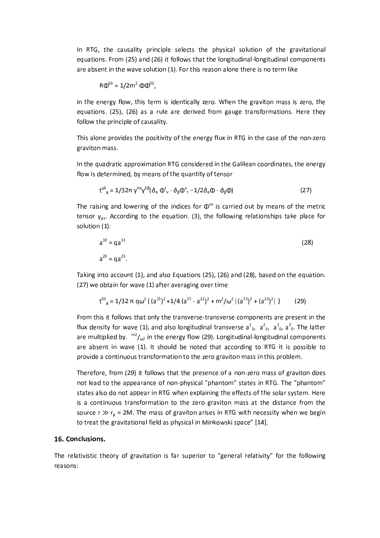In RTG, the causality principle selects the physical solution of the gravitational equations. From (25) and (26) it follows that the longitudinal-longitudinal components are absent in the wave solution (1). For this reason alone there is no term like

$$
R\Phi^{03} = 1/2m^2 \Phi \Phi^{03}
$$
,

in the energy flow, this term is identically zero. When the graviton mass is zero, the equations. (25), (26) as a rule are derived from gauge transformations. Here they follow the principle of causality.

This alone provides the positivity of the energy flux in RTG in the case of the non-zero graviton mass.

In the quadratic approximation RTG considered in the Galilean coordinates, the energy flow is determined, by means of the quantity of tensor

$$
t^{\rho\lambda}{}_{g} = 1/32\pi \, y^{\rho\alpha} y^{\lambda\beta} (\partial_{\alpha} \Phi_{v}^{\tau} \cdot \partial_{\beta} \Phi_{\tau}^{\nu} - 1/2 \partial_{\alpha} \Phi \cdot \partial_{\beta} \Phi) \tag{27}
$$

The raising and lowering of the indices for  $\Phi^{uv}$  is carried out by means of the metric tensor  $y_{uv}$ . According to the equation. (3), the following relationships take place for solution (1):

$$
a^{10} = qa^{13}
$$
 (28)  

$$
a^{20} = qa^{23}
$$

Taking into account (1), and also Equations (25), (26) and (28), based on the equation. (27) we obtain for wave (1) after averaging over time

$$
t^{03}_{g} = 1/32 \pi q \omega^{2} \{ (a^{21})^{2} + 1/4 (a^{11} - a^{22})^{2} + m^{2}/\omega^{2} | (a^{13})^{2} + (a^{23})^{2} | \}
$$
 (29)

From this it follows that only the transverse-transverse components are present in the flux density for wave (1), and also longitudinal transverse  $a_{3}^1$ ,  $a_{3}^2$ ,  $a_{0}^1$ ,  $a_{0}^2$ . The latter are multiplied by.  $m^2/\omega_2$  in the energy flow (29). Longitudinal-longitudinal components are absent in wave (1). It should be noted that according to RTG it is possible to provide a continuous transformation to the zero graviton mass in this problem.

Therefore, from (29) it follows that the presence of a non-zero mass of graviton does not lead to the appearance of non-physical "phantom" states in RTG. The "phantom" states also do not appear in RTG when explaining the effects of the solar system. Here is a continuous transformation to the zero graviton mass at the distance from the source  $r \gg r_g = 2M$ . The mass of graviton arises in RTG with necessity when we begin to treat the gravitational field as physical in Minkowski space" [14].

#### 16. Conclusions.

The relativistic theory of gravitation is far superior to "general relativity" for the following reasons: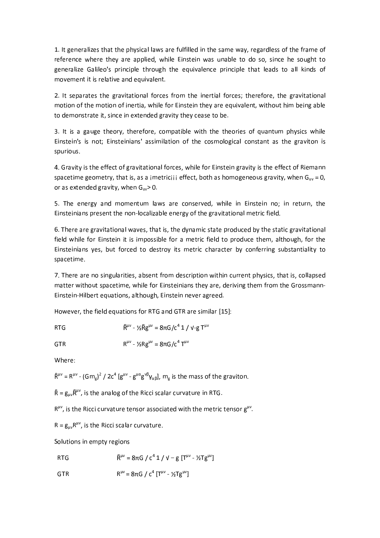1. It generalizes that the physical laws are fulfilled in the same way, regardless of the frame of reference where they are applied, while Einstein was unable to do so, since he sought to generalize Galileo's principle through the equivalence principle that leads to all kinds of movement it is relative and equivalent.

2. It separates the gravitational forces from the inertial forces; therefore, the gravitational motion of the motion of inertia, while for Einstein they are equivalent, without him being able to demonstrate it, since in extended gravity they cease to be.

3. It is a gauge theory, therefore, compatible with the theories of quantum physics while Einstein's is not; Einsteinians' assimilation of the cosmological constant as the graviton is spurious.

4. Gravity is the effect of gravitational forces, while for Einstein gravity is the effect of Riemann spacetime geometry, that is, as a jmetriciji effect, both as homogeneous gravity, when  $G_{\text{uv}} = 0$ , or as extended gravity, when  $G_{uv} > 0$ .

5. The energy and momentum laws are conserved, while in Einstein no; in return, the Einsteinians present the non-localizable energy of the gravitational metric field.

6. There are gravitational waves, that is, the dynamic state produced by the static gravitational field while for Einstein it is impossible for a metric field to produce them, although, for the Einsteinians yes, but forced to destroy its metric character by conferring substantiality to spacetime.

7. There are no singularities, absent from description within current physics, that is, collapsed matter without spacetime, while for Einsteinians they are, deriving them from the Grossmann-Einstein-Hilbert equations, although, Einstein never agreed.

However, the field equations for RTG and GTR are similar [15]:

RTG 
$$
\hat{R}^{\mu\nu} - \frac{1}{2} \hat{R} g^{\mu\nu} = 8\pi G/c^4 1 / \sqrt{g} T^{\mu}
$$

$$
\mathsf{GTR} \hspace{1.5cm} \mathsf{R}^{\mu\nu} - \mathcal{V}_2 \mathsf{R} \mathsf{g}^{\mu\nu} = 8\pi \mathsf{G} / \mathsf{c}^4 \; \mathsf{T}^{\mu\nu}
$$

Where:

 $\hat{R}^{\mu\nu} = R^{\mu\nu} - (Gm_g)^2 / 2c^4 [g^{\mu\nu} - g^{\mu\alpha}g^{\nu\beta} \gamma_{\alpha\beta}], m_g$  is the mass of the graviton.

 $\hat{R} = g_{\mu\nu} \hat{R}^{\mu\nu}$ , is the analog of the Ricci scalar curvature in RTG.

 $R^{\mu\nu}$ , is the Ricci curvature tensor associated with the metric tensor  $g^{\mu\nu}$ .

 $R = g_{uv}R^{\mu\nu}$ , is the Ricci scalar curvature.

Solutions in empty regions

RTG 
$$
\hat{R}^{\mu\nu} = 8\pi G / c^4 1 / \nu - g [T^{\mu\nu} - \mathcal{V} T g^{\mu\nu}]
$$

 $R^{\mu\nu}$  = 8 $\pi G / c^4$  [T<sup> $\mu\nu$ </sup> - ½Tg<sup> $\mu\nu$ </sup>] **GTR**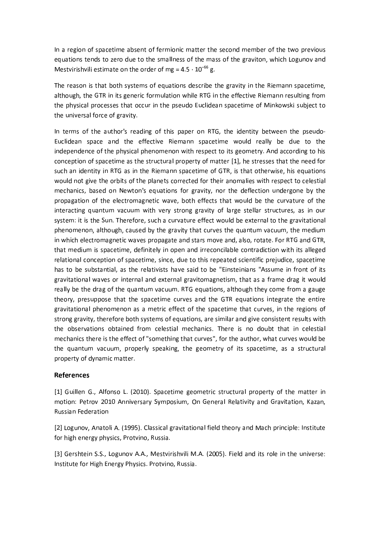In a region of spacetime absent of fermionic matter the second member of the two previous equations tends to zero due to the smallness of the mass of the graviton, which Logunov and Mestvirishvili estimate on the order of mg =  $4.5 \cdot 10^{-66}$  g.

The reason is that both systems of equations describe the gravity in the Riemann spacetime, although, the GTR in its generic formulation while RTG in the effective Riemann resulting from the physical processes that occur in the pseudo Euclidean spacetime of Minkowski subject to the universal force of gravity.

In terms of the author's reading of this paper on RTG, the identity between the pseudo-Euclidean space and the effective Riemann spacetime would really be due to the independence of the physical phenomenon with respect to its geometry. And according to his conception of spacetime as the structural property of matter [1], he stresses that the need for such an identity in RTG as in the Riemann spacetime of GTR, is that otherwise, his equations would not give the orbits of the planets corrected for their anomalies with respect to celestial mechanics, based on Newton's equations for gravity, nor the deflection undergone by the propagation of the electromagnetic wave, both effects that would be the curvature of the interacting quantum vacuum with very strong gravity of large stellar structures, as in our system: it is the Sun. Therefore, such a curvature effect would be external to the gravitational phenomenon, although, caused by the gravity that curves the quantum vacuum, the medium in which electromagnetic waves propagate and stars move and, also, rotate. For RTG and GTR, that medium is spacetime, definitely in open and irreconcilable contradiction with its alleged relational conception of spacetime, since, due to this repeated scientific prejudice, spacetime has to be substantial, as the relativists have said to be "Einsteinians "Assume in front of its gravitational waves or internal and external gravitomagnetism, that as a frame drag it would really be the drag of the quantum vacuum. RTG equations, although they come from a gauge theory, presuppose that the spacetime curves and the GTR equations integrate the entire gravitational phenomenon as a metric effect of the spacetime that curves, in the regions of strong gravity, therefore both systems of equations, are similar and give consistent results with the observations obtained from celestial mechanics. There is no doubt that in celestial mechanics there is the effect of "something that curves", for the author, what curves would be the quantum vacuum, properly speaking, the geometry of its spacetime, as a structural property of dynamic matter.

### **References**

[1] Guillen G., Alfonso L. (2010). Spacetime geometric structural property of the matter in motion: Petrov 2010 Anniversary Symposium, On General Relativity and Gravitation, Kazan, **Russian Federation** 

[2] Logunov, Anatoli A. (1995). Classical gravitational field theory and Mach principle: Institute for high energy physics, Protvino, Russia.

[3] Gershtein S.S., Logunov A.A., Mestvirishvili M.A. (2005). Field and its role in the universe: Institute for High Energy Physics. Protvino, Russia.